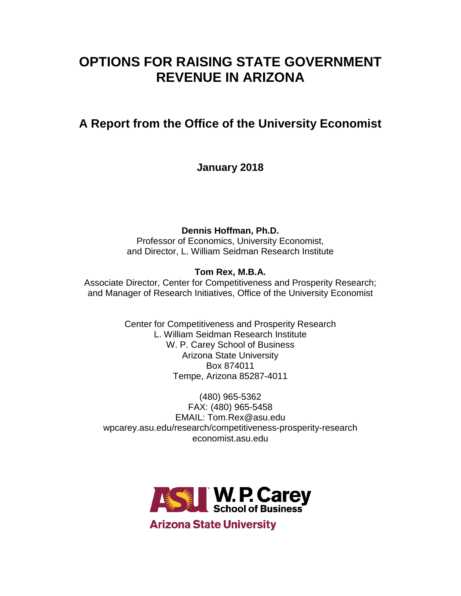# **OPTIONS FOR RAISING STATE GOVERNMENT REVENUE IN ARIZONA**

# **A Report from the Office of the University Economist**

**January 2018**

**Dennis Hoffman, Ph.D.**

Professor of Economics, University Economist, and Director, L. William Seidman Research Institute

## **Tom Rex, M.B.A.**

Associate Director, Center for Competitiveness and Prosperity Research; and Manager of Research Initiatives, Office of the University Economist

> Center for Competitiveness and Prosperity Research L. William Seidman Research Institute W. P. Carey School of Business Arizona State University Box 874011 Tempe, Arizona 85287-4011

(480) 965-5362 FAX: (480) 965-5458 EMAIL: Tom.Rex@asu.edu wpcarey.asu.edu/research/competitiveness-prosperity-research economist.asu.edu

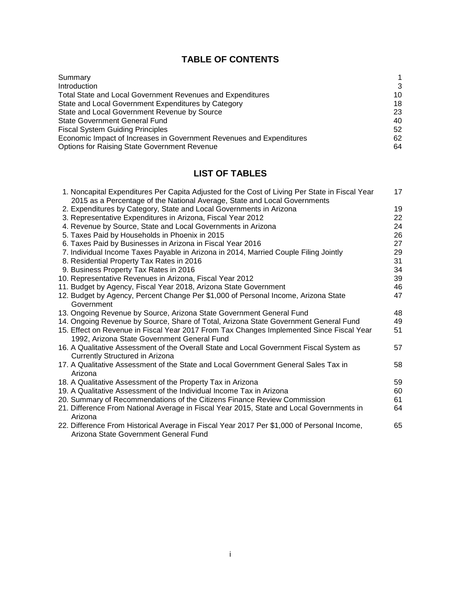## **TABLE OF CONTENTS**

| Summary                                                              |    |
|----------------------------------------------------------------------|----|
| Introduction                                                         | 3  |
| Total State and Local Government Revenues and Expenditures           | 10 |
| State and Local Government Expenditures by Category                  | 18 |
| State and Local Government Revenue by Source                         | 23 |
| <b>State Government General Fund</b>                                 | 40 |
| <b>Fiscal System Guiding Principles</b>                              | 52 |
| Economic Impact of Increases in Government Revenues and Expenditures | 62 |
| <b>Options for Raising State Government Revenue</b>                  | 64 |

## **LIST OF TABLES**

| 1. Noncapital Expenditures Per Capita Adjusted for the Cost of Living Per State in Fiscal Year<br>2015 as a Percentage of the National Average, State and Local Governments | 17 |
|-----------------------------------------------------------------------------------------------------------------------------------------------------------------------------|----|
| 2. Expenditures by Category, State and Local Governments in Arizona                                                                                                         | 19 |
| 3. Representative Expenditures in Arizona, Fiscal Year 2012                                                                                                                 | 22 |
| 4. Revenue by Source, State and Local Governments in Arizona                                                                                                                | 24 |
| 5. Taxes Paid by Households in Phoenix in 2015                                                                                                                              | 26 |
| 6. Taxes Paid by Businesses in Arizona in Fiscal Year 2016                                                                                                                  | 27 |
| 7. Individual Income Taxes Payable in Arizona in 2014, Married Couple Filing Jointly                                                                                        | 29 |
| 8. Residential Property Tax Rates in 2016                                                                                                                                   | 31 |
| 9. Business Property Tax Rates in 2016                                                                                                                                      | 34 |
| 10. Representative Revenues in Arizona, Fiscal Year 2012                                                                                                                    | 39 |
| 11. Budget by Agency, Fiscal Year 2018, Arizona State Government                                                                                                            | 46 |
| 12. Budget by Agency, Percent Change Per \$1,000 of Personal Income, Arizona State<br>Government                                                                            | 47 |
| 13. Ongoing Revenue by Source, Arizona State Government General Fund                                                                                                        | 48 |
| 14. Ongoing Revenue by Source, Share of Total, Arizona State Government General Fund                                                                                        | 49 |
| 15. Effect on Revenue in Fiscal Year 2017 From Tax Changes Implemented Since Fiscal Year<br>1992, Arizona State Government General Fund                                     | 51 |
| 16. A Qualitative Assessment of the Overall State and Local Government Fiscal System as<br>Currently Structured in Arizona                                                  | 57 |
| 17. A Qualitative Assessment of the State and Local Government General Sales Tax in<br>Arizona                                                                              | 58 |
| 18. A Qualitative Assessment of the Property Tax in Arizona                                                                                                                 | 59 |
| 19. A Qualitative Assessment of the Individual Income Tax in Arizona                                                                                                        | 60 |
| 20. Summary of Recommendations of the Citizens Finance Review Commission                                                                                                    | 61 |
| 21. Difference From National Average in Fiscal Year 2015, State and Local Governments in<br>Arizona                                                                         | 64 |
| 22. Difference From Historical Average in Fiscal Year 2017 Per \$1,000 of Personal Income,<br>Arizona State Government General Fund                                         | 65 |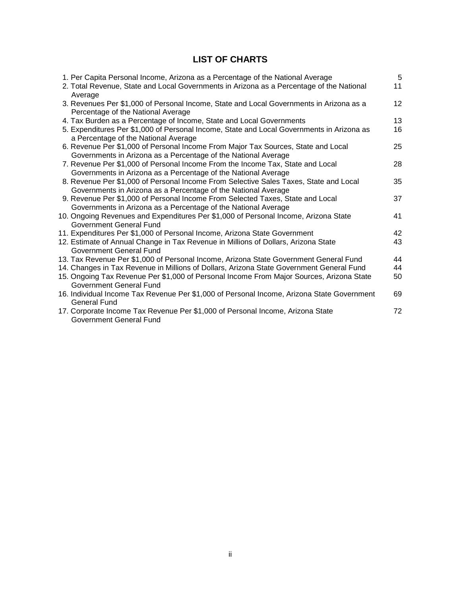## **LIST OF CHARTS**

| 1. Per Capita Personal Income, Arizona as a Percentage of the National Average                                                                      | 5               |
|-----------------------------------------------------------------------------------------------------------------------------------------------------|-----------------|
| 2. Total Revenue, State and Local Governments in Arizona as a Percentage of the National<br>Average                                                 | 11              |
| 3. Revenues Per \$1,000 of Personal Income, State and Local Governments in Arizona as a<br>Percentage of the National Average                       | 12 <sup>2</sup> |
| 4. Tax Burden as a Percentage of Income, State and Local Governments                                                                                | 13              |
| 5. Expenditures Per \$1,000 of Personal Income, State and Local Governments in Arizona as<br>a Percentage of the National Average                   | 16              |
| 6. Revenue Per \$1,000 of Personal Income From Major Tax Sources, State and Local<br>Governments in Arizona as a Percentage of the National Average | 25              |
| 7. Revenue Per \$1,000 of Personal Income From the Income Tax, State and Local                                                                      | 28              |
| Governments in Arizona as a Percentage of the National Average                                                                                      |                 |
| 8. Revenue Per \$1,000 of Personal Income From Selective Sales Taxes, State and Local                                                               | 35              |
| Governments in Arizona as a Percentage of the National Average                                                                                      |                 |
| 9. Revenue Per \$1,000 of Personal Income From Selected Taxes, State and Local                                                                      | 37              |
| Governments in Arizona as a Percentage of the National Average                                                                                      |                 |
| 10. Ongoing Revenues and Expenditures Per \$1,000 of Personal Income, Arizona State<br>Government General Fund                                      | 41              |
| 11. Expenditures Per \$1,000 of Personal Income, Arizona State Government                                                                           | 42              |
| 12. Estimate of Annual Change in Tax Revenue in Millions of Dollars, Arizona State<br>Government General Fund                                       | 43              |
| 13. Tax Revenue Per \$1,000 of Personal Income, Arizona State Government General Fund                                                               | 44              |
| 14. Changes in Tax Revenue in Millions of Dollars, Arizona State Government General Fund                                                            | 44              |
| 15. Ongoing Tax Revenue Per \$1,000 of Personal Income From Major Sources, Arizona State<br>Government General Fund                                 | 50              |
| 16. Individual Income Tax Revenue Per \$1,000 of Personal Income, Arizona State Government<br><b>General Fund</b>                                   | 69              |
| 17. Corporate Income Tax Revenue Per \$1,000 of Personal Income, Arizona State<br>Government General Fund                                           | 72              |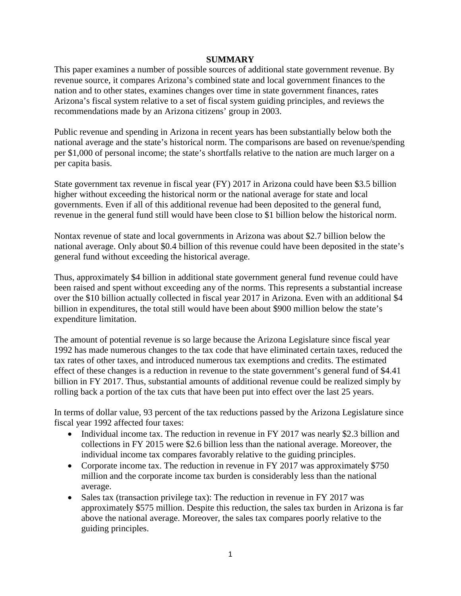### **SUMMARY**

This paper examines a number of possible sources of additional state government revenue. By revenue source, it compares Arizona's combined state and local government finances to the nation and to other states, examines changes over time in state government finances, rates Arizona's fiscal system relative to a set of fiscal system guiding principles, and reviews the recommendations made by an Arizona citizens' group in 2003.

Public revenue and spending in Arizona in recent years has been substantially below both the national average and the state's historical norm. The comparisons are based on revenue/spending per \$1,000 of personal income; the state's shortfalls relative to the nation are much larger on a per capita basis.

State government tax revenue in fiscal year (FY) 2017 in Arizona could have been \$3.5 billion higher without exceeding the historical norm or the national average for state and local governments. Even if all of this additional revenue had been deposited to the general fund, revenue in the general fund still would have been close to \$1 billion below the historical norm.

Nontax revenue of state and local governments in Arizona was about \$2.7 billion below the national average. Only about \$0.4 billion of this revenue could have been deposited in the state's general fund without exceeding the historical average.

Thus, approximately \$4 billion in additional state government general fund revenue could have been raised and spent without exceeding any of the norms. This represents a substantial increase over the \$10 billion actually collected in fiscal year 2017 in Arizona. Even with an additional \$4 billion in expenditures, the total still would have been about \$900 million below the state's expenditure limitation.

The amount of potential revenue is so large because the Arizona Legislature since fiscal year 1992 has made numerous changes to the tax code that have eliminated certain taxes, reduced the tax rates of other taxes, and introduced numerous tax exemptions and credits. The estimated effect of these changes is a reduction in revenue to the state government's general fund of \$4.41 billion in FY 2017. Thus, substantial amounts of additional revenue could be realized simply by rolling back a portion of the tax cuts that have been put into effect over the last 25 years.

In terms of dollar value, 93 percent of the tax reductions passed by the Arizona Legislature since fiscal year 1992 affected four taxes:

- Individual income tax. The reduction in revenue in FY 2017 was nearly \$2.3 billion and collections in FY 2015 were \$2.6 billion less than the national average. Moreover, the individual income tax compares favorably relative to the guiding principles.
- Corporate income tax. The reduction in revenue in FY 2017 was approximately \$750 million and the corporate income tax burden is considerably less than the national average.
- Sales tax (transaction privilege tax): The reduction in revenue in FY 2017 was approximately \$575 million. Despite this reduction, the sales tax burden in Arizona is far above the national average. Moreover, the sales tax compares poorly relative to the guiding principles.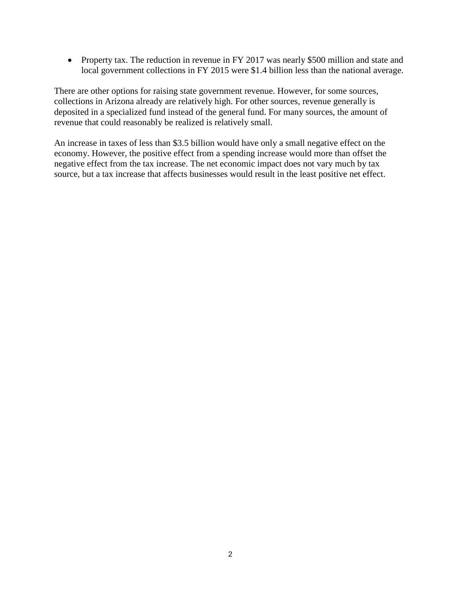• Property tax. The reduction in revenue in FY 2017 was nearly \$500 million and state and local government collections in FY 2015 were \$1.4 billion less than the national average.

There are other options for raising state government revenue. However, for some sources, collections in Arizona already are relatively high. For other sources, revenue generally is deposited in a specialized fund instead of the general fund. For many sources, the amount of revenue that could reasonably be realized is relatively small.

An increase in taxes of less than \$3.5 billion would have only a small negative effect on the economy. However, the positive effect from a spending increase would more than offset the negative effect from the tax increase. The net economic impact does not vary much by tax source, but a tax increase that affects businesses would result in the least positive net effect.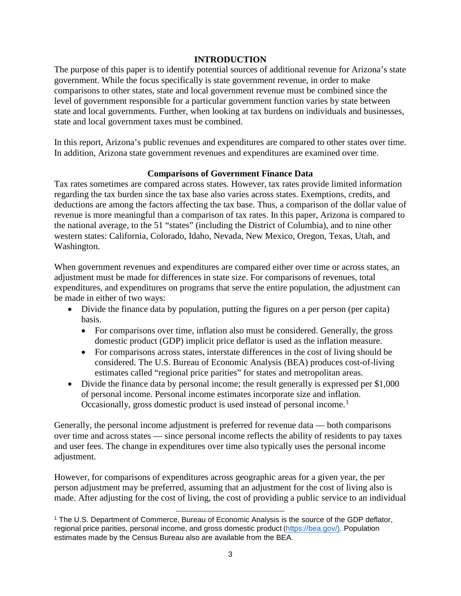### **INTRODUCTION**

The purpose of this paper is to identify potential sources of additional revenue for Arizona's state government. While the focus specifically is state government revenue, in order to make comparisons to other states, state and local government revenue must be combined since the level of government responsible for a particular government function varies by state between state and local governments. Further, when looking at tax burdens on individuals and businesses, state and local government taxes must be combined.

In this report, Arizona's public revenues and expenditures are compared to other states over time. In addition, Arizona state government revenues and expenditures are examined over time.

### **Comparisons of Government Finance Data**

Tax rates sometimes are compared across states. However, tax rates provide limited information regarding the tax burden since the tax base also varies across states. Exemptions, credits, and deductions are among the factors affecting the tax base. Thus, a comparison of the dollar value of revenue is more meaningful than a comparison of tax rates. In this paper, Arizona is compared to the national average, to the 51 "states" (including the District of Columbia), and to nine other western states: California, Colorado, Idaho, Nevada, New Mexico, Oregon, Texas, Utah, and Washington.

When government revenues and expenditures are compared either over time or across states, an adjustment must be made for differences in state size. For comparisons of revenues, total expenditures, and expenditures on programs that serve the entire population, the adjustment can be made in either of two ways:

- Divide the finance data by population, putting the figures on a per person (per capita) basis.
	- For comparisons over time, inflation also must be considered. Generally, the gross domestic product (GDP) implicit price deflator is used as the inflation measure.
	- For comparisons across states, interstate differences in the cost of living should be considered. The U.S. Bureau of Economic Analysis (BEA) produces cost-of-living estimates called "regional price parities" for states and metropolitan areas.
- Divide the finance data by personal income; the result generally is expressed per \$1,000 of personal income. Personal income estimates incorporate size and inflation. Occasionally, gross domestic product is used instead of personal income.<sup>[1](#page-5-0)</sup>

Generally, the personal income adjustment is preferred for revenue data — both comparisons over time and across states — since personal income reflects the ability of residents to pay taxes and user fees. The change in expenditures over time also typically uses the personal income adjustment.

However, for comparisons of expenditures across geographic areas for a given year, the per person adjustment may be preferred, assuming that an adjustment for the cost of living also is made. After adjusting for the cost of living, the cost of providing a public service to an individual

<span id="page-5-0"></span>l <sup>1</sup> The U.S. Department of Commerce, Bureau of Economic Analysis is the source of the GDP deflator, regional price parities, personal income, and gross domestic product ([https://bea.gov/\)](https://bea.gov/). Population estimates made by the Census Bureau also are available from the BEA.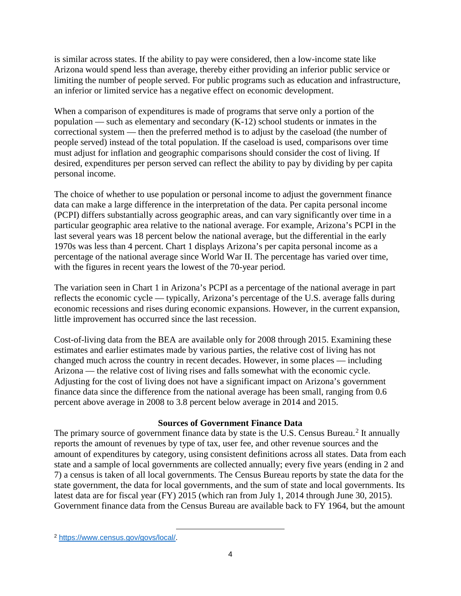is similar across states. If the ability to pay were considered, then a low-income state like Arizona would spend less than average, thereby either providing an inferior public service or limiting the number of people served. For public programs such as education and infrastructure, an inferior or limited service has a negative effect on economic development.

When a comparison of expenditures is made of programs that serve only a portion of the population — such as elementary and secondary (K-12) school students or inmates in the correctional system — then the preferred method is to adjust by the caseload (the number of people served) instead of the total population. If the caseload is used, comparisons over time must adjust for inflation and geographic comparisons should consider the cost of living. If desired, expenditures per person served can reflect the ability to pay by dividing by per capita personal income.

The choice of whether to use population or personal income to adjust the government finance data can make a large difference in the interpretation of the data. Per capita personal income (PCPI) differs substantially across geographic areas, and can vary significantly over time in a particular geographic area relative to the national average. For example, Arizona's PCPI in the last several years was 18 percent below the national average, but the differential in the early 1970s was less than 4 percent. Chart 1 displays Arizona's per capita personal income as a percentage of the national average since World War II. The percentage has varied over time, with the figures in recent years the lowest of the 70-year period.

The variation seen in Chart 1 in Arizona's PCPI as a percentage of the national average in part reflects the economic cycle — typically, Arizona's percentage of the U.S. average falls during economic recessions and rises during economic expansions. However, in the current expansion, little improvement has occurred since the last recession.

Cost-of-living data from the BEA are available only for 2008 through 2015. Examining these estimates and earlier estimates made by various parties, the relative cost of living has not changed much across the country in recent decades. However, in some places — including Arizona — the relative cost of living rises and falls somewhat with the economic cycle. Adjusting for the cost of living does not have a significant impact on Arizona's government finance data since the difference from the national average has been small, ranging from 0.6 percent above average in 2008 to 3.8 percent below average in 2014 and 2015.

### **Sources of Government Finance Data**

The primary source of government finance data by state is the U.S. Census Bureau.<sup>[2](#page-6-0)</sup> It annually reports the amount of revenues by type of tax, user fee, and other revenue sources and the amount of expenditures by category, using consistent definitions across all states. Data from each state and a sample of local governments are collected annually; every five years (ending in 2 and 7) a census is taken of all local governments. The Census Bureau reports by state the data for the state government, the data for local governments, and the sum of state and local governments. Its latest data are for fiscal year (FY) 2015 (which ran from July 1, 2014 through June 30, 2015). Government finance data from the Census Bureau are available back to FY 1964, but the amount

l

<span id="page-6-0"></span><sup>2</sup> [https://www.census.gov/govs/local/.](https://www.census.gov/govs/local/)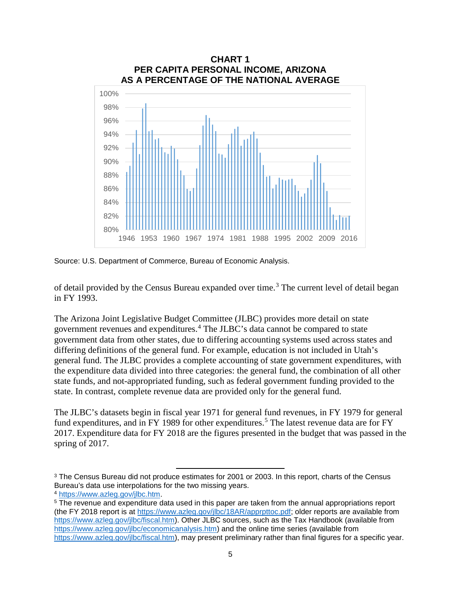

Source: U.S. Department of Commerce, Bureau of Economic Analysis.

 $\overline{\phantom{a}}$ 

of detail provided by the Census Bureau expanded over time.<sup>[3](#page-7-0)</sup> The current level of detail began in FY 1993.

The Arizona Joint Legislative Budget Committee (JLBC) provides more detail on state government revenues and expenditures. [4](#page-7-1) The JLBC's data cannot be compared to state government data from other states, due to differing accounting systems used across states and differing definitions of the general fund. For example, education is not included in Utah's general fund. The JLBC provides a complete accounting of state government expenditures, with the expenditure data divided into three categories: the general fund, the combination of all other state funds, and not-appropriated funding, such as federal government funding provided to the state. In contrast, complete revenue data are provided only for the general fund.

The JLBC's datasets begin in fiscal year 1971 for general fund revenues, in FY 1979 for general fund expenditures, and in FY 1989 for other expenditures.<sup>[5](#page-7-2)</sup> The latest revenue data are for FY 2017. Expenditure data for FY 2018 are the figures presented in the budget that was passed in the spring of 2017.

<span id="page-7-0"></span><sup>&</sup>lt;sup>3</sup> The Census Bureau did not produce estimates for 2001 or 2003. In this report, charts of the Census Bureau's data use interpolations for the two missing years.

<span id="page-7-1"></span><sup>4</sup> [https://www.azleg.gov/jlbc.htm.](https://www.azleg.gov/jlbc.htm)

<span id="page-7-2"></span><sup>5</sup> The revenue and expenditure data used in this paper are taken from the annual appropriations report (the FY 2018 report is at [https://www.azleg.gov/jlbc/18AR/apprpttoc.pdf;](https://www.azleg.gov/jlbc/18AR/apprpttoc.pdf) older reports are available from [https://www.azleg.gov/jlbc/fiscal.htm\)](https://www.azleg.gov/jlbc/fiscal.htm). Other JLBC sources, such as the Tax Handbook (available from [https://www.azleg.gov/jlbc/economicanalysis.htm\)](https://www.azleg.gov/jlbc/economicanalysis.htm) and the online time series (available from [https://www.azleg.gov/jlbc/fiscal.htm\)](https://www.azleg.gov/jlbc/fiscal.htm), may present preliminary rather than final figures for a specific year.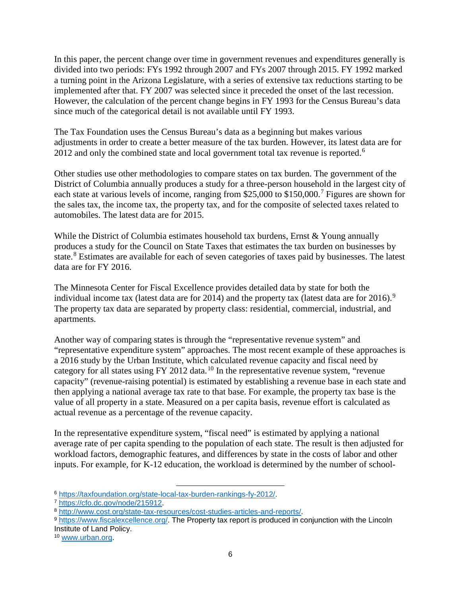In this paper, the percent change over time in government revenues and expenditures generally is divided into two periods: FYs 1992 through 2007 and FYs 2007 through 2015. FY 1992 marked a turning point in the Arizona Legislature, with a series of extensive tax reductions starting to be implemented after that. FY 2007 was selected since it preceded the onset of the last recession. However, the calculation of the percent change begins in FY 1993 for the Census Bureau's data since much of the categorical detail is not available until FY 1993.

The Tax Foundation uses the Census Bureau's data as a beginning but makes various adjustments in order to create a better measure of the tax burden. However, its latest data are for 2012 and only the combined state and local government total tax revenue is reported.<sup>[6](#page-8-0)</sup>

Other studies use other methodologies to compare states on tax burden. The government of the District of Columbia annually produces a study for a three-person household in the largest city of each state at various levels of income, ranging from \$25,000 to \$150,000.<sup>[7](#page-8-1)</sup> Figures are shown for the sales tax, the income tax, the property tax, and for the composite of selected taxes related to automobiles. The latest data are for 2015.

While the District of Columbia estimates household tax burdens, Ernst & Young annually produces a study for the Council on State Taxes that estimates the tax burden on businesses by state.<sup>[8](#page-8-2)</sup> Estimates are available for each of seven categories of taxes paid by businesses. The latest data are for FY 2016.

The Minnesota Center for Fiscal Excellence provides detailed data by state for both the individual income tax (latest data are for 2014) and the property tax (latest data are for 2016).<sup>[9](#page-8-3)</sup> The property tax data are separated by property class: residential, commercial, industrial, and apartments.

Another way of comparing states is through the "representative revenue system" and "representative expenditure system" approaches. The most recent example of these approaches is a 2016 study by the Urban Institute, which calculated revenue capacity and fiscal need by category for all states using FY 2012 data.<sup>[10](#page-8-4)</sup> In the representative revenue system, "revenue capacity" (revenue-raising potential) is estimated by establishing a revenue base in each state and then applying a national average tax rate to that base. For example, the property tax base is the value of all property in a state. Measured on a per capita basis, revenue effort is calculated as actual revenue as a percentage of the revenue capacity.

In the representative expenditure system, "fiscal need" is estimated by applying a national average rate of per capita spending to the population of each state. The result is then adjusted for workload factors, demographic features, and differences by state in the costs of labor and other inputs. For example, for K-12 education, the workload is determined by the number of school-

<span id="page-8-0"></span> $\overline{\phantom{a}}$ <sup>6</sup> [https://taxfoundation.org/state-local-tax-burden-rankings-fy-2012/.](https://taxfoundation.org/state-local-tax-burden-rankings-fy-2012/)

<span id="page-8-1"></span><sup>7</sup> [https://cfo.dc.gov/node/215912.](https://cfo.dc.gov/node/215912)

<span id="page-8-2"></span><sup>8</sup> [http://www.cost.org/state-tax-resources/cost-studies-articles-and-reports/.](http://www.cost.org/state-tax-resources/cost-studies-articles-and-reports/)

<span id="page-8-3"></span><sup>9</sup> [https://www.fiscalexcellence.org/.](https://www.fiscalexcellence.org/) The Property tax report is produced in conjunction with the Lincoln Institute of Land Policy.

<span id="page-8-4"></span><sup>10</sup> [www.urban.org.](http://www.urban.org/)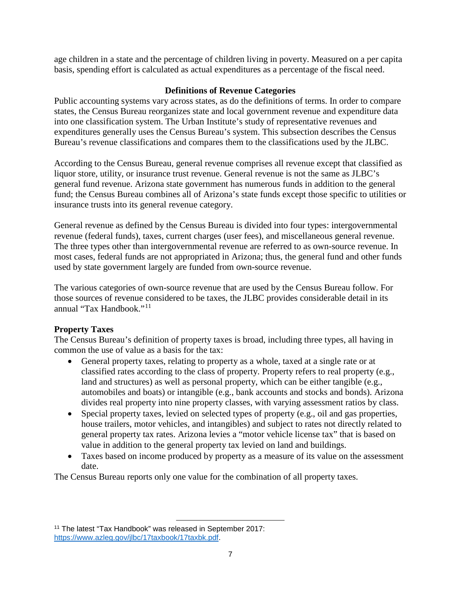age children in a state and the percentage of children living in poverty. Measured on a per capita basis, spending effort is calculated as actual expenditures as a percentage of the fiscal need.

### **Definitions of Revenue Categories**

Public accounting systems vary across states, as do the definitions of terms. In order to compare states, the Census Bureau reorganizes state and local government revenue and expenditure data into one classification system. The Urban Institute's study of representative revenues and expenditures generally uses the Census Bureau's system. This subsection describes the Census Bureau's revenue classifications and compares them to the classifications used by the JLBC.

According to the Census Bureau, general revenue comprises all revenue except that classified as liquor store, utility, or insurance trust revenue. General revenue is not the same as JLBC's general fund revenue. Arizona state government has numerous funds in addition to the general fund; the Census Bureau combines all of Arizona's state funds except those specific to utilities or insurance trusts into its general revenue category.

General revenue as defined by the Census Bureau is divided into four types: intergovernmental revenue (federal funds), taxes, current charges (user fees), and miscellaneous general revenue. The three types other than intergovernmental revenue are referred to as own-source revenue. In most cases, federal funds are not appropriated in Arizona; thus, the general fund and other funds used by state government largely are funded from own-source revenue.

The various categories of own-source revenue that are used by the Census Bureau follow. For those sources of revenue considered to be taxes, the JLBC provides considerable detail in its annual "Tax Handbook."[11](#page-9-0)

### **Property Taxes**

The Census Bureau's definition of property taxes is broad, including three types, all having in common the use of value as a basis for the tax:

- General property taxes, relating to property as a whole, taxed at a single rate or at classified rates according to the class of property. Property refers to real property (e.g., land and structures) as well as personal property, which can be either tangible (e.g., automobiles and boats) or intangible (e.g., bank accounts and stocks and bonds). Arizona divides real property into nine property classes, with varying assessment ratios by class.
- Special property taxes, levied on selected types of property (e.g., oil and gas properties, house trailers, motor vehicles, and intangibles) and subject to rates not directly related to general property tax rates. Arizona levies a "motor vehicle license tax" that is based on value in addition to the general property tax levied on land and buildings.
- Taxes based on income produced by property as a measure of its value on the assessment date.

The Census Bureau reports only one value for the combination of all property taxes.

l

<span id="page-9-0"></span><sup>11</sup> The latest "Tax Handbook" was released in September 2017: [https://www.azleg.gov/jlbc/17taxbook/17taxbk.pdf.](https://www.azleg.gov/jlbc/17taxbook/17taxbk.pdf)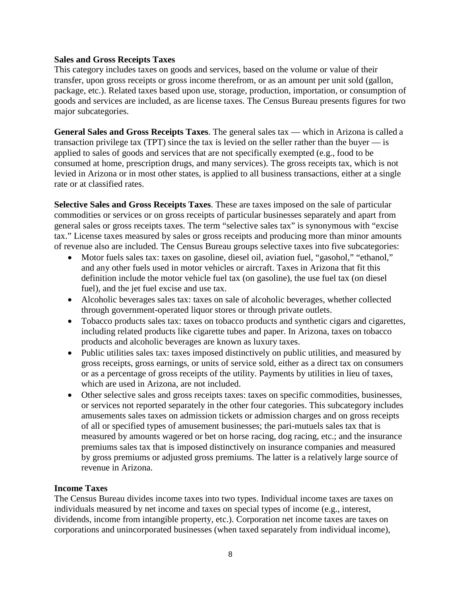### **Sales and Gross Receipts Taxes**

This category includes taxes on goods and services, based on the volume or value of their transfer, upon gross receipts or gross income therefrom, or as an amount per unit sold (gallon, package, etc.). Related taxes based upon use, storage, production, importation, or consumption of goods and services are included, as are license taxes. The Census Bureau presents figures for two major subcategories.

**General Sales and Gross Receipts Taxes**. The general sales tax — which in Arizona is called a transaction privilege tax (TPT) since the tax is levied on the seller rather than the buyer  $\frac{1}{10}$  is applied to sales of goods and services that are not specifically exempted (e.g., food to be consumed at home, prescription drugs, and many services). The gross receipts tax, which is not levied in Arizona or in most other states, is applied to all business transactions, either at a single rate or at classified rates.

**Selective Sales and Gross Receipts Taxes**. These are taxes imposed on the sale of particular commodities or services or on gross receipts of particular businesses separately and apart from general sales or gross receipts taxes. The term "selective sales tax" is synonymous with "excise tax." License taxes measured by sales or gross receipts and producing more than minor amounts of revenue also are included. The Census Bureau groups selective taxes into five subcategories:

- Motor fuels sales tax: taxes on gasoline, diesel oil, aviation fuel, "gasohol," "ethanol," and any other fuels used in motor vehicles or aircraft. Taxes in Arizona that fit this definition include the motor vehicle fuel tax (on gasoline), the use fuel tax (on diesel fuel), and the jet fuel excise and use tax.
- Alcoholic beverages sales tax: taxes on sale of alcoholic beverages, whether collected through government-operated liquor stores or through private outlets.
- Tobacco products sales tax: taxes on tobacco products and synthetic cigars and cigarettes, including related products like cigarette tubes and paper. In Arizona, taxes on tobacco products and alcoholic beverages are known as luxury taxes.
- Public utilities sales tax: taxes imposed distinctively on public utilities, and measured by gross receipts, gross earnings, or units of service sold, either as a direct tax on consumers or as a percentage of gross receipts of the utility. Payments by utilities in lieu of taxes, which are used in Arizona, are not included.
- Other selective sales and gross receipts taxes: taxes on specific commodities, businesses, or services not reported separately in the other four categories. This subcategory includes amusements sales taxes on admission tickets or admission charges and on gross receipts of all or specified types of amusement businesses; the pari-mutuels sales tax that is measured by amounts wagered or bet on horse racing, dog racing, etc.; and the insurance premiums sales tax that is imposed distinctively on insurance companies and measured by gross premiums or adjusted gross premiums. The latter is a relatively large source of revenue in Arizona.

### **Income Taxes**

The Census Bureau divides income taxes into two types. Individual income taxes are taxes on individuals measured by net income and taxes on special types of income (e.g., interest, dividends, income from intangible property, etc.). Corporation net income taxes are taxes on corporations and unincorporated businesses (when taxed separately from individual income),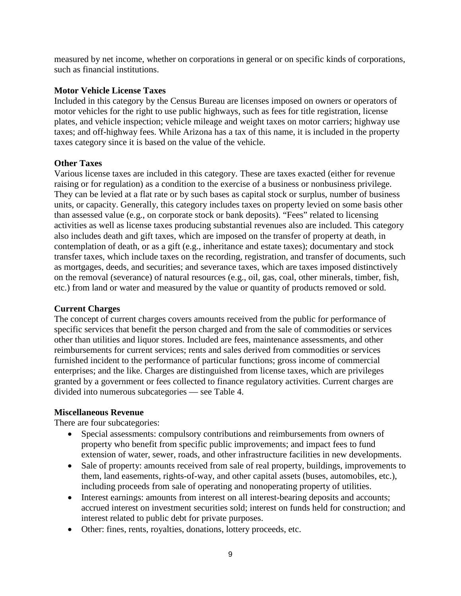measured by net income, whether on corporations in general or on specific kinds of corporations, such as financial institutions.

### **Motor Vehicle License Taxes**

Included in this category by the Census Bureau are licenses imposed on owners or operators of motor vehicles for the right to use public highways, such as fees for title registration, license plates, and vehicle inspection; vehicle mileage and weight taxes on motor carriers; highway use taxes; and off-highway fees. While Arizona has a tax of this name, it is included in the property taxes category since it is based on the value of the vehicle.

### **Other Taxes**

Various license taxes are included in this category. These are taxes exacted (either for revenue raising or for regulation) as a condition to the exercise of a business or nonbusiness privilege. They can be levied at a flat rate or by such bases as capital stock or surplus, number of business units, or capacity. Generally, this category includes taxes on property levied on some basis other than assessed value (e.g., on corporate stock or bank deposits). "Fees" related to licensing activities as well as license taxes producing substantial revenues also are included. This category also includes death and gift taxes, which are imposed on the transfer of property at death, in contemplation of death, or as a gift (e.g., inheritance and estate taxes); documentary and stock transfer taxes, which include taxes on the recording, registration, and transfer of documents, such as mortgages, deeds, and securities; and severance taxes, which are taxes imposed distinctively on the removal (severance) of natural resources (e.g., oil, gas, coal, other minerals, timber, fish, etc.) from land or water and measured by the value or quantity of products removed or sold.

### **Current Charges**

The concept of current charges covers amounts received from the public for performance of specific services that benefit the person charged and from the sale of commodities or services other than utilities and liquor stores. Included are fees, maintenance assessments, and other reimbursements for current services; rents and sales derived from commodities or services furnished incident to the performance of particular functions; gross income of commercial enterprises; and the like. Charges are distinguished from license taxes, which are privileges granted by a government or fees collected to finance regulatory activities. Current charges are divided into numerous subcategories — see Table 4.

### **Miscellaneous Revenue**

There are four subcategories:

- Special assessments: compulsory contributions and reimbursements from owners of property who benefit from specific public improvements; and impact fees to fund extension of water, sewer, roads, and other infrastructure facilities in new developments.
- Sale of property: amounts received from sale of real property, buildings, improvements to them, land easements, rights-of-way, and other capital assets (buses, automobiles, etc.), including proceeds from sale of operating and nonoperating property of utilities.
- Interest earnings: amounts from interest on all interest-bearing deposits and accounts; accrued interest on investment securities sold; interest on funds held for construction; and interest related to public debt for private purposes.
- Other: fines, rents, royalties, donations, lottery proceeds, etc.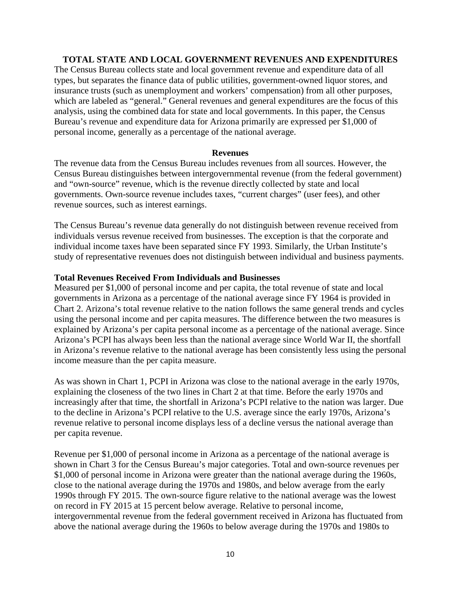### **TOTAL STATE AND LOCAL GOVERNMENT REVENUES AND EXPENDITURES**

The Census Bureau collects state and local government revenue and expenditure data of all types, but separates the finance data of public utilities, government-owned liquor stores, and insurance trusts (such as unemployment and workers' compensation) from all other purposes, which are labeled as "general." General revenues and general expenditures are the focus of this analysis, using the combined data for state and local governments. In this paper, the Census Bureau's revenue and expenditure data for Arizona primarily are expressed per \$1,000 of personal income, generally as a percentage of the national average.

### **Revenues**

The revenue data from the Census Bureau includes revenues from all sources. However, the Census Bureau distinguishes between intergovernmental revenue (from the federal government) and "own-source" revenue, which is the revenue directly collected by state and local governments. Own-source revenue includes taxes, "current charges" (user fees), and other revenue sources, such as interest earnings.

The Census Bureau's revenue data generally do not distinguish between revenue received from individuals versus revenue received from businesses. The exception is that the corporate and individual income taxes have been separated since FY 1993. Similarly, the Urban Institute's study of representative revenues does not distinguish between individual and business payments.

### **Total Revenues Received From Individuals and Businesses**

Measured per \$1,000 of personal income and per capita, the total revenue of state and local governments in Arizona as a percentage of the national average since FY 1964 is provided in Chart 2. Arizona's total revenue relative to the nation follows the same general trends and cycles using the personal income and per capita measures. The difference between the two measures is explained by Arizona's per capita personal income as a percentage of the national average. Since Arizona's PCPI has always been less than the national average since World War II, the shortfall in Arizona's revenue relative to the national average has been consistently less using the personal income measure than the per capita measure.

As was shown in Chart 1, PCPI in Arizona was close to the national average in the early 1970s, explaining the closeness of the two lines in Chart 2 at that time. Before the early 1970s and increasingly after that time, the shortfall in Arizona's PCPI relative to the nation was larger. Due to the decline in Arizona's PCPI relative to the U.S. average since the early 1970s, Arizona's revenue relative to personal income displays less of a decline versus the national average than per capita revenue.

Revenue per \$1,000 of personal income in Arizona as a percentage of the national average is shown in Chart 3 for the Census Bureau's major categories. Total and own-source revenues per \$1,000 of personal income in Arizona were greater than the national average during the 1960s, close to the national average during the 1970s and 1980s, and below average from the early 1990s through FY 2015. The own-source figure relative to the national average was the lowest on record in FY 2015 at 15 percent below average. Relative to personal income, intergovernmental revenue from the federal government received in Arizona has fluctuated from above the national average during the 1960s to below average during the 1970s and 1980s to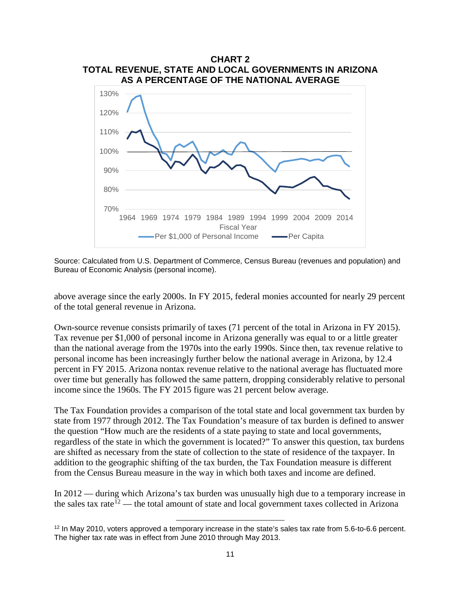

Source: Calculated from U.S. Department of Commerce, Census Bureau (revenues and population) and Bureau of Economic Analysis (personal income).

above average since the early 2000s. In FY 2015, federal monies accounted for nearly 29 percent of the total general revenue in Arizona.

Own-source revenue consists primarily of taxes (71 percent of the total in Arizona in FY 2015). Tax revenue per \$1,000 of personal income in Arizona generally was equal to or a little greater than the national average from the 1970s into the early 1990s. Since then, tax revenue relative to personal income has been increasingly further below the national average in Arizona, by 12.4 percent in FY 2015. Arizona nontax revenue relative to the national average has fluctuated more over time but generally has followed the same pattern, dropping considerably relative to personal income since the 1960s. The FY 2015 figure was 21 percent below average.

The Tax Foundation provides a comparison of the total state and local government tax burden by state from 1977 through 2012. The Tax Foundation's measure of tax burden is defined to answer the question "How much are the residents of a state paying to state and local governments, regardless of the state in which the government is located?" To answer this question, tax burdens are shifted as necessary from the state of collection to the state of residence of the taxpayer. In addition to the geographic shifting of the tax burden, the Tax Foundation measure is different from the Census Bureau measure in the way in which both taxes and income are defined.

In 2012 — during which Arizona's tax burden was unusually high due to a temporary increase in the sales tax rate<sup>[12](#page-13-0)</sup> — the total amount of state and local government taxes collected in Arizona

l

<span id="page-13-0"></span><sup>12</sup> In May 2010, voters approved a temporary increase in the state's sales tax rate from 5.6-to-6.6 percent. The higher tax rate was in effect from June 2010 through May 2013.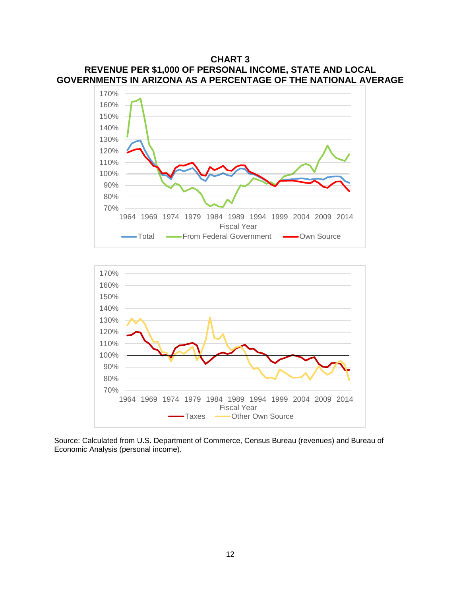### **CHART 3 REVENUE PER \$1,000 OF PERSONAL INCOME, STATE AND LOCAL GOVERNMENTS IN ARIZONA AS A PERCENTAGE OF THE NATIONAL AVERAGE**





Source: Calculated from U.S. Department of Commerce, Census Bureau (revenues) and Bureau of Economic Analysis (personal income).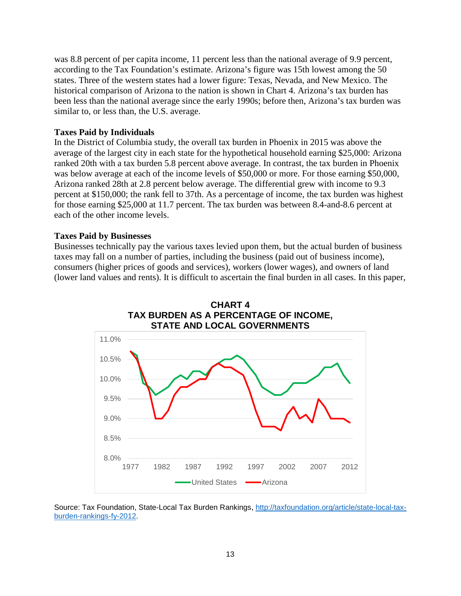was 8.8 percent of per capita income, 11 percent less than the national average of 9.9 percent, according to the Tax Foundation's estimate. Arizona's figure was 15th lowest among the 50 states. Three of the western states had a lower figure: Texas, Nevada, and New Mexico. The historical comparison of Arizona to the nation is shown in Chart 4. Arizona's tax burden has been less than the national average since the early 1990s; before then, Arizona's tax burden was similar to, or less than, the U.S. average.

### **Taxes Paid by Individuals**

In the District of Columbia study, the overall tax burden in Phoenix in 2015 was above the average of the largest city in each state for the hypothetical household earning \$25,000: Arizona ranked 20th with a tax burden 5.8 percent above average. In contrast, the tax burden in Phoenix was below average at each of the income levels of \$50,000 or more. For those earning \$50,000, Arizona ranked 28th at 2.8 percent below average. The differential grew with income to 9.3 percent at \$150,000; the rank fell to 37th. As a percentage of income, the tax burden was highest for those earning \$25,000 at 11.7 percent. The tax burden was between 8.4-and-8.6 percent at each of the other income levels.

### **Taxes Paid by Businesses**

Businesses technically pay the various taxes levied upon them, but the actual burden of business taxes may fall on a number of parties, including the business (paid out of business income), consumers (higher prices of goods and services), workers (lower wages), and owners of land (lower land values and rents). It is difficult to ascertain the final burden in all cases. In this paper,



Source: Tax Foundation, State-Local Tax Burden Rankings, [http://taxfoundation.org/article/state-local-tax](http://taxfoundation.org/article/state-local-tax-burden-rankings-fy-2012)[burden-rankings-fy-2012.](http://taxfoundation.org/article/state-local-tax-burden-rankings-fy-2012)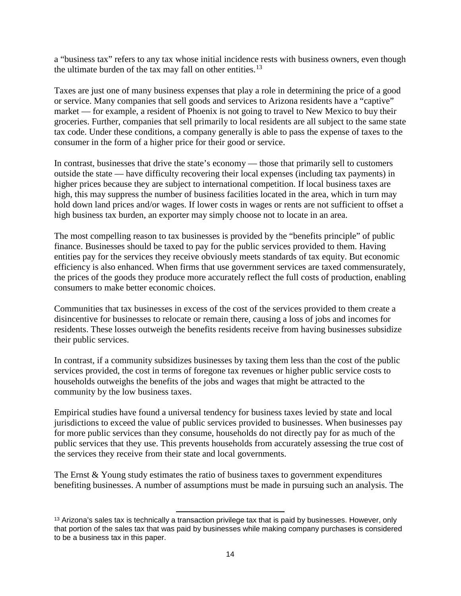a "business tax" refers to any tax whose initial incidence rests with business owners, even though the ultimate burden of the tax may fall on other entities. $^{13}$  $^{13}$  $^{13}$ 

Taxes are just one of many business expenses that play a role in determining the price of a good or service. Many companies that sell goods and services to Arizona residents have a "captive" market — for example, a resident of Phoenix is not going to travel to New Mexico to buy their groceries. Further, companies that sell primarily to local residents are all subject to the same state tax code. Under these conditions, a company generally is able to pass the expense of taxes to the consumer in the form of a higher price for their good or service.

In contrast, businesses that drive the state's economy — those that primarily sell to customers outside the state — have difficulty recovering their local expenses (including tax payments) in higher prices because they are subject to international competition. If local business taxes are high, this may suppress the number of business facilities located in the area, which in turn may hold down land prices and/or wages. If lower costs in wages or rents are not sufficient to offset a high business tax burden, an exporter may simply choose not to locate in an area.

The most compelling reason to tax businesses is provided by the "benefits principle" of public finance. Businesses should be taxed to pay for the public services provided to them. Having entities pay for the services they receive obviously meets standards of tax equity. But economic efficiency is also enhanced. When firms that use government services are taxed commensurately, the prices of the goods they produce more accurately reflect the full costs of production, enabling consumers to make better economic choices.

Communities that tax businesses in excess of the cost of the services provided to them create a disincentive for businesses to relocate or remain there, causing a loss of jobs and incomes for residents. These losses outweigh the benefits residents receive from having businesses subsidize their public services.

In contrast, if a community subsidizes businesses by taxing them less than the cost of the public services provided, the cost in terms of foregone tax revenues or higher public service costs to households outweighs the benefits of the jobs and wages that might be attracted to the community by the low business taxes.

Empirical studies have found a universal tendency for business taxes levied by state and local jurisdictions to exceed the value of public services provided to businesses. When businesses pay for more public services than they consume, households do not directly pay for as much of the public services that they use. This prevents households from accurately assessing the true cost of the services they receive from their state and local governments.

The Ernst & Young study estimates the ratio of business taxes to government expenditures benefiting businesses. A number of assumptions must be made in pursuing such an analysis. The

<span id="page-16-0"></span> $\overline{\phantom{a}}$ <sup>13</sup> Arizona's sales tax is technically a transaction privilege tax that is paid by businesses. However, only that portion of the sales tax that was paid by businesses while making company purchases is considered to be a business tax in this paper.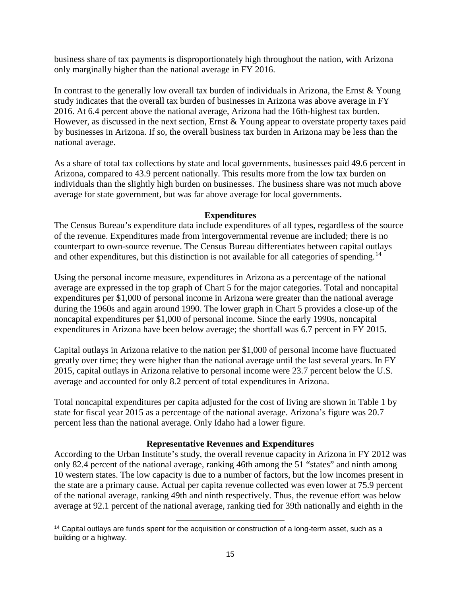business share of tax payments is disproportionately high throughout the nation, with Arizona only marginally higher than the national average in FY 2016.

In contrast to the generally low overall tax burden of individuals in Arizona, the Ernst & Young study indicates that the overall tax burden of businesses in Arizona was above average in FY 2016. At 6.4 percent above the national average, Arizona had the 16th-highest tax burden. However, as discussed in the next section, Ernst & Young appear to overstate property taxes paid by businesses in Arizona. If so, the overall business tax burden in Arizona may be less than the national average.

As a share of total tax collections by state and local governments, businesses paid 49.6 percent in Arizona, compared to 43.9 percent nationally. This results more from the low tax burden on individuals than the slightly high burden on businesses. The business share was not much above average for state government, but was far above average for local governments.

### **Expenditures**

The Census Bureau's expenditure data include expenditures of all types, regardless of the source of the revenue. Expenditures made from intergovernmental revenue are included; there is no counterpart to own-source revenue. The Census Bureau differentiates between capital outlays and other expenditures, but this distinction is not available for all categories of spending.<sup>[14](#page-17-0)</sup>

Using the personal income measure, expenditures in Arizona as a percentage of the national average are expressed in the top graph of Chart 5 for the major categories. Total and noncapital expenditures per \$1,000 of personal income in Arizona were greater than the national average during the 1960s and again around 1990. The lower graph in Chart 5 provides a close-up of the noncapital expenditures per \$1,000 of personal income. Since the early 1990s, noncapital expenditures in Arizona have been below average; the shortfall was 6.7 percent in FY 2015.

Capital outlays in Arizona relative to the nation per \$1,000 of personal income have fluctuated greatly over time; they were higher than the national average until the last several years. In FY 2015, capital outlays in Arizona relative to personal income were 23.7 percent below the U.S. average and accounted for only 8.2 percent of total expenditures in Arizona.

Total noncapital expenditures per capita adjusted for the cost of living are shown in Table 1 by state for fiscal year 2015 as a percentage of the national average. Arizona's figure was 20.7 percent less than the national average. Only Idaho had a lower figure.

### **Representative Revenues and Expenditures**

According to the Urban Institute's study, the overall revenue capacity in Arizona in FY 2012 was only 82.4 percent of the national average, ranking 46th among the 51 "states" and ninth among 10 western states. The low capacity is due to a number of factors, but the low incomes present in the state are a primary cause. Actual per capita revenue collected was even lower at 75.9 percent of the national average, ranking 49th and ninth respectively. Thus, the revenue effort was below average at 92.1 percent of the national average, ranking tied for 39th nationally and eighth in the

l

<span id="page-17-0"></span><sup>&</sup>lt;sup>14</sup> Capital outlays are funds spent for the acquisition or construction of a long-term asset, such as a building or a highway.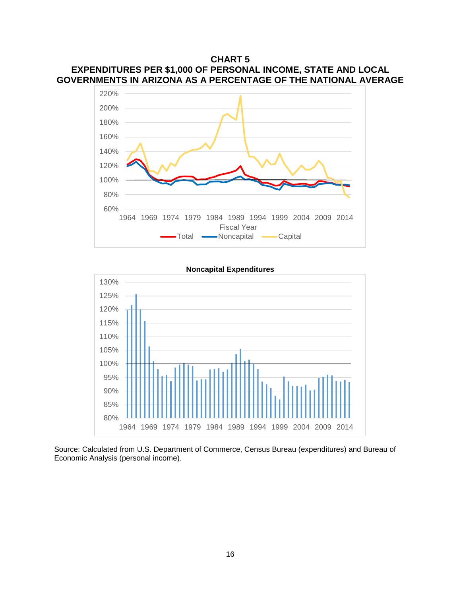### **CHART 5 EXPENDITURES PER \$1,000 OF PERSONAL INCOME, STATE AND LOCAL GOVERNMENTS IN ARIZONA AS A PERCENTAGE OF THE NATIONAL AVERAGE**



## 80% 85% 90% 95% 100% 105% 110% 115% 120% 125% 130% 1964 1969 1974 1979 1984 1989 1994 1999 2004 2009 2014

Source: Calculated from U.S. Department of Commerce, Census Bureau (expenditures) and Bureau of Economic Analysis (personal income).

**Noncapital Expenditures**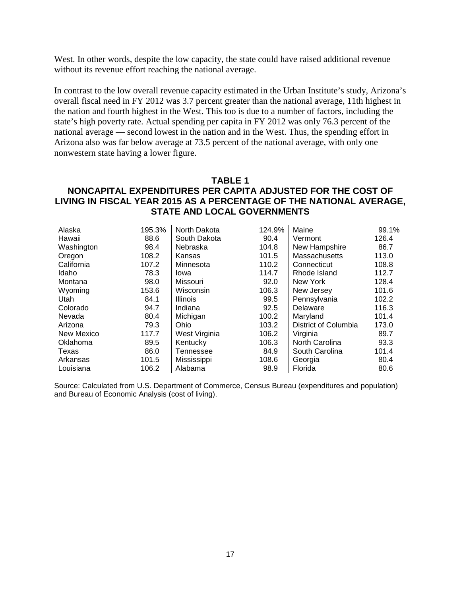West. In other words, despite the low capacity, the state could have raised additional revenue without its revenue effort reaching the national average.

In contrast to the low overall revenue capacity estimated in the Urban Institute's study, Arizona's overall fiscal need in FY 2012 was 3.7 percent greater than the national average, 11th highest in the nation and fourth highest in the West. This too is due to a number of factors, including the state's high poverty rate. Actual spending per capita in FY 2012 was only 76.3 percent of the national average — second lowest in the nation and in the West. Thus, the spending effort in Arizona also was far below average at 73.5 percent of the national average, with only one nonwestern state having a lower figure.

### **TABLE 1**

### **NONCAPITAL EXPENDITURES PER CAPITA ADJUSTED FOR THE COST OF LIVING IN FISCAL YEAR 2015 AS A PERCENTAGE OF THE NATIONAL AVERAGE, STATE AND LOCAL GOVERNMENTS**

| Alaska     | 195.3% | North Dakota    | 124.9% | Maine                | 99.1% |
|------------|--------|-----------------|--------|----------------------|-------|
| Hawaii     | 88.6   | South Dakota    | 90.4   | Vermont              | 126.4 |
| Washington | 98.4   | Nebraska        | 104.8  | New Hampshire        | 86.7  |
| Oregon     | 108.2  | Kansas          | 101.5  | <b>Massachusetts</b> | 113.0 |
| California | 107.2  | Minnesota       | 110.2  | Connecticut          | 108.8 |
| Idaho      | 78.3   | Iowa            | 114.7  | Rhode Island         | 112.7 |
| Montana    | 98.0   | Missouri        | 92.0   | New York             | 128.4 |
| Wyoming    | 153.6  | Wisconsin       | 106.3  | New Jersey           | 101.6 |
| Utah       | 84.1   | <b>Illinois</b> | 99.5   | Pennsylvania         | 102.2 |
| Colorado   | 94.7   | Indiana         | 92.5   | Delaware             | 116.3 |
| Nevada     | 80.4   | Michigan        | 100.2  | Maryland             | 101.4 |
| Arizona    | 79.3   | Ohio            | 103.2  | District of Columbia | 173.0 |
| New Mexico | 117.7  | West Virginia   | 106.2  | Virginia             | 89.7  |
| Oklahoma   | 89.5   | Kentucky        | 106.3  | North Carolina       | 93.3  |
| Texas      | 86.0   | Tennessee       | 84.9   | South Carolina       | 101.4 |
| Arkansas   | 101.5  | Mississippi     | 108.6  | Georgia              | 80.4  |
| Louisiana  | 106.2  | Alabama         | 98.9   | Florida              | 80.6  |

Source: Calculated from U.S. Department of Commerce, Census Bureau (expenditures and population) and Bureau of Economic Analysis (cost of living).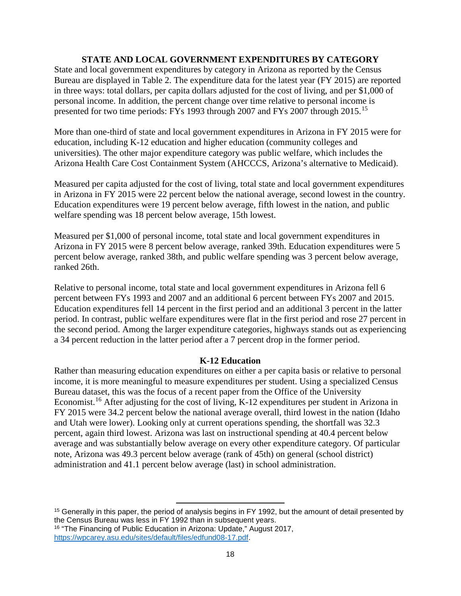### **STATE AND LOCAL GOVERNMENT EXPENDITURES BY CATEGORY**

State and local government expenditures by category in Arizona as reported by the Census Bureau are displayed in Table 2. The expenditure data for the latest year (FY 2015) are reported in three ways: total dollars, per capita dollars adjusted for the cost of living, and per \$1,000 of personal income. In addition, the percent change over time relative to personal income is presented for two time periods: FYs 1993 through 2007 and FYs 2007 through 20[15](#page-20-0).<sup>15</sup>

More than one-third of state and local government expenditures in Arizona in FY 2015 were for education, including K-12 education and higher education (community colleges and universities). The other major expenditure category was public welfare, which includes the Arizona Health Care Cost Containment System (AHCCCS, Arizona's alternative to Medicaid).

Measured per capita adjusted for the cost of living, total state and local government expenditures in Arizona in FY 2015 were 22 percent below the national average, second lowest in the country. Education expenditures were 19 percent below average, fifth lowest in the nation, and public welfare spending was 18 percent below average, 15th lowest.

Measured per \$1,000 of personal income, total state and local government expenditures in Arizona in FY 2015 were 8 percent below average, ranked 39th. Education expenditures were 5 percent below average, ranked 38th, and public welfare spending was 3 percent below average, ranked 26th.

Relative to personal income, total state and local government expenditures in Arizona fell 6 percent between FYs 1993 and 2007 and an additional 6 percent between FYs 2007 and 2015. Education expenditures fell 14 percent in the first period and an additional 3 percent in the latter period. In contrast, public welfare expenditures were flat in the first period and rose 27 percent in the second period. Among the larger expenditure categories, highways stands out as experiencing a 34 percent reduction in the latter period after a 7 percent drop in the former period.

### **K-12 Education**

Rather than measuring education expenditures on either a per capita basis or relative to personal income, it is more meaningful to measure expenditures per student. Using a specialized Census Bureau dataset, this was the focus of a recent paper from the Office of the University Economist.<sup>[16](#page-20-1)</sup> After adjusting for the cost of living, K-12 expenditures per student in Arizona in FY 2015 were 34.2 percent below the national average overall, third lowest in the nation (Idaho and Utah were lower). Looking only at current operations spending, the shortfall was 32.3 percent, again third lowest. Arizona was last on instructional spending at 40.4 percent below average and was substantially below average on every other expenditure category. Of particular note, Arizona was 49.3 percent below average (rank of 45th) on general (school district) administration and 41.1 percent below average (last) in school administration.

l

<span id="page-20-1"></span><span id="page-20-0"></span><sup>&</sup>lt;sup>15</sup> Generally in this paper, the period of analysis begins in FY 1992, but the amount of detail presented by the Census Bureau was less in FY 1992 than in subsequent years. <sup>16</sup> "The Financing of Public Education in Arizona: Update," August 2017,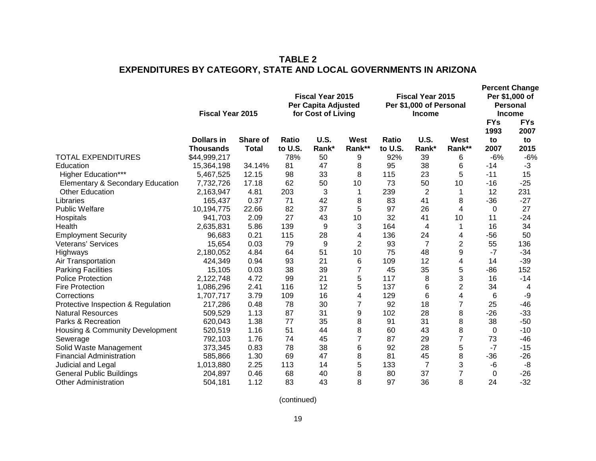|                                    | <b>Fiscal Year 2015</b> |              |         | <b>Fiscal Year 2015</b><br><b>Per Capita Adjusted</b><br>for Cost of Living |                | <b>Fiscal Year 2015</b><br>Per \$1,000 of Personal<br><b>Income</b> |                |                | <b>Percent Change</b><br>Per \$1,000 of<br>Personal<br><b>Income</b><br><b>FYs</b><br><b>FYs</b> |            |
|------------------------------------|-------------------------|--------------|---------|-----------------------------------------------------------------------------|----------------|---------------------------------------------------------------------|----------------|----------------|--------------------------------------------------------------------------------------------------|------------|
|                                    | <b>Dollars in</b>       | Share of     | Ratio   | <b>U.S.</b>                                                                 | West           | Ratio                                                               | <b>U.S.</b>    | West           | 1993<br>to                                                                                       | 2007<br>to |
|                                    | <b>Thousands</b>        | <b>Total</b> | to U.S. | Rank*                                                                       | Rank**         | to U.S.                                                             | Rank*          | Rank**         | 2007                                                                                             | 2015       |
| <b>TOTAL EXPENDITURES</b>          | \$44,999,217            |              | 78%     | 50                                                                          | 9              | 92%                                                                 | 39             | 6              | $-6%$                                                                                            | $-6%$      |
| Education                          | 15,364,198              | 34.14%       | 81      | 47                                                                          | 8              | 95                                                                  | 38             | 6              | $-14$                                                                                            | $-3$       |
| <b>Higher Education***</b>         | 5,467,525               | 12.15        | 98      | 33                                                                          | 8              | 115                                                                 | 23             | 5              | $-11$                                                                                            | 15         |
| Elementary & Secondary Education   | 7,732,726               | 17.18        | 62      | 50                                                                          | 10             | 73                                                                  | 50             | 10             | $-16$                                                                                            | $-25$      |
| <b>Other Education</b>             | 2,163,947               | 4.81         | 203     | 3                                                                           | 1              | 239                                                                 | $\overline{2}$ | 1              | 12                                                                                               | 231        |
| Libraries                          | 165,437                 | 0.37         | 71      | 42                                                                          | 8              | 83                                                                  | 41             | 8              | $-36$                                                                                            | $-27$      |
| <b>Public Welfare</b>              | 10,194,775              | 22.66        | 82      | 37                                                                          | 5              | 97                                                                  | 26             | 4              | 0                                                                                                | 27         |
| Hospitals                          | 941,703                 | 2.09         | 27      | 43                                                                          | 10             | 32                                                                  | 41             | 10             | 11                                                                                               | $-24$      |
| Health                             | 2,635,831               | 5.86         | 139     | 9                                                                           | 3              | 164                                                                 | 4              | 1              | 16                                                                                               | 34         |
| <b>Employment Security</b>         | 96,683                  | 0.21         | 115     | 28                                                                          | 4              | 136                                                                 | 24             | 4              | $-56$                                                                                            | 50         |
| Veterans' Services                 | 15,654                  | 0.03         | 79      | 9                                                                           | $\overline{2}$ | 93                                                                  | 7              | 2              | 55                                                                                               | 136        |
| Highways                           | 2,180,052               | 4.84         | 64      | 51                                                                          | 10             | 75                                                                  | 48             | 9              | $-7$                                                                                             | $-34$      |
| Air Transportation                 | 424,349                 | 0.94         | 93      | 21                                                                          | 6              | 109                                                                 | 12             | 4              | 14                                                                                               | $-39$      |
| <b>Parking Facilities</b>          | 15,105                  | 0.03         | 38      | 39                                                                          | 7              | 45                                                                  | 35             | 5              | -86                                                                                              | 152        |
| <b>Police Protection</b>           | 2,122,748               | 4.72         | 99      | 21                                                                          | 5              | 117                                                                 | 8              | 3              | 16                                                                                               | $-14$      |
| <b>Fire Protection</b>             | 1,086,296               | 2.41         | 116     | 12                                                                          | 5              | 137                                                                 | 6              | $\mathbf{2}$   | 34                                                                                               | 4          |
| Corrections                        | 1,707,717               | 3.79         | 109     | 16                                                                          | 4              | 129                                                                 | 6              | 4              | 6                                                                                                | -9         |
| Protective Inspection & Regulation | 217,286                 | 0.48         | 78      | 30                                                                          | 7              | 92                                                                  | 18             | $\overline{7}$ | 25                                                                                               | $-46$      |
| <b>Natural Resources</b>           | 509,529                 | 1.13         | 87      | 31                                                                          | 9              | 102                                                                 | 28             | 8              | $-26$                                                                                            | $-33$      |
| Parks & Recreation                 | 620,043                 | 1.38         | 77      | 35                                                                          | 8              | 91                                                                  | 31             | 8              | 38                                                                                               | $-50$      |
| Housing & Community Development    | 520,519                 | 1.16         | 51      | 44                                                                          | 8              | 60                                                                  | 43             | 8              | $\mathbf 0$                                                                                      | $-10$      |
| Sewerage                           | 792,103                 | 1.76         | 74      | 45                                                                          | 7              | 87                                                                  | 29             | $\overline{7}$ | 73                                                                                               | $-46$      |
| Solid Waste Management             | 373,345                 | 0.83         | 78      | 38                                                                          | 6              | 92                                                                  | 28             | 5              | $-7$                                                                                             | $-15$      |
| Financial Administration           | 585,866                 | 1.30         | 69      | 47                                                                          | 8              | 81                                                                  | 45             | 8              | $-36$                                                                                            | $-26$      |
| Judicial and Legal                 | 1,013,880               | 2.25         | 113     | 14                                                                          | 5              | 133                                                                 | 7              | 3              | -6                                                                                               | -8         |
| <b>General Public Buildings</b>    | 204,897                 | 0.46         | 68      | 40                                                                          | 8              | 80                                                                  | 37             | 7              | 0                                                                                                | $-26$      |
| Other Administration               | 504,181                 | 1.12         | 83      | 43                                                                          | 8              | 97                                                                  | 36             | 8              | 24                                                                                               | $-32$      |

### **TABLE 2 EXPENDITURES BY CATEGORY, STATE AND LOCAL GOVERNMENTS IN ARIZONA**

(continued)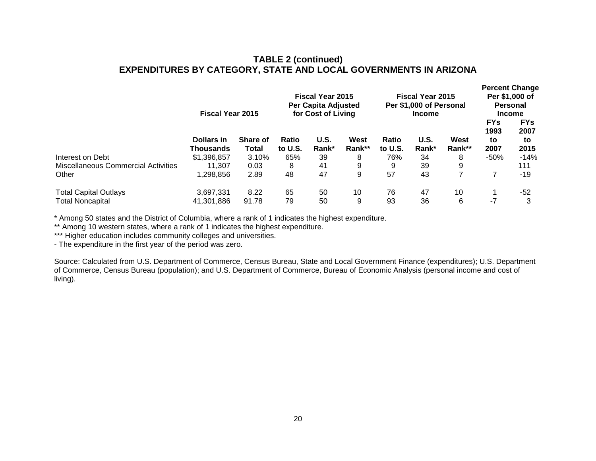### **TABLE 2 (continued) EXPENDITURES BY CATEGORY, STATE AND LOCAL GOVERNMENTS IN ARIZONA**

|                                     | <b>Fiscal Year 2015</b> | <b>Fiscal Year 2015</b><br><b>Fiscal Year 2015</b><br>Per Capita Adjusted<br>Per \$1,000 of Personal<br>for Cost of Living<br><b>Income</b> |                         |               |                |                  | <b>Percent Change</b><br>Per \$1,000 of<br><b>Personal</b><br><b>Income</b> |                |                                  |                                  |
|-------------------------------------|-------------------------|---------------------------------------------------------------------------------------------------------------------------------------------|-------------------------|---------------|----------------|------------------|-----------------------------------------------------------------------------|----------------|----------------------------------|----------------------------------|
|                                     | Dollars in<br>Thousands | <b>Share of</b><br>Total                                                                                                                    | <b>Ratio</b><br>to U.S. | U.S.<br>Rank* | West<br>Rank** | Ratio<br>to U.S. | U.S.<br>Rank*                                                               | West<br>Rank** | <b>FYs</b><br>1993<br>to<br>2007 | <b>FYs</b><br>2007<br>to<br>2015 |
| Interest on Debt                    | \$1,396,857             | 3.10%                                                                                                                                       | 65%                     | 39            | 8              | 76%              | 34                                                                          | 8              | $-50%$                           | $-14%$                           |
|                                     |                         |                                                                                                                                             |                         |               |                |                  |                                                                             |                |                                  |                                  |
| Miscellaneous Commercial Activities | 11,307                  | 0.03                                                                                                                                        | 8                       | 41            | 9              | 9                | 39                                                                          | 9              |                                  | 111                              |
| Other                               | 1,298,856               | 2.89                                                                                                                                        | 48                      | 47            | 9              | 57               | 43                                                                          |                |                                  | -19                              |
| <b>Total Capital Outlays</b>        | 3.697.331               | 8.22                                                                                                                                        | 65                      | 50            | 10             | 76               | 47                                                                          | 10             |                                  | -52                              |
| Total Noncapital                    | 41,301,886              | 91.78                                                                                                                                       | 79                      | 50            | 9              | 93               | 36                                                                          | 6              | $-7$                             | 3                                |
|                                     |                         |                                                                                                                                             |                         |               |                |                  |                                                                             |                |                                  |                                  |

\* Among 50 states and the District of Columbia, where a rank of 1 indicates the highest expenditure.

\*\* Among 10 western states, where a rank of 1 indicates the highest expenditure.

\*\*\* Higher education includes community colleges and universities.

- The expenditure in the first year of the period was zero.

Source: Calculated from U.S. Department of Commerce, Census Bureau, State and Local Government Finance (expenditures); U.S. Department of Commerce, Census Bureau (population); and U.S. Department of Commerce, Bureau of Economic Analysis (personal income and cost of living).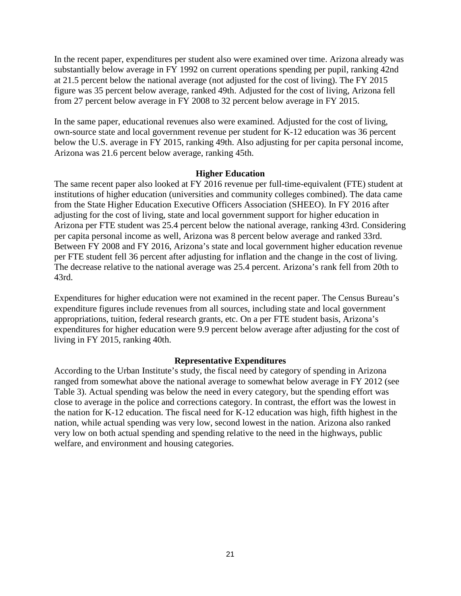In the recent paper, expenditures per student also were examined over time. Arizona already was substantially below average in FY 1992 on current operations spending per pupil, ranking 42nd at 21.5 percent below the national average (not adjusted for the cost of living). The FY 2015 figure was 35 percent below average, ranked 49th. Adjusted for the cost of living, Arizona fell from 27 percent below average in FY 2008 to 32 percent below average in FY 2015.

In the same paper, educational revenues also were examined. Adjusted for the cost of living, own-source state and local government revenue per student for K-12 education was 36 percent below the U.S. average in FY 2015, ranking 49th. Also adjusting for per capita personal income, Arizona was 21.6 percent below average, ranking 45th.

### **Higher Education**

The same recent paper also looked at FY 2016 revenue per full-time-equivalent (FTE) student at institutions of higher education (universities and community colleges combined). The data came from the State Higher Education Executive Officers Association (SHEEO). In FY 2016 after adjusting for the cost of living, state and local government support for higher education in Arizona per FTE student was 25.4 percent below the national average, ranking 43rd. Considering per capita personal income as well, Arizona was 8 percent below average and ranked 33rd. Between FY 2008 and FY 2016, Arizona's state and local government higher education revenue per FTE student fell 36 percent after adjusting for inflation and the change in the cost of living. The decrease relative to the national average was 25.4 percent. Arizona's rank fell from 20th to 43rd.

Expenditures for higher education were not examined in the recent paper. The Census Bureau's expenditure figures include revenues from all sources, including state and local government appropriations, tuition, federal research grants, etc. On a per FTE student basis, Arizona's expenditures for higher education were 9.9 percent below average after adjusting for the cost of living in FY 2015, ranking 40th.

### **Representative Expenditures**

According to the Urban Institute's study, the fiscal need by category of spending in Arizona ranged from somewhat above the national average to somewhat below average in FY 2012 (see Table 3). Actual spending was below the need in every category, but the spending effort was close to average in the police and corrections category. In contrast, the effort was the lowest in the nation for K-12 education. The fiscal need for K-12 education was high, fifth highest in the nation, while actual spending was very low, second lowest in the nation. Arizona also ranked very low on both actual spending and spending relative to the need in the highways, public welfare, and environment and housing categories.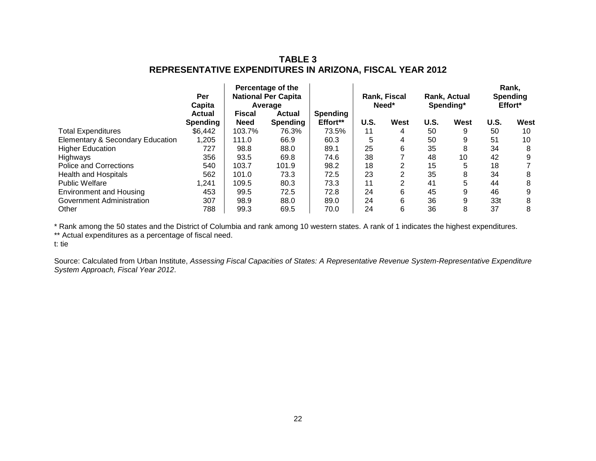### **TABLE 3 REPRESENTATIVE EXPENDITURES IN ARIZONA, FISCAL YEAR 2012**

|                                             | Percentage of the<br><b>National Per Capita</b><br>Per<br>Capita<br>Average |                              |                           |                             | Rank, Fiscal<br>Need* |                | Rank, Actual<br>Spending* |      | Rank,<br>Spending<br>Effort* |      |
|---------------------------------------------|-----------------------------------------------------------------------------|------------------------------|---------------------------|-----------------------------|-----------------------|----------------|---------------------------|------|------------------------------|------|
|                                             | Actual<br><b>Spending</b>                                                   | <b>Fiscal</b><br><b>Need</b> | Actual<br><b>Spending</b> | <b>Spending</b><br>Effort** | U.S.                  | West           | U.S.                      | West | U.S.                         | West |
| <b>Total Expenditures</b>                   | \$6,442                                                                     | 103.7%                       | 76.3%                     | 73.5%                       | 11                    | 4              | 50                        | 9    | 50                           | 10   |
| <b>Elementary &amp; Secondary Education</b> | 1,205                                                                       | 111.0                        | 66.9                      | 60.3                        | 5                     | 4              | 50                        | 9    | 51                           | 10   |
| <b>Higher Education</b>                     | 727                                                                         | 98.8                         | 88.0                      | 89.1                        | 25                    | 6              | 35                        | 8    | 34                           | 8    |
| Highways                                    | 356                                                                         | 93.5                         | 69.8                      | 74.6                        | 38                    |                | 48                        | 10   | 42                           | 9    |
| <b>Police and Corrections</b>               | 540                                                                         | 103.7                        | 101.9                     | 98.2                        | 18                    | 2              | 15                        | 5    | 18                           |      |
| <b>Health and Hospitals</b>                 | 562                                                                         | 101.0                        | 73.3                      | 72.5                        | 23                    | $\overline{2}$ | 35                        | 8    | 34                           | 8    |
| <b>Public Welfare</b>                       | 1.241                                                                       | 109.5                        | 80.3                      | 73.3                        | 11                    | $\overline{2}$ | 41                        | 5    | 44                           | 8    |
| <b>Environment and Housing</b>              | 453                                                                         | 99.5                         | 72.5                      | 72.8                        | 24                    | 6              | 45                        | 9    | 46                           | 9    |
| <b>Government Administration</b>            | 307                                                                         | 98.9                         | 88.0                      | 89.0                        | 24                    | 6              | 36                        | 9    | 33t                          | 8    |
| Other                                       | 788                                                                         | 99.3                         | 69.5                      | 70.0                        | 24                    | 6              | 36                        | 8    | 37                           | 8    |

\* Rank among the 50 states and the District of Columbia and rank among 10 western states. A rank of 1 indicates the highest expenditures.

\*\* Actual expenditures as a percentage of fiscal need.

t: tie

Source: Calculated from Urban Institute, *Assessing Fiscal Capacities of States: A Representative Revenue System-Representative Expenditure System Approach, Fiscal Year 2012*.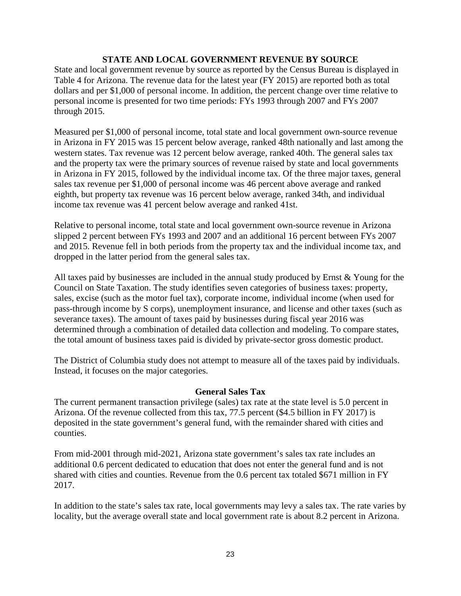### **STATE AND LOCAL GOVERNMENT REVENUE BY SOURCE**

State and local government revenue by source as reported by the Census Bureau is displayed in Table 4 for Arizona. The revenue data for the latest year (FY 2015) are reported both as total dollars and per \$1,000 of personal income. In addition, the percent change over time relative to personal income is presented for two time periods: FYs 1993 through 2007 and FYs 2007 through 2015.

Measured per \$1,000 of personal income, total state and local government own-source revenue in Arizona in FY 2015 was 15 percent below average, ranked 48th nationally and last among the western states. Tax revenue was 12 percent below average, ranked 40th. The general sales tax and the property tax were the primary sources of revenue raised by state and local governments in Arizona in FY 2015, followed by the individual income tax. Of the three major taxes, general sales tax revenue per \$1,000 of personal income was 46 percent above average and ranked eighth, but property tax revenue was 16 percent below average, ranked 34th, and individual income tax revenue was 41 percent below average and ranked 41st.

Relative to personal income, total state and local government own-source revenue in Arizona slipped 2 percent between FYs 1993 and 2007 and an additional 16 percent between FYs 2007 and 2015. Revenue fell in both periods from the property tax and the individual income tax, and dropped in the latter period from the general sales tax.

All taxes paid by businesses are included in the annual study produced by Ernst & Young for the Council on State Taxation. The study identifies seven categories of business taxes: property, sales, excise (such as the motor fuel tax), corporate income, individual income (when used for pass-through income by S corps), unemployment insurance, and license and other taxes (such as severance taxes). The amount of taxes paid by businesses during fiscal year 2016 was determined through a combination of detailed data collection and modeling. To compare states, the total amount of business taxes paid is divided by private-sector gross domestic product.

The District of Columbia study does not attempt to measure all of the taxes paid by individuals. Instead, it focuses on the major categories.

### **General Sales Tax**

The current permanent transaction privilege (sales) tax rate at the state level is 5.0 percent in Arizona. Of the revenue collected from this tax, 77.5 percent (\$4.5 billion in FY 2017) is deposited in the state government's general fund, with the remainder shared with cities and counties.

From mid-2001 through mid-2021, Arizona state government's sales tax rate includes an additional 0.6 percent dedicated to education that does not enter the general fund and is not shared with cities and counties. Revenue from the 0.6 percent tax totaled \$671 million in FY 2017.

In addition to the state's sales tax rate, local governments may levy a sales tax. The rate varies by locality, but the average overall state and local government rate is about 8.2 percent in Arizona.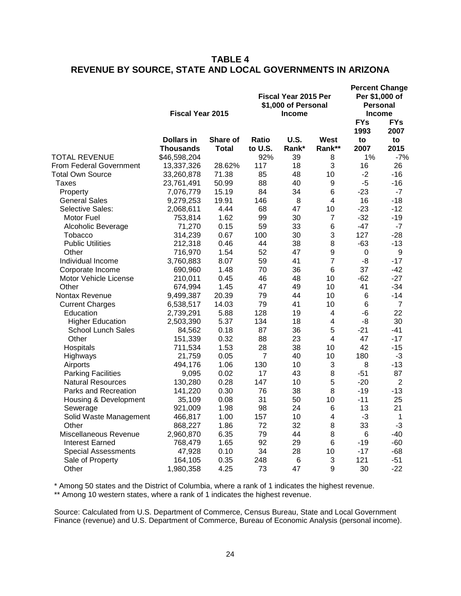### **TABLE 4 REVENUE BY SOURCE, STATE AND LOCAL GOVERNMENTS IN ARIZONA**

|                            | <b>Fiscal Year 2015</b>        |                          | <b>Fiscal Year 2015 Per</b><br>\$1,000 of Personal<br><b>Income</b> | <b>Percent Change</b><br>Per \$1,000 of<br><b>Personal</b><br><b>Income</b> |                       |                    |                    |
|----------------------------|--------------------------------|--------------------------|---------------------------------------------------------------------|-----------------------------------------------------------------------------|-----------------------|--------------------|--------------------|
|                            |                                |                          |                                                                     |                                                                             |                       | <b>FYs</b><br>1993 | <b>FYs</b><br>2007 |
|                            | <b>Dollars in</b><br>Thousands | Share of<br><b>Total</b> | Ratio<br>to U.S.                                                    | <b>U.S.</b><br>Rank*                                                        | <b>West</b><br>Rank** | to<br>2007         | to<br>2015         |
| <b>TOTAL REVENUE</b>       | \$46,598,204                   |                          | 92%                                                                 | 39                                                                          | 8                     | 1%                 | $-7%$              |
| From Federal Government    | 13,337,326                     | 28.62%                   | 117                                                                 | 18                                                                          | 3                     | 16                 | 26                 |
| Total Own Source           | 33,260,878                     | 71.38                    | 85                                                                  | 48                                                                          | 10                    | $-2$               | $-16$              |
| Taxes                      | 23,761,491                     | 50.99                    | 88                                                                  | 40                                                                          | 9                     | $-5$               | $-16$              |
| Property                   | 7,076,779                      | 15.19                    | 84                                                                  | 34                                                                          | 6                     | $-23$              | $-7$               |
| <b>General Sales</b>       | 9,279,253                      | 19.91                    | 146                                                                 | 8                                                                           | 4                     | 16                 | $-18$              |
| Selective Sales:           | 2,068,611                      | 4.44                     | 68                                                                  | 47                                                                          | 10                    | $-23$              | $-12$              |
| Motor Fuel                 | 753,814                        | 1.62                     | 99                                                                  | 30                                                                          | $\overline{7}$        | $-32$              | $-19$              |
| Alcoholic Beverage         | 71,270                         | 0.15                     | 59                                                                  | 33                                                                          | 6                     | $-47$              | $-7$               |
| Tobacco                    | 314,239                        | 0.67                     | 100                                                                 | 30                                                                          | 3                     | 127                | $-28$              |
| <b>Public Utilities</b>    | 212,318                        | 0.46                     | 44                                                                  | 38                                                                          | 8                     | $-63$              | $-13$              |
| Other                      | 716,970                        | 1.54                     | 52                                                                  | 47                                                                          | 9                     | 0                  | 9                  |
| Individual Income          | 3,760,883                      | 8.07                     | 59                                                                  | 41                                                                          | $\overline{7}$        | -8                 | $-17$              |
| Corporate Income           | 690,960                        | 1.48                     | 70                                                                  | 36                                                                          | 6                     | 37                 | $-42$              |
| Motor Vehicle License      | 210,011                        | 0.45                     | 46                                                                  | 48                                                                          | 10                    | $-62$              | $-27$              |
| Other                      | 674,994                        | 1.45                     | 47                                                                  | 49                                                                          | 10                    | 41                 | $-34$              |
| <b>Nontax Revenue</b>      | 9,499,387                      | 20.39                    | 79                                                                  | 44                                                                          | 10                    | 6                  | -14                |
| <b>Current Charges</b>     | 6,538,517                      | 14.03                    | 79                                                                  | 41                                                                          | 10                    | 6                  | 7                  |
| Education                  | 2,739,291                      | 5.88                     | 128                                                                 | 19                                                                          | 4                     | $-6$               | 22                 |
| <b>Higher Education</b>    | 2,503,390                      | 5.37                     | 134                                                                 | 18                                                                          | 4                     | -8                 | 30                 |
| <b>School Lunch Sales</b>  | 84,562                         | 0.18                     | 87                                                                  | 36                                                                          | 5                     | $-21$              | $-41$              |
| Other                      | 151,339                        | 0.32                     | 88                                                                  | 23                                                                          | 4                     | 47                 | $-17$              |
| Hospitals                  | 711,534                        | 1.53                     | 28                                                                  | 38                                                                          | 10                    | 42                 | $-15$              |
| Highways                   | 21,759                         | 0.05                     | 7                                                                   | 40                                                                          | 10                    | 180                | $-3$               |
| Airports                   | 494,176                        | 1.06                     | 130                                                                 | 10                                                                          | 3                     | 8                  | $-13$              |
| <b>Parking Facilities</b>  | 9,095                          | 0.02                     | 17                                                                  | 43                                                                          | 8                     | $-51$              | 87                 |
| <b>Natural Resources</b>   | 130,280                        | 0.28                     | 147                                                                 | 10                                                                          | 5                     | $-20$              | $\overline{2}$     |
| Parks and Recreation       | 141,220                        | 0.30                     | 76                                                                  | 38                                                                          | 8                     | $-19$              | $-13$              |
| Housing & Development      | 35,109                         | 0.08                     | 31                                                                  | 50                                                                          | 10                    | $-11$              | 25                 |
| Sewerage                   | 921,009                        | 1.98                     | 98                                                                  | 24                                                                          | 6                     | 13                 | 21                 |
| Solid Waste Management     | 466,817                        | 1.00                     | 157                                                                 | 10                                                                          | 4                     | $-3$               | 1                  |
| Other                      | 868,227                        | 1.86                     | 72                                                                  | 32                                                                          | 8                     | 33                 | $-3$               |
| Miscellaneous Revenue      | 2,960,870                      | 6.35                     | 79                                                                  | 44                                                                          | 8                     | $\,6$              | $-40$              |
| <b>Interest Earned</b>     | 768,479                        | 1.65                     | 92                                                                  | 29                                                                          | 6                     | $-19$              | $-60$              |
| <b>Special Assessments</b> | 47,928                         | 0.10                     | 34                                                                  | 28                                                                          | 10                    | $-17$              | $-68$              |
| Sale of Property           | 164,105                        | 0.35                     | 248                                                                 | $\,6$                                                                       | 3                     | 121                | $-51$              |
| Other                      | 1,980,358                      | 4.25                     | 73                                                                  | 47                                                                          | 9                     | 30                 | $-22$              |
|                            |                                |                          |                                                                     |                                                                             |                       |                    |                    |

\* Among 50 states and the District of Columbia, where a rank of 1 indicates the highest revenue.

\*\* Among 10 western states, where a rank of 1 indicates the highest revenue.

Source: Calculated from U.S. Department of Commerce, Census Bureau, State and Local Government Finance (revenue) and U.S. Department of Commerce, Bureau of Economic Analysis (personal income).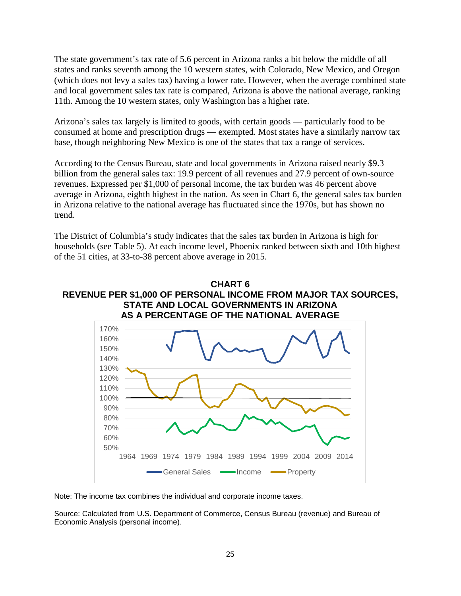The state government's tax rate of 5.6 percent in Arizona ranks a bit below the middle of all states and ranks seventh among the 10 western states, with Colorado, New Mexico, and Oregon (which does not levy a sales tax) having a lower rate. However, when the average combined state and local government sales tax rate is compared, Arizona is above the national average, ranking 11th. Among the 10 western states, only Washington has a higher rate.

Arizona's sales tax largely is limited to goods, with certain goods — particularly food to be consumed at home and prescription drugs — exempted. Most states have a similarly narrow tax base, though neighboring New Mexico is one of the states that tax a range of services.

According to the Census Bureau, state and local governments in Arizona raised nearly \$9.3 billion from the general sales tax: 19.9 percent of all revenues and 27.9 percent of own-source revenues. Expressed per \$1,000 of personal income, the tax burden was 46 percent above average in Arizona, eighth highest in the nation. As seen in Chart 6, the general sales tax burden in Arizona relative to the national average has fluctuated since the 1970s, but has shown no trend.

The District of Columbia's study indicates that the sales tax burden in Arizona is high for households (see Table 5). At each income level, Phoenix ranked between sixth and 10th highest of the 51 cities, at 33-to-38 percent above average in 2015.

### **CHART 6 REVENUE PER \$1,000 OF PERSONAL INCOME FROM MAJOR TAX SOURCES, STATE AND LOCAL GOVERNMENTS IN ARIZONA AS A PERCENTAGE OF THE NATIONAL AVERAGE**



Note: The income tax combines the individual and corporate income taxes.

Source: Calculated from U.S. Department of Commerce, Census Bureau (revenue) and Bureau of Economic Analysis (personal income).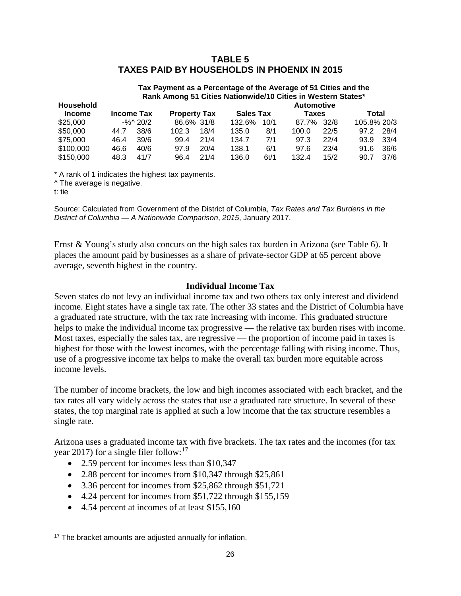### **TABLE 5 TAXES PAID BY HOUSEHOLDS IN PHOENIX IN 2015**

### **Tax Payment as a Percentage of the Average of 51 Cities and the Rank Among 51 Cities Nationwide/10 Cities in Western States\***

| <b>Household</b> |                                                              |             |            |       | <b>Automotive</b> |       |       |      |             |      |  |  |
|------------------|--------------------------------------------------------------|-------------|------------|-------|-------------------|-------|-------|------|-------------|------|--|--|
| <b>Income</b>    | <b>Sales Tax</b><br><b>Property Tax</b><br><b>Income Tax</b> |             |            | Taxes |                   | Total |       |      |             |      |  |  |
| \$25,000         |                                                              | $-$ %^ 20/2 | 86.6% 31/8 |       | 132.6%            | 10/1  | 87.7% | 32/8 | 105.8% 20/3 |      |  |  |
| \$50,000         | 44.7                                                         | 38/6        | 102.3      | 18/4  | 135.0             | 8/1   | 100.0 | 22/5 | 972         | 28/4 |  |  |
| \$75,000         | 46.4                                                         | 39/6        | 99.4       | 21/4  | 134.7             | 7/1   | 97.3  | 22/4 | 93.9        | 33/4 |  |  |
| \$100,000        | 46.6                                                         | 40/6        | 97.9       | 20/4  | 138.1             | 6/1   | 97.6  | 23/4 | 91.6        | 36/6 |  |  |
| \$150,000        | 48.3                                                         | 41/7        | 96.4       | 21/4  | 136.0             | 6t/1  | 132.4 | 15/2 | 90.7        | 37/6 |  |  |

\* A rank of 1 indicates the highest tax payments. ^ The average is negative.

t: tie

Source: Calculated from Government of the District of Columbia, *Tax Rates and Tax Burdens in the District of Columbia — A Nationwide Comparison*, *2015*, January 2017.

Ernst & Young's study also concurs on the high sales tax burden in Arizona (see Table 6). It places the amount paid by businesses as a share of private-sector GDP at 65 percent above average, seventh highest in the country.

### **Individual Income Tax**

Seven states do not levy an individual income tax and two others tax only interest and dividend income. Eight states have a single tax rate. The other 33 states and the District of Columbia have a graduated rate structure, with the tax rate increasing with income. This graduated structure helps to make the individual income tax progressive — the relative tax burden rises with income. Most taxes, especially the sales tax, are regressive — the proportion of income paid in taxes is highest for those with the lowest incomes, with the percentage falling with rising income. Thus, use of a progressive income tax helps to make the overall tax burden more equitable across income levels.

The number of income brackets, the low and high incomes associated with each bracket, and the tax rates all vary widely across the states that use a graduated rate structure. In several of these states, the top marginal rate is applied at such a low income that the tax structure resembles a single rate.

Arizona uses a graduated income tax with five brackets. The tax rates and the incomes (for tax year 20[17](#page-28-0)) for a single filer follow: $17$ 

- 2.59 percent for incomes less than \$10,347
- 2.88 percent for incomes from \$10,347 through \$25,861
- 3.36 percent for incomes from \$25,862 through \$51,721
- 4.24 percent for incomes from \$51,722 through \$155,159

l

• 4.54 percent at incomes of at least \$155,160

<span id="page-28-0"></span><sup>&</sup>lt;sup>17</sup> The bracket amounts are adjusted annually for inflation.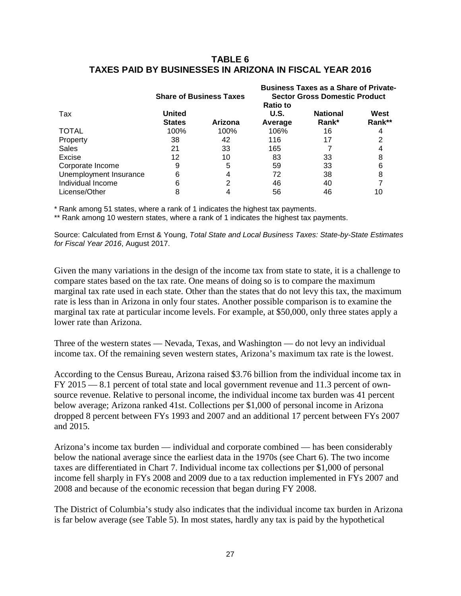### **TABLE 6 TAXES PAID BY BUSINESSES IN ARIZONA IN FISCAL YEAR 2016**

|                        |                                | <b>Share of Business Taxes</b> | <b>Business Taxes as a Share of Private-</b><br><b>Sector Gross Domestic Product</b> |                          |                |  |  |
|------------------------|--------------------------------|--------------------------------|--------------------------------------------------------------------------------------|--------------------------|----------------|--|--|
| Tax                    | <b>United</b><br><b>States</b> | Arizona                        | <b>Ratio to</b><br>U.S.<br>Average                                                   | <b>National</b><br>Rank* | West<br>Rank** |  |  |
| <b>TOTAL</b>           | 100%                           | 100%                           | 106%                                                                                 | 16                       |                |  |  |
| Property               | 38                             | 42                             | 116                                                                                  | 17                       |                |  |  |
| <b>Sales</b>           | 21                             | 33                             | 165                                                                                  |                          |                |  |  |
| Excise                 | 12                             | 10                             | 83                                                                                   | 33                       |                |  |  |
| Corporate Income       | 9                              | 5                              | 59                                                                                   | 33                       |                |  |  |
| Unemployment Insurance | 6                              |                                | 72                                                                                   | 38                       |                |  |  |
| Individual Income      | 6                              |                                | 46                                                                                   | 40                       |                |  |  |
| License/Other          | 8                              |                                | 56                                                                                   | 46                       | 10             |  |  |

\* Rank among 51 states, where a rank of 1 indicates the highest tax payments.

\*\* Rank among 10 western states, where a rank of 1 indicates the highest tax payments.

Source: Calculated from Ernst & Young, *Total State and Local Business Taxes: State-by-State Estimates for Fiscal Year 2016*, August 2017.

Given the many variations in the design of the income tax from state to state, it is a challenge to compare states based on the tax rate. One means of doing so is to compare the maximum marginal tax rate used in each state. Other than the states that do not levy this tax, the maximum rate is less than in Arizona in only four states. Another possible comparison is to examine the marginal tax rate at particular income levels. For example, at \$50,000, only three states apply a lower rate than Arizona.

Three of the western states — Nevada, Texas, and Washington — do not levy an individual income tax. Of the remaining seven western states, Arizona's maximum tax rate is the lowest.

According to the Census Bureau, Arizona raised \$3.76 billion from the individual income tax in FY 2015 — 8.1 percent of total state and local government revenue and 11.3 percent of ownsource revenue. Relative to personal income, the individual income tax burden was 41 percent below average; Arizona ranked 41st. Collections per \$1,000 of personal income in Arizona dropped 8 percent between FYs 1993 and 2007 and an additional 17 percent between FYs 2007 and 2015.

Arizona's income tax burden — individual and corporate combined — has been considerably below the national average since the earliest data in the 1970s (see Chart 6). The two income taxes are differentiated in Chart 7. Individual income tax collections per \$1,000 of personal income fell sharply in FYs 2008 and 2009 due to a tax reduction implemented in FYs 2007 and 2008 and because of the economic recession that began during FY 2008.

The District of Columbia's study also indicates that the individual income tax burden in Arizona is far below average (see Table 5). In most states, hardly any tax is paid by the hypothetical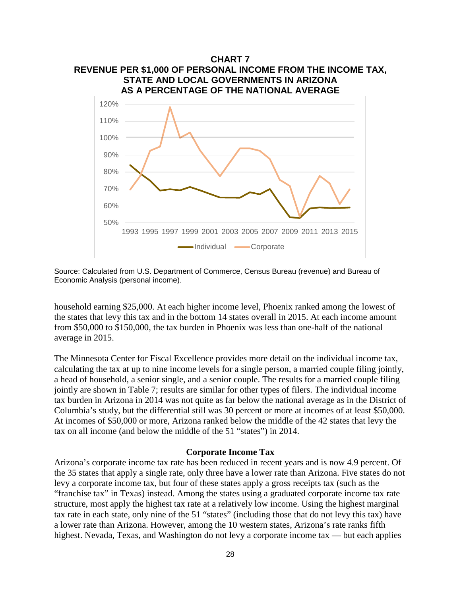

Source: Calculated from U.S. Department of Commerce, Census Bureau (revenue) and Bureau of Economic Analysis (personal income).

household earning \$25,000. At each higher income level, Phoenix ranked among the lowest of the states that levy this tax and in the bottom 14 states overall in 2015. At each income amount from \$50,000 to \$150,000, the tax burden in Phoenix was less than one-half of the national average in 2015.

The Minnesota Center for Fiscal Excellence provides more detail on the individual income tax, calculating the tax at up to nine income levels for a single person, a married couple filing jointly, a head of household, a senior single, and a senior couple. The results for a married couple filing jointly are shown in Table 7; results are similar for other types of filers. The individual income tax burden in Arizona in 2014 was not quite as far below the national average as in the District of Columbia's study, but the differential still was 30 percent or more at incomes of at least \$50,000. At incomes of \$50,000 or more, Arizona ranked below the middle of the 42 states that levy the tax on all income (and below the middle of the 51 "states") in 2014.

#### **Corporate Income Tax**

Arizona's corporate income tax rate has been reduced in recent years and is now 4.9 percent. Of the 35 states that apply a single rate, only three have a lower rate than Arizona. Five states do not levy a corporate income tax, but four of these states apply a gross receipts tax (such as the "franchise tax" in Texas) instead. Among the states using a graduated corporate income tax rate structure, most apply the highest tax rate at a relatively low income. Using the highest marginal tax rate in each state, only nine of the 51 "states" (including those that do not levy this tax) have a lower rate than Arizona. However, among the 10 western states, Arizona's rate ranks fifth highest. Nevada, Texas, and Washington do not levy a corporate income tax — but each applies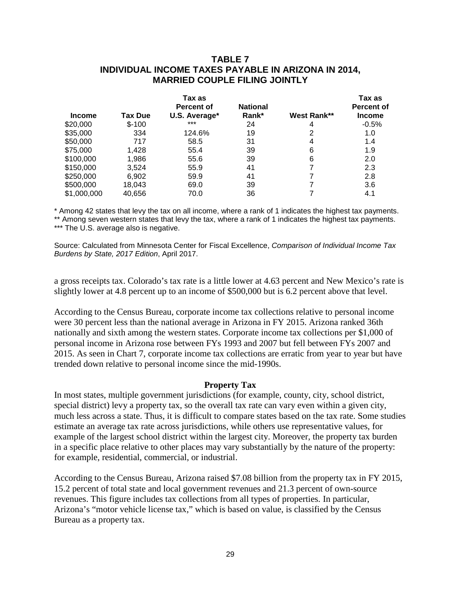### **TABLE 7 INDIVIDUAL INCOME TAXES PAYABLE IN ARIZONA IN 2014, MARRIED COUPLE FILING JOINTLY**

|               |                | Tax as<br><b>Percent of</b> | <b>National</b> |             | Tax as<br><b>Percent of</b> |
|---------------|----------------|-----------------------------|-----------------|-------------|-----------------------------|
| <b>Income</b> | <b>Tax Due</b> | U.S. Average*               | Rank*           | West Rank** | <b>Income</b>               |
| \$20,000      | $$-100$        | $***$                       | 24              | 4           | $-0.5%$                     |
| \$35,000      | 334            | 124.6%                      | 19              | 2           | 1.0                         |
| \$50,000      | 717            | 58.5                        | 31              | 4           | 1.4                         |
| \$75,000      | 1,428          | 55.4                        | 39              | 6           | 1.9                         |
| \$100,000     | 1,986          | 55.6                        | 39              | 6           | 2.0                         |
| \$150,000     | 3,524          | 55.9                        | 41              | 7           | 2.3                         |
| \$250,000     | 6,902          | 59.9                        | 41              | 7           | 2.8                         |
| \$500,000     | 18,043         | 69.0                        | 39              | 7           | 3.6                         |
| \$1,000,000   | 40,656         | 70.0                        | 36              |             | 4.1                         |

\* Among 42 states that levy the tax on all income, where a rank of 1 indicates the highest tax payments.

\*\* Among seven western states that levy the tax, where a rank of 1 indicates the highest tax payments. \*\*\* The U.S. average also is negative.

Source: Calculated from Minnesota Center for Fiscal Excellence, *Comparison of Individual Income Tax Burdens by State, 2017 Edition*, April 2017.

a gross receipts tax. Colorado's tax rate is a little lower at 4.63 percent and New Mexico's rate is slightly lower at 4.8 percent up to an income of \$500,000 but is 6.2 percent above that level.

According to the Census Bureau, corporate income tax collections relative to personal income were 30 percent less than the national average in Arizona in FY 2015. Arizona ranked 36th nationally and sixth among the western states. Corporate income tax collections per \$1,000 of personal income in Arizona rose between FYs 1993 and 2007 but fell between FYs 2007 and 2015. As seen in Chart 7, corporate income tax collections are erratic from year to year but have trended down relative to personal income since the mid-1990s.

### **Property Tax**

In most states, multiple government jurisdictions (for example, county, city, school district, special district) levy a property tax, so the overall tax rate can vary even within a given city, much less across a state. Thus, it is difficult to compare states based on the tax rate. Some studies estimate an average tax rate across jurisdictions, while others use representative values, for example of the largest school district within the largest city. Moreover, the property tax burden in a specific place relative to other places may vary substantially by the nature of the property: for example, residential, commercial, or industrial.

According to the Census Bureau, Arizona raised \$7.08 billion from the property tax in FY 2015, 15.2 percent of total state and local government revenues and 21.3 percent of own-source revenues. This figure includes tax collections from all types of properties. In particular, Arizona's "motor vehicle license tax," which is based on value, is classified by the Census Bureau as a property tax.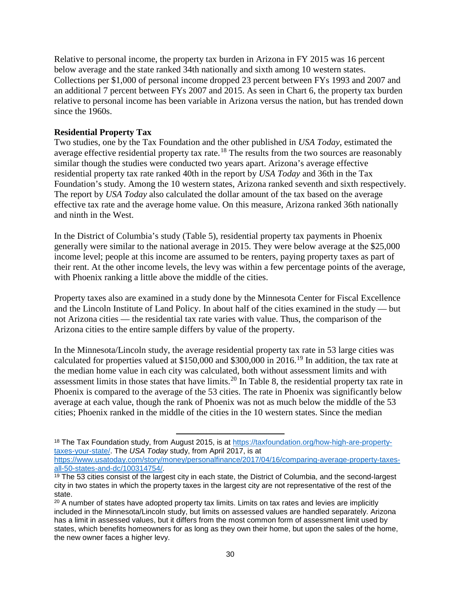Relative to personal income, the property tax burden in Arizona in FY 2015 was 16 percent below average and the state ranked 34th nationally and sixth among 10 western states. Collections per \$1,000 of personal income dropped 23 percent between FYs 1993 and 2007 and an additional 7 percent between FYs 2007 and 2015. As seen in Chart 6, the property tax burden relative to personal income has been variable in Arizona versus the nation, but has trended down since the 1960s.

### **Residential Property Tax**

Two studies, one by the Tax Foundation and the other published in *USA Today*, estimated the average effective residential property tax rate.<sup>[18](#page-32-0)</sup> The results from the two sources are reasonably similar though the studies were conducted two years apart. Arizona's average effective residential property tax rate ranked 40th in the report by *USA Today* and 36th in the Tax Foundation's study. Among the 10 western states, Arizona ranked seventh and sixth respectively. The report by *USA Today* also calculated the dollar amount of the tax based on the average effective tax rate and the average home value. On this measure, Arizona ranked 36th nationally and ninth in the West.

In the District of Columbia's study (Table 5), residential property tax payments in Phoenix generally were similar to the national average in 2015. They were below average at the \$25,000 income level; people at this income are assumed to be renters, paying property taxes as part of their rent. At the other income levels, the levy was within a few percentage points of the average, with Phoenix ranking a little above the middle of the cities.

Property taxes also are examined in a study done by the Minnesota Center for Fiscal Excellence and the Lincoln Institute of Land Policy. In about half of the cities examined in the study — but not Arizona cities — the residential tax rate varies with value. Thus, the comparison of the Arizona cities to the entire sample differs by value of the property.

In the Minnesota/Lincoln study, the average residential property tax rate in 53 large cities was calculated for properties valued at \$150,000 and \$300,000 in 2016. [19](#page-32-1) In addition, the tax rate at the median home value in each city was calculated, both without assessment limits and with assessment limits in those states that have limits.<sup>[20](#page-32-2)</sup> In Table 8, the residential property tax rate in Phoenix is compared to the average of the 53 cities. The rate in Phoenix was significantly below average at each value, though the rank of Phoenix was not as much below the middle of the 53 cities; Phoenix ranked in the middle of the cities in the 10 western states. Since the median

 $\overline{\phantom{a}}$ 

<span id="page-32-0"></span><sup>18</sup> The Tax Foundation study, from August 2015, is at [https://taxfoundation.org/how-high-are-property](https://taxfoundation.org/how-high-are-property-taxes-your-state/)[taxes-your-state/.](https://taxfoundation.org/how-high-are-property-taxes-your-state/) The *USA Today* study, from April 2017, is at

[https://www.usatoday.com/story/money/personalfinance/2017/04/16/comparing-average-property-taxes](https://www.usatoday.com/story/money/personalfinance/2017/04/16/comparing-average-property-taxes-all-50-states-and-dc/100314754/)[all-50-states-and-dc/100314754/.](https://www.usatoday.com/story/money/personalfinance/2017/04/16/comparing-average-property-taxes-all-50-states-and-dc/100314754/)

<span id="page-32-1"></span><sup>&</sup>lt;sup>19</sup> The 53 cities consist of the largest city in each state, the District of Columbia, and the second-largest city in two states in which the property taxes in the largest city are not representative of the rest of the state.

<span id="page-32-2"></span> $20$  A number of states have adopted property tax limits. Limits on tax rates and levies are implicitly included in the Minnesota/Lincoln study, but limits on assessed values are handled separately. Arizona has a limit in assessed values, but it differs from the most common form of assessment limit used by states, which benefits homeowners for as long as they own their home, but upon the sales of the home, the new owner faces a higher levy.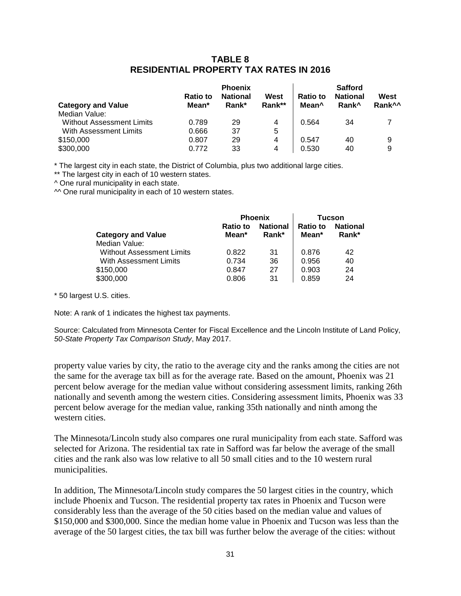### **TABLE 8 RESIDENTIAL PROPERTY TAX RATES IN 2016**

|                                  | <b>Ratio to</b> | <b>Phoenix</b><br><b>National</b> | West   | <b>Ratio to</b>   | <b>Safford</b><br><b>National</b> | West               |
|----------------------------------|-----------------|-----------------------------------|--------|-------------------|-----------------------------------|--------------------|
| <b>Category and Value</b>        | Mean*           | Rank*                             | Rank** | Mean <sup>^</sup> | Rank <sup>^</sup>                 | Rank <sup>^^</sup> |
| Median Value:                    |                 |                                   |        |                   |                                   |                    |
| <b>Without Assessment Limits</b> | 0.789           | 29                                | 4      | 0.564             | 34                                |                    |
| With Assessment Limits           | 0.666           | 37                                | 5      |                   |                                   |                    |
| \$150,000                        | 0.807           | 29                                | 4      | 0.547             | 40                                | 9                  |
| \$300,000                        | 0.772           | 33                                | 4      | 0.530             | 40                                | 9                  |

\* The largest city in each state, the District of Columbia, plus two additional large cities.

\*\* The largest city in each of 10 western states.

^ One rural municipality in each state.

 $\sim$  One rural municipality in each of 10 western states.

|                                  | <b>Phoenix</b>           |                          | Tucson            |                          |
|----------------------------------|--------------------------|--------------------------|-------------------|--------------------------|
| <b>Category and Value</b>        | <b>Ratio to</b><br>Mean* | <b>National</b><br>Rank* | Ratio to<br>Mean* | <b>National</b><br>Rank* |
| Median Value:                    |                          |                          |                   |                          |
| <b>Without Assessment Limits</b> | 0.822                    | 31                       | 0.876             | 42                       |
| With Assessment Limits           | 0.734                    | 36                       | 0.956             | 40                       |
| \$150,000                        | 0.847                    | 27                       | 0.903             | 24                       |
| \$300,000                        | 0.806                    | 31                       | 0.859             | 24                       |

\* 50 largest U.S. cities.

Note: A rank of 1 indicates the highest tax payments.

Source: Calculated from Minnesota Center for Fiscal Excellence and the Lincoln Institute of Land Policy, *50-State Property Tax Comparison Study*, May 2017.

property value varies by city, the ratio to the average city and the ranks among the cities are not the same for the average tax bill as for the average rate. Based on the amount, Phoenix was 21 percent below average for the median value without considering assessment limits, ranking 26th nationally and seventh among the western cities. Considering assessment limits, Phoenix was 33 percent below average for the median value, ranking 35th nationally and ninth among the western cities.

The Minnesota/Lincoln study also compares one rural municipality from each state. Safford was selected for Arizona. The residential tax rate in Safford was far below the average of the small cities and the rank also was low relative to all 50 small cities and to the 10 western rural municipalities.

In addition, The Minnesota/Lincoln study compares the 50 largest cities in the country, which include Phoenix and Tucson. The residential property tax rates in Phoenix and Tucson were considerably less than the average of the 50 cities based on the median value and values of \$150,000 and \$300,000. Since the median home value in Phoenix and Tucson was less than the average of the 50 largest cities, the tax bill was further below the average of the cities: without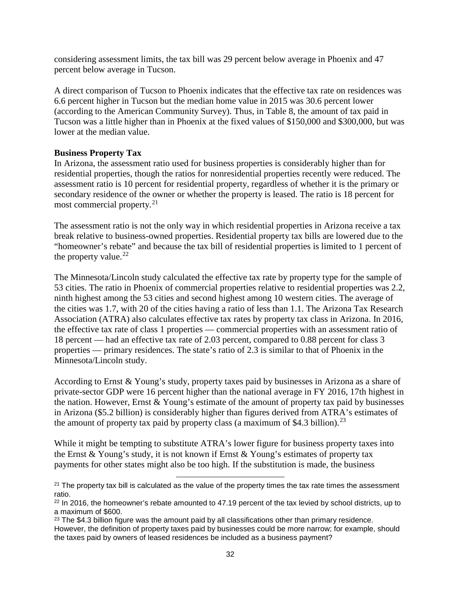considering assessment limits, the tax bill was 29 percent below average in Phoenix and 47 percent below average in Tucson.

A direct comparison of Tucson to Phoenix indicates that the effective tax rate on residences was 6.6 percent higher in Tucson but the median home value in 2015 was 30.6 percent lower (according to the American Community Survey). Thus, in Table 8, the amount of tax paid in Tucson was a little higher than in Phoenix at the fixed values of \$150,000 and \$300,000, but was lower at the median value.

### **Business Property Tax**

In Arizona, the assessment ratio used for business properties is considerably higher than for residential properties, though the ratios for nonresidential properties recently were reduced. The assessment ratio is 10 percent for residential property, regardless of whether it is the primary or secondary residence of the owner or whether the property is leased. The ratio is 18 percent for most commercial property.<sup>[21](#page-34-0)</sup>

The assessment ratio is not the only way in which residential properties in Arizona receive a tax break relative to business-owned properties. Residential property tax bills are lowered due to the "homeowner's rebate" and because the tax bill of residential properties is limited to 1 percent of the property value. $^{22}$  $^{22}$  $^{22}$ 

The Minnesota/Lincoln study calculated the effective tax rate by property type for the sample of 53 cities. The ratio in Phoenix of commercial properties relative to residential properties was 2.2, ninth highest among the 53 cities and second highest among 10 western cities. The average of the cities was 1.7, with 20 of the cities having a ratio of less than 1.1. The Arizona Tax Research Association (ATRA) also calculates effective tax rates by property tax class in Arizona. In 2016, the effective tax rate of class 1 properties — commercial properties with an assessment ratio of 18 percent — had an effective tax rate of 2.03 percent, compared to 0.88 percent for class 3 properties — primary residences. The state's ratio of 2.3 is similar to that of Phoenix in the Minnesota/Lincoln study.

According to Ernst & Young's study, property taxes paid by businesses in Arizona as a share of private-sector GDP were 16 percent higher than the national average in FY 2016, 17th highest in the nation. However, Ernst & Young's estimate of the amount of property tax paid by businesses in Arizona (\$5.2 billion) is considerably higher than figures derived from ATRA's estimates of the amount of property tax paid by property class (a maximum of \$4.3 billion).<sup>[23](#page-34-2)</sup>

While it might be tempting to substitute ATRA's lower figure for business property taxes into the Ernst & Young's study, it is not known if Ernst & Young's estimates of property tax payments for other states might also be too high. If the substitution is made, the business

l

<span id="page-34-0"></span> $21$  The property tax bill is calculated as the value of the property times the tax rate times the assessment ratio.

<span id="page-34-1"></span> $22$  In 2016, the homeowner's rebate amounted to 47.19 percent of the tax levied by school districts, up to a maximum of \$600.

<span id="page-34-2"></span> $23$  The \$4.3 billion figure was the amount paid by all classifications other than primary residence. However, the definition of property taxes paid by businesses could be more narrow; for example, should the taxes paid by owners of leased residences be included as a business payment?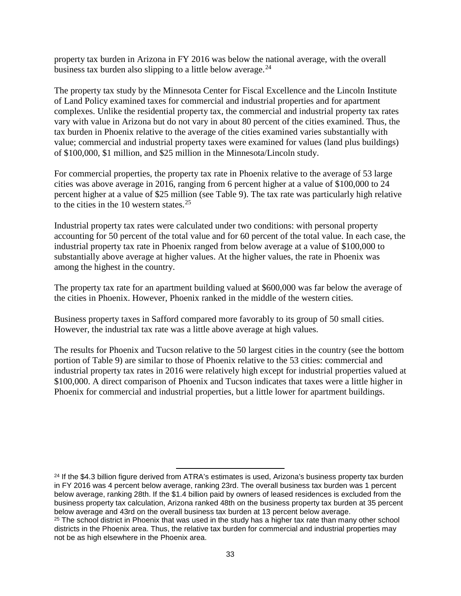property tax burden in Arizona in FY 2016 was below the national average, with the overall business tax burden also slipping to a little below average.  $24$ 

The property tax study by the Minnesota Center for Fiscal Excellence and the Lincoln Institute of Land Policy examined taxes for commercial and industrial properties and for apartment complexes. Unlike the residential property tax, the commercial and industrial property tax rates vary with value in Arizona but do not vary in about 80 percent of the cities examined. Thus, the tax burden in Phoenix relative to the average of the cities examined varies substantially with value; commercial and industrial property taxes were examined for values (land plus buildings) of \$100,000, \$1 million, and \$25 million in the Minnesota/Lincoln study.

For commercial properties, the property tax rate in Phoenix relative to the average of 53 large cities was above average in 2016, ranging from 6 percent higher at a value of \$100,000 to 24 percent higher at a value of \$25 million (see Table 9). The tax rate was particularly high relative to the cities in the 10 western states.  $25$ 

Industrial property tax rates were calculated under two conditions: with personal property accounting for 50 percent of the total value and for 60 percent of the total value. In each case, the industrial property tax rate in Phoenix ranged from below average at a value of \$100,000 to substantially above average at higher values. At the higher values, the rate in Phoenix was among the highest in the country.

The property tax rate for an apartment building valued at \$600,000 was far below the average of the cities in Phoenix. However, Phoenix ranked in the middle of the western cities.

Business property taxes in Safford compared more favorably to its group of 50 small cities. However, the industrial tax rate was a little above average at high values.

The results for Phoenix and Tucson relative to the 50 largest cities in the country (see the bottom portion of Table 9) are similar to those of Phoenix relative to the 53 cities: commercial and industrial property tax rates in 2016 were relatively high except for industrial properties valued at \$100,000. A direct comparison of Phoenix and Tucson indicates that taxes were a little higher in Phoenix for commercial and industrial properties, but a little lower for apartment buildings.

 $\overline{\phantom{a}}$ 

<span id="page-35-0"></span><sup>&</sup>lt;sup>24</sup> If the \$4.3 billion figure derived from ATRA's estimates is used, Arizona's business property tax burden in FY 2016 was 4 percent below average, ranking 23rd. The overall business tax burden was 1 percent below average, ranking 28th. If the \$1.4 billion paid by owners of leased residences is excluded from the business property tax calculation, Arizona ranked 48th on the business property tax burden at 35 percent below average and 43rd on the overall business tax burden at 13 percent below average.

<span id="page-35-1"></span> $25$  The school district in Phoenix that was used in the study has a higher tax rate than many other school districts in the Phoenix area. Thus, the relative tax burden for commercial and industrial properties may not be as high elsewhere in the Phoenix area.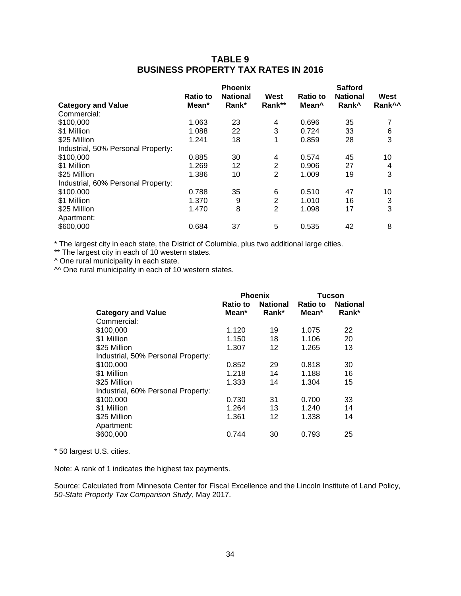### **TABLE 9 BUSINESS PROPERTY TAX RATES IN 2016**

|                                    | <b>Ratio to</b> | <b>Phoenix</b><br><b>National</b> | West           | Ratio to | <b>Safford</b><br><b>National</b> | West               |
|------------------------------------|-----------------|-----------------------------------|----------------|----------|-----------------------------------|--------------------|
| <b>Category and Value</b>          | Mean*           | Rank*                             | Rank**         | Mean^    | Rank <sup>^</sup>                 | Rank <sup>^^</sup> |
| Commercial:                        |                 |                                   |                |          |                                   |                    |
| \$100,000                          | 1.063           | 23                                | 4              | 0.696    | 35                                |                    |
| \$1 Million                        | 1.088           | 22                                | 3              | 0.724    | 33                                | 6                  |
| \$25 Million                       | 1.241           | 18                                | 1              | 0.859    | 28                                | 3                  |
| Industrial, 50% Personal Property: |                 |                                   |                |          |                                   |                    |
| \$100,000                          | 0.885           | 30                                | 4              | 0.574    | 45                                | 10                 |
| \$1 Million                        | 1.269           | 12                                | $\overline{2}$ | 0.906    | 27                                | 4                  |
| \$25 Million                       | 1.386           | 10                                | 2              | 1.009    | 19                                | 3                  |
| Industrial, 60% Personal Property: |                 |                                   |                |          |                                   |                    |
| \$100,000                          | 0.788           | 35                                | 6              | 0.510    | 47                                | 10                 |
| \$1 Million                        | 1.370           | 9                                 | 2              | 1.010    | 16                                | 3                  |
| \$25 Million                       | 1.470           | 8                                 | 2              | 1.098    | 17                                | 3                  |
| Apartment:                         |                 |                                   |                |          |                                   |                    |
| \$600,000                          | 0.684           | 37                                | 5              | 0.535    | 42                                | 8                  |

\* The largest city in each state, the District of Columbia, plus two additional large cities.

\*\* The largest city in each of 10 western states.

^ One rural municipality in each state.

 $^{\circ}$  One rural municipality in each of 10 western states.

|                                    | <b>Ratio to</b> | <b>Phoenix</b><br><b>National</b> | Tucson<br><b>National</b><br><b>Ratio to</b> |       |  |
|------------------------------------|-----------------|-----------------------------------|----------------------------------------------|-------|--|
| <b>Category and Value</b>          | Mean*           | Rank*                             | Mean*                                        | Rank* |  |
| Commercial:                        |                 |                                   |                                              |       |  |
| \$100,000                          | 1.120           | 19                                | 1.075                                        | 22    |  |
| \$1 Million                        | 1.150           | 18                                | 1.106                                        | 20    |  |
| \$25 Million                       | 1.307           | 12                                | 1.265                                        | 13    |  |
| Industrial, 50% Personal Property: |                 |                                   |                                              |       |  |
| \$100,000                          | 0.852           | 29                                | 0.818                                        | 30    |  |
| \$1 Million                        | 1.218           | 14                                | 1.188                                        | 16    |  |
| \$25 Million                       | 1.333           | 14                                | 1.304                                        | 15    |  |
| Industrial, 60% Personal Property: |                 |                                   |                                              |       |  |
| \$100,000                          | 0.730           | 31                                | 0.700                                        | 33    |  |
| \$1 Million                        | 1.264           | 13                                | 1.240                                        | 14    |  |
| \$25 Million                       | 1.361           | $12 \overline{ }$                 | 1.338                                        | 14    |  |
| Apartment:                         |                 |                                   |                                              |       |  |
| \$600,000                          | 0.744           | 30                                | 0.793                                        | 25    |  |

\* 50 largest U.S. cities.

Note: A rank of 1 indicates the highest tax payments.

Source: Calculated from Minnesota Center for Fiscal Excellence and the Lincoln Institute of Land Policy, *50-State Property Tax Comparison Study*, May 2017.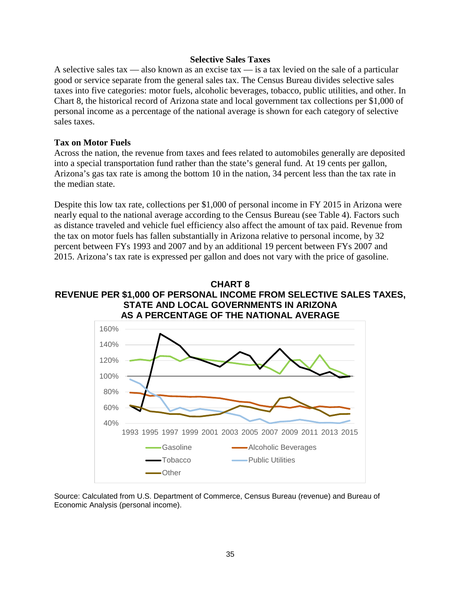#### **Selective Sales Taxes**

A selective sales tax — also known as an excise tax — is a tax levied on the sale of a particular good or service separate from the general sales tax. The Census Bureau divides selective sales taxes into five categories: motor fuels, alcoholic beverages, tobacco, public utilities, and other. In Chart 8, the historical record of Arizona state and local government tax collections per \$1,000 of personal income as a percentage of the national average is shown for each category of selective sales taxes.

#### **Tax on Motor Fuels**

Across the nation, the revenue from taxes and fees related to automobiles generally are deposited into a special transportation fund rather than the state's general fund. At 19 cents per gallon, Arizona's gas tax rate is among the bottom 10 in the nation, 34 percent less than the tax rate in the median state.

Despite this low tax rate, collections per \$1,000 of personal income in FY 2015 in Arizona were nearly equal to the national average according to the Census Bureau (see Table 4). Factors such as distance traveled and vehicle fuel efficiency also affect the amount of tax paid. Revenue from the tax on motor fuels has fallen substantially in Arizona relative to personal income, by 32 percent between FYs 1993 and 2007 and by an additional 19 percent between FYs 2007 and 2015. Arizona's tax rate is expressed per gallon and does not vary with the price of gasoline.

#### **CHART 8 REVENUE PER \$1,000 OF PERSONAL INCOME FROM SELECTIVE SALES TAXES, STATE AND LOCAL GOVERNMENTS IN ARIZONA AS A PERCENTAGE OF THE NATIONAL AVERAGE**



Source: Calculated from U.S. Department of Commerce, Census Bureau (revenue) and Bureau of Economic Analysis (personal income).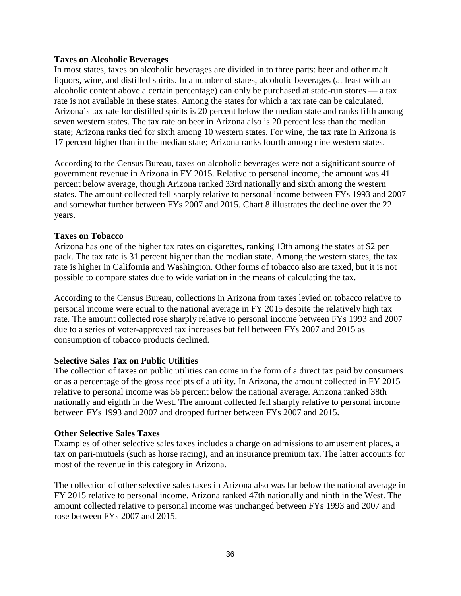#### **Taxes on Alcoholic Beverages**

In most states, taxes on alcoholic beverages are divided in to three parts: beer and other malt liquors, wine, and distilled spirits. In a number of states, alcoholic beverages (at least with an alcoholic content above a certain percentage) can only be purchased at state-run stores — a tax rate is not available in these states. Among the states for which a tax rate can be calculated, Arizona's tax rate for distilled spirits is 20 percent below the median state and ranks fifth among seven western states. The tax rate on beer in Arizona also is 20 percent less than the median state; Arizona ranks tied for sixth among 10 western states. For wine, the tax rate in Arizona is 17 percent higher than in the median state; Arizona ranks fourth among nine western states.

According to the Census Bureau, taxes on alcoholic beverages were not a significant source of government revenue in Arizona in FY 2015. Relative to personal income, the amount was 41 percent below average, though Arizona ranked 33rd nationally and sixth among the western states. The amount collected fell sharply relative to personal income between FYs 1993 and 2007 and somewhat further between FYs 2007 and 2015. Chart 8 illustrates the decline over the 22 years.

### **Taxes on Tobacco**

Arizona has one of the higher tax rates on cigarettes, ranking 13th among the states at \$2 per pack. The tax rate is 31 percent higher than the median state. Among the western states, the tax rate is higher in California and Washington. Other forms of tobacco also are taxed, but it is not possible to compare states due to wide variation in the means of calculating the tax.

According to the Census Bureau, collections in Arizona from taxes levied on tobacco relative to personal income were equal to the national average in FY 2015 despite the relatively high tax rate. The amount collected rose sharply relative to personal income between FYs 1993 and 2007 due to a series of voter-approved tax increases but fell between FYs 2007 and 2015 as consumption of tobacco products declined.

### **Selective Sales Tax on Public Utilities**

The collection of taxes on public utilities can come in the form of a direct tax paid by consumers or as a percentage of the gross receipts of a utility. In Arizona, the amount collected in FY 2015 relative to personal income was 56 percent below the national average. Arizona ranked 38th nationally and eighth in the West. The amount collected fell sharply relative to personal income between FYs 1993 and 2007 and dropped further between FYs 2007 and 2015.

#### **Other Selective Sales Taxes**

Examples of other selective sales taxes includes a charge on admissions to amusement places, a tax on pari-mutuels (such as horse racing), and an insurance premium tax. The latter accounts for most of the revenue in this category in Arizona.

The collection of other selective sales taxes in Arizona also was far below the national average in FY 2015 relative to personal income. Arizona ranked 47th nationally and ninth in the West. The amount collected relative to personal income was unchanged between FYs 1993 and 2007 and rose between FYs 2007 and 2015.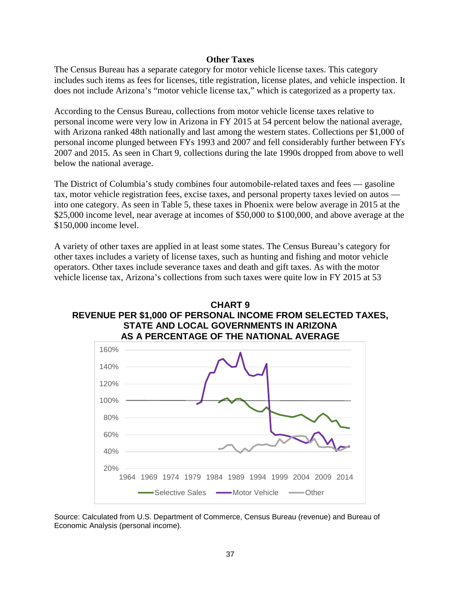#### **Other Taxes**

The Census Bureau has a separate category for motor vehicle license taxes. This category includes such items as fees for licenses, title registration, license plates, and vehicle inspection. It does not include Arizona's "motor vehicle license tax," which is categorized as a property tax.

According to the Census Bureau, collections from motor vehicle license taxes relative to personal income were very low in Arizona in FY 2015 at 54 percent below the national average, with Arizona ranked 48th nationally and last among the western states. Collections per \$1,000 of personal income plunged between FYs 1993 and 2007 and fell considerably further between FYs 2007 and 2015. As seen in Chart 9, collections during the late 1990s dropped from above to well below the national average.

The District of Columbia's study combines four automobile-related taxes and fees — gasoline tax, motor vehicle registration fees, excise taxes, and personal property taxes levied on autos into one category. As seen in Table 5, these taxes in Phoenix were below average in 2015 at the \$25,000 income level, near average at incomes of \$50,000 to \$100,000, and above average at the \$150,000 income level.

A variety of other taxes are applied in at least some states. The Census Bureau's category for other taxes includes a variety of license taxes, such as hunting and fishing and motor vehicle operators. Other taxes include severance taxes and death and gift taxes. As with the motor vehicle license tax, Arizona's collections from such taxes were quite low in FY 2015 at 53





Source: Calculated from U.S. Department of Commerce, Census Bureau (revenue) and Bureau of Economic Analysis (personal income).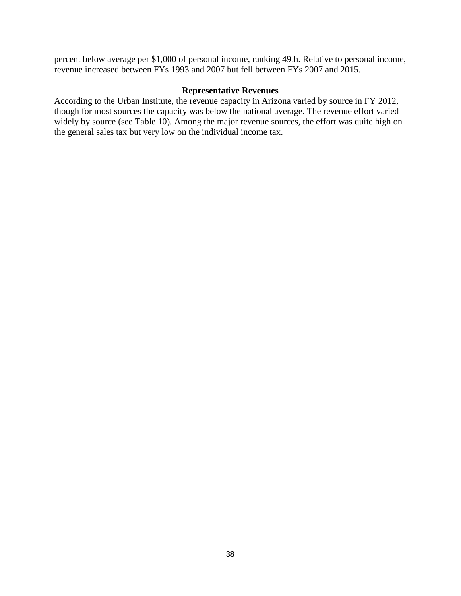percent below average per \$1,000 of personal income, ranking 49th. Relative to personal income, revenue increased between FYs 1993 and 2007 but fell between FYs 2007 and 2015.

### **Representative Revenues**

According to the Urban Institute, the revenue capacity in Arizona varied by source in FY 2012, though for most sources the capacity was below the national average. The revenue effort varied widely by source (see Table 10). Among the major revenue sources, the effort was quite high on the general sales tax but very low on the individual income tax.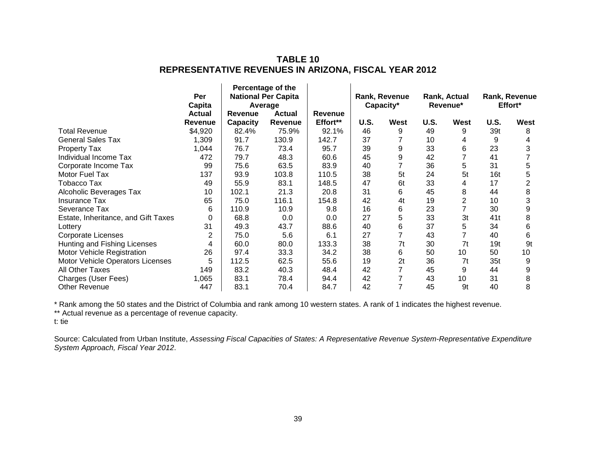### **TABLE 10 REPRESENTATIVE REVENUES IN ARIZONA, FISCAL YEAR 2012**

|                                     | Per<br>Capita             | Percentage of the<br><b>National Per Capita</b><br>Average |                         |                     | Rank, Revenue<br>Capacity* |      | Rank, Actual<br>Revenue* |                | Rank, Revenue<br>Effort* |      |
|-------------------------------------|---------------------------|------------------------------------------------------------|-------------------------|---------------------|----------------------------|------|--------------------------|----------------|--------------------------|------|
|                                     | <b>Actual</b>             | Revenue                                                    | <b>Actual</b>           | Revenue<br>Effort** | U.S.                       | West | U.S.                     | West           | U.S.                     | West |
| <b>Total Revenue</b>                | <b>Revenue</b><br>\$4,920 | Capacity<br>82.4%                                          | <b>Revenue</b><br>75.9% | 92.1%               | 46                         | 9    | 49                       | 9              | 39t                      | 8    |
|                                     |                           |                                                            |                         |                     |                            |      |                          |                |                          |      |
| <b>General Sales Tax</b>            | 1,309                     | 91.7                                                       | 130.9                   | 142.7               | 37                         |      | 10                       | 4              | 9                        | 4    |
| Property Tax                        | 1,044                     | 76.7                                                       | 73.4                    | 95.7                | 39                         | 9    | 33                       | 6              | 23                       | 3    |
| Individual Income Tax               | 472                       | 79.7                                                       | 48.3                    | 60.6                | 45                         | 9    | 42                       |                | 41                       |      |
| Corporate Income Tax                | 99                        | 75.6                                                       | 63.5                    | 83.9                | 40                         |      | 36                       | 5              | 31                       | 5    |
| Motor Fuel Tax                      | 137                       | 93.9                                                       | 103.8                   | 110.5               | 38                         | 5t   | 24                       | 5t             | 16t                      | 5    |
| <b>Tobacco Tax</b>                  | 49                        | 55.9                                                       | 83.1                    | 148.5               | 47                         | 6t   | 33                       | 4              | 17                       | 2    |
| Alcoholic Beverages Tax             | 10                        | 102.1                                                      | 21.3                    | 20.8                | 31                         | 6    | 45                       | 8              | 44                       | 8    |
| Insurance Tax                       | 65                        | 75.0                                                       | 116.1                   | 154.8               | 42                         | 4t   | 19                       | $\overline{2}$ | 10                       | 3    |
| Severance Tax                       | 6                         | 110.9                                                      | 10.9                    | 9.8                 | 16                         | 6    | 23                       | $\overline{7}$ | 30                       | 9    |
| Estate, Inheritance, and Gift Taxes | 0                         | 68.8                                                       | 0.0                     | 0.0                 | 27                         | 5    | 33                       | 3t             | 41 t                     | 8    |
| Lottery                             | 31                        | 49.3                                                       | 43.7                    | 88.6                | 40                         | 6    | 37                       | 5              | 34                       | 6    |
| <b>Corporate Licenses</b>           | $\overline{2}$            | 75.0                                                       | 5.6                     | 6.1                 | 27                         |      | 43                       |                | 40                       | 6    |
| Hunting and Fishing Licenses        | 4                         | 60.0                                                       | 80.0                    | 133.3               | 38                         | 7t   | 30                       | 7 <sub>t</sub> | 19t                      | 9t   |
| Motor Vehicle Registration          | 26                        | 97.4                                                       | 33.3                    | 34.2                | 38                         | 6    | 50                       | 10             | 50                       | 10   |
| Motor Vehicle Operators Licenses    | 5                         | 112.5                                                      | 62.5                    | 55.6                | 19                         | 2t   | 36                       | 7t             | 35t                      | 9    |
| All Other Taxes                     | 149                       | 83.2                                                       | 40.3                    | 48.4                | 42                         |      | 45                       | 9              | 44                       | 9    |
| Charges (User Fees)                 | 1,065                     | 83.1                                                       | 78.4                    | 94.4                | 42                         |      | 43                       | 10             | 31                       | 8    |
| Other Revenue                       | 447                       | 83.1                                                       | 70.4                    | 84.7                | 42                         |      | 45                       | 9t             | 40                       | 8    |

\* Rank among the 50 states and the District of Columbia and rank among 10 western states. A rank of 1 indicates the highest revenue.

\*\* Actual revenue as a percentage of revenue capacity.

t: tie

Source: Calculated from Urban Institute, *Assessing Fiscal Capacities of States: A Representative Revenue System-Representative Expenditure System Approach, Fiscal Year 2012*.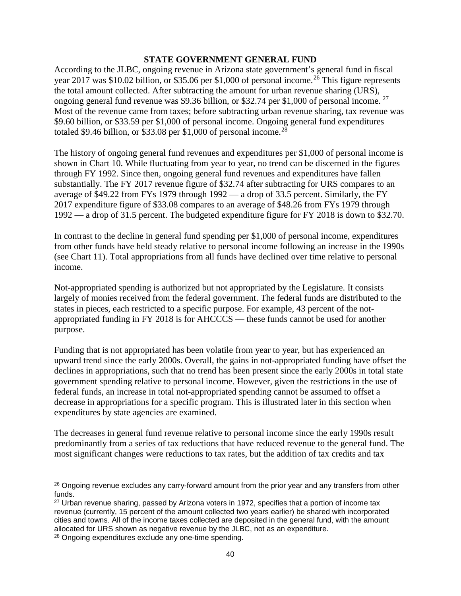### **STATE GOVERNMENT GENERAL FUND**

According to the JLBC, ongoing revenue in Arizona state government's general fund in fiscal year 2017 was \$10.02 billion, or \$35.06 per \$1,000 of personal income.<sup>[26](#page-42-0)</sup> This figure represents the total amount collected. After subtracting the amount for urban revenue sharing (URS), ongoing general fund revenue was \$9.36 billion, or \$32.74 per \$1,000 of personal income.<sup>[27](#page-42-1)</sup> Most of the revenue came from taxes; before subtracting urban revenue sharing, tax revenue was \$9.60 billion, or \$33.59 per \$1,000 of personal income. Ongoing general fund expenditures totaled \$9.46 billion, or \$33.08 per \$1,000 of personal income.<sup>[28](#page-42-2)</sup>

The history of ongoing general fund revenues and expenditures per \$1,000 of personal income is shown in Chart 10. While fluctuating from year to year, no trend can be discerned in the figures through FY 1992. Since then, ongoing general fund revenues and expenditures have fallen substantially. The FY 2017 revenue figure of \$32.74 after subtracting for URS compares to an average of \$49.22 from FYs 1979 through 1992 — a drop of 33.5 percent. Similarly, the FY 2017 expenditure figure of \$33.08 compares to an average of \$48.26 from FYs 1979 through 1992 — a drop of 31.5 percent. The budgeted expenditure figure for FY 2018 is down to \$32.70.

In contrast to the decline in general fund spending per \$1,000 of personal income, expenditures from other funds have held steady relative to personal income following an increase in the 1990s (see Chart 11). Total appropriations from all funds have declined over time relative to personal income.

Not-appropriated spending is authorized but not appropriated by the Legislature. It consists largely of monies received from the federal government. The federal funds are distributed to the states in pieces, each restricted to a specific purpose. For example, 43 percent of the notappropriated funding in FY 2018 is for AHCCCS — these funds cannot be used for another purpose.

Funding that is not appropriated has been volatile from year to year, but has experienced an upward trend since the early 2000s. Overall, the gains in not-appropriated funding have offset the declines in appropriations, such that no trend has been present since the early 2000s in total state government spending relative to personal income. However, given the restrictions in the use of federal funds, an increase in total not-appropriated spending cannot be assumed to offset a decrease in appropriations for a specific program. This is illustrated later in this section when expenditures by state agencies are examined.

The decreases in general fund revenue relative to personal income since the early 1990s result predominantly from a series of tax reductions that have reduced revenue to the general fund. The most significant changes were reductions to tax rates, but the addition of tax credits and tax

l

<span id="page-42-0"></span><sup>&</sup>lt;sup>26</sup> Ongoing revenue excludes any carry-forward amount from the prior year and any transfers from other funds.

<span id="page-42-1"></span><sup>&</sup>lt;sup>27</sup> Urban revenue sharing, passed by Arizona voters in 1972, specifies that a portion of income tax revenue (currently, 15 percent of the amount collected two years earlier) be shared with incorporated cities and towns. All of the income taxes collected are deposited in the general fund, with the amount allocated for URS shown as negative revenue by the JLBC, not as an expenditure.

<span id="page-42-2"></span><sup>28</sup> Ongoing expenditures exclude any one-time spending.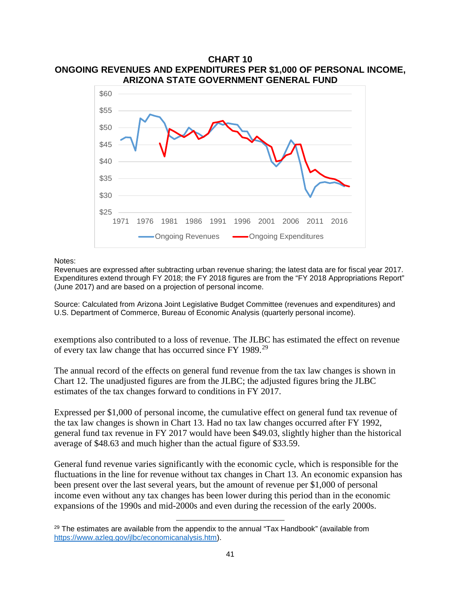#### **CHART 10 ONGOING REVENUES AND EXPENDITURES PER \$1,000 OF PERSONAL INCOME, ARIZONA STATE GOVERNMENT GENERAL FUND**



Notes:

Revenues are expressed after subtracting urban revenue sharing; the latest data are for fiscal year 2017. Expenditures extend through FY 2018; the FY 2018 figures are from the "FY 2018 Appropriations Report" (June 2017) and are based on a projection of personal income.

Source: Calculated from Arizona Joint Legislative Budget Committee (revenues and expenditures) and U.S. Department of Commerce, Bureau of Economic Analysis (quarterly personal income).

exemptions also contributed to a loss of revenue. The JLBC has estimated the effect on revenue of every tax law change that has occurred since FY 1989.[29](#page-43-0)

The annual record of the effects on general fund revenue from the tax law changes is shown in Chart 12. The unadjusted figures are from the JLBC; the adjusted figures bring the JLBC estimates of the tax changes forward to conditions in FY 2017.

Expressed per \$1,000 of personal income, the cumulative effect on general fund tax revenue of the tax law changes is shown in Chart 13. Had no tax law changes occurred after FY 1992, general fund tax revenue in FY 2017 would have been \$49.03, slightly higher than the historical average of \$48.63 and much higher than the actual figure of \$33.59.

General fund revenue varies significantly with the economic cycle, which is responsible for the fluctuations in the line for revenue without tax changes in Chart 13. An economic expansion has been present over the last several years, but the amount of revenue per \$1,000 of personal income even without any tax changes has been lower during this period than in the economic expansions of the 1990s and mid-2000s and even during the recession of the early 2000s.

l

<span id="page-43-0"></span> $29$  The estimates are available from the appendix to the annual "Tax Handbook" (available from [https://www.azleg.gov/jlbc/economicanalysis.htm\)](https://www.azleg.gov/jlbc/economicanalysis.htm).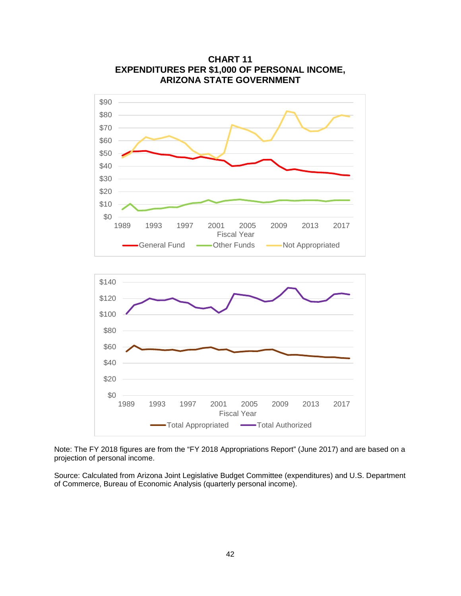

**CHART 11 EXPENDITURES PER \$1,000 OF PERSONAL INCOME, ARIZONA STATE GOVERNMENT**

Note: The FY 2018 figures are from the "FY 2018 Appropriations Report" (June 2017) and are based on a projection of personal income.

1989 1993 1997 2001 2005 2009 2013 2017 Fiscal Year Total Appropriated **Total Authorized** 

Source: Calculated from Arizona Joint Legislative Budget Committee (expenditures) and U.S. Department of Commerce, Bureau of Economic Analysis (quarterly personal income).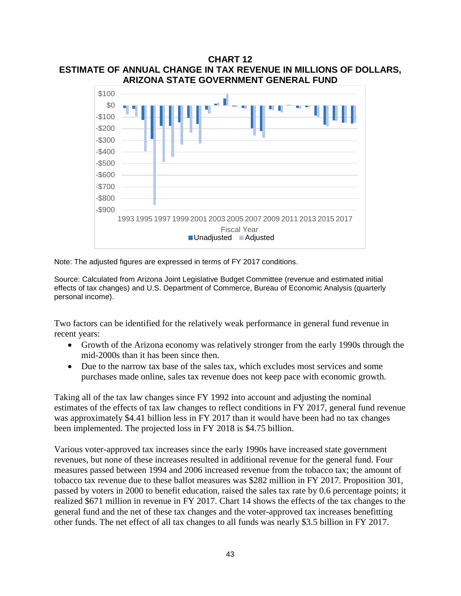**CHART 12 ESTIMATE OF ANNUAL CHANGE IN TAX REVENUE IN MILLIONS OF DOLLARS, ARIZONA STATE GOVERNMENT GENERAL FUND**



Note: The adjusted figures are expressed in terms of FY 2017 conditions.

Source: Calculated from Arizona Joint Legislative Budget Committee (revenue and estimated initial effects of tax changes) and U.S. Department of Commerce, Bureau of Economic Analysis (quarterly personal income).

Two factors can be identified for the relatively weak performance in general fund revenue in recent years:

- Growth of the Arizona economy was relatively stronger from the early 1990s through the mid-2000s than it has been since then.
- Due to the narrow tax base of the sales tax, which excludes most services and some purchases made online, sales tax revenue does not keep pace with economic growth.

Taking all of the tax law changes since FY 1992 into account and adjusting the nominal estimates of the effects of tax law changes to reflect conditions in FY 2017, general fund revenue was approximately \$4.41 billion less in FY 2017 than it would have been had no tax changes been implemented. The projected loss in FY 2018 is \$4.75 billion.

Various voter-approved tax increases since the early 1990s have increased state government revenues, but none of these increases resulted in additional revenue for the general fund. Four measures passed between 1994 and 2006 increased revenue from the tobacco tax; the amount of tobacco tax revenue due to these ballot measures was \$282 million in FY 2017. Proposition 301, passed by voters in 2000 to benefit education, raised the sales tax rate by 0.6 percentage points; it realized \$671 million in revenue in FY 2017. Chart 14 shows the effects of the tax changes to the general fund and the net of these tax changes and the voter-approved tax increases benefitting other funds. The net effect of all tax changes to all funds was nearly \$3.5 billion in FY 2017.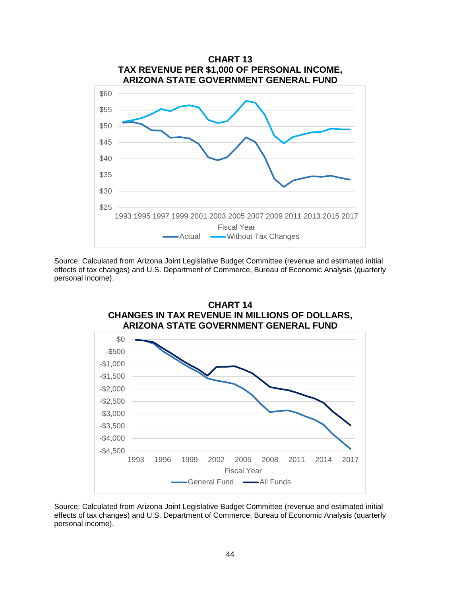

Source: Calculated from Arizona Joint Legislative Budget Committee (revenue and estimated initial effects of tax changes) and U.S. Department of Commerce, Bureau of Economic Analysis (quarterly personal income).



Source: Calculated from Arizona Joint Legislative Budget Committee (revenue and estimated initial effects of tax changes) and U.S. Department of Commerce, Bureau of Economic Analysis (quarterly personal income).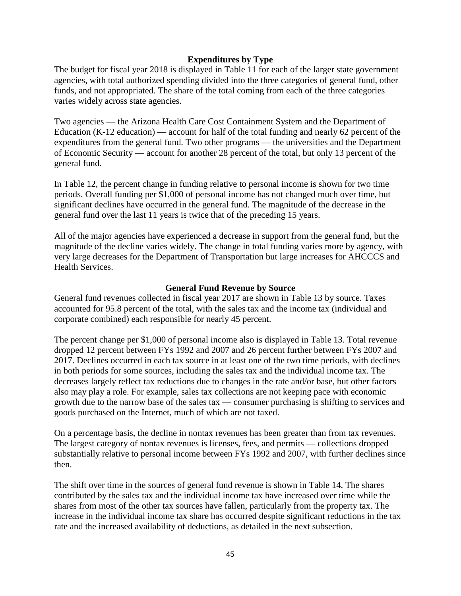### **Expenditures by Type**

The budget for fiscal year 2018 is displayed in Table 11 for each of the larger state government agencies, with total authorized spending divided into the three categories of general fund, other funds, and not appropriated. The share of the total coming from each of the three categories varies widely across state agencies.

Two agencies — the Arizona Health Care Cost Containment System and the Department of Education (K-12 education) — account for half of the total funding and nearly 62 percent of the expenditures from the general fund. Two other programs — the universities and the Department of Economic Security — account for another 28 percent of the total, but only 13 percent of the general fund.

In Table 12, the percent change in funding relative to personal income is shown for two time periods. Overall funding per \$1,000 of personal income has not changed much over time, but significant declines have occurred in the general fund. The magnitude of the decrease in the general fund over the last 11 years is twice that of the preceding 15 years.

All of the major agencies have experienced a decrease in support from the general fund, but the magnitude of the decline varies widely. The change in total funding varies more by agency, with very large decreases for the Department of Transportation but large increases for AHCCCS and Health Services.

#### **General Fund Revenue by Source**

General fund revenues collected in fiscal year 2017 are shown in Table 13 by source. Taxes accounted for 95.8 percent of the total, with the sales tax and the income tax (individual and corporate combined) each responsible for nearly 45 percent.

The percent change per \$1,000 of personal income also is displayed in Table 13. Total revenue dropped 12 percent between FYs 1992 and 2007 and 26 percent further between FYs 2007 and 2017. Declines occurred in each tax source in at least one of the two time periods, with declines in both periods for some sources, including the sales tax and the individual income tax. The decreases largely reflect tax reductions due to changes in the rate and/or base, but other factors also may play a role. For example, sales tax collections are not keeping pace with economic growth due to the narrow base of the sales tax — consumer purchasing is shifting to services and goods purchased on the Internet, much of which are not taxed.

On a percentage basis, the decline in nontax revenues has been greater than from tax revenues. The largest category of nontax revenues is licenses, fees, and permits — collections dropped substantially relative to personal income between FYs 1992 and 2007, with further declines since then.

The shift over time in the sources of general fund revenue is shown in Table 14. The shares contributed by the sales tax and the individual income tax have increased over time while the shares from most of the other tax sources have fallen, particularly from the property tax. The increase in the individual income tax share has occurred despite significant reductions in the tax rate and the increased availability of deductions, as detailed in the next subsection.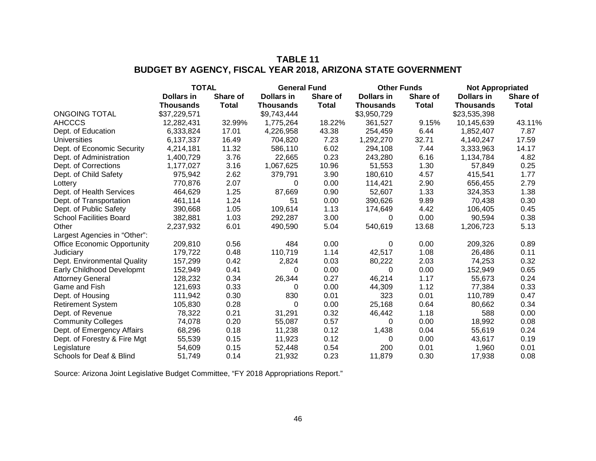# **TABLE 11 BUDGET BY AGENCY, FISCAL YEAR 2018, ARIZONA STATE GOVERNMENT**

|                                    | <b>TOTAL</b>      |              | <b>General Fund</b> |              | <b>Other Funds</b> |              | <b>Not Appropriated</b> |                 |
|------------------------------------|-------------------|--------------|---------------------|--------------|--------------------|--------------|-------------------------|-----------------|
|                                    | <b>Dollars in</b> | Share of     | Dollars in          | Share of     | <b>Dollars in</b>  | Share of     | Dollars in              | <b>Share of</b> |
|                                    | <b>Thousands</b>  | <b>Total</b> | <b>Thousands</b>    | <b>Total</b> | <b>Thousands</b>   | <b>Total</b> | <b>Thousands</b>        | <b>Total</b>    |
| <b>ONGOING TOTAL</b>               | \$37,229,571      |              | \$9,743,444         |              | \$3,950,729        |              | \$23,535,398            |                 |
| <b>AHCCCS</b>                      | 12,282,431        | 32.99%       | 1,775,264           | 18.22%       | 361,527            | 9.15%        | 10,145,639              | 43.11%          |
| Dept. of Education                 | 6,333,824         | 17.01        | 4,226,958           | 43.38        | 254,459            | 6.44         | 1,852,407               | 7.87            |
| <b>Universities</b>                | 6,137,337         | 16.49        | 704,820             | 7.23         | 1,292,270          | 32.71        | 4,140,247               | 17.59           |
| Dept. of Economic Security         | 4,214,181         | 11.32        | 586,110             | 6.02         | 294,108            | 7.44         | 3,333,963               | 14.17           |
| Dept. of Administration            | 1,400,729         | 3.76         | 22,665              | 0.23         | 243,280            | 6.16         | 1,134,784               | 4.82            |
| Dept. of Corrections               | 1,177,027         | 3.16         | 1,067,625           | 10.96        | 51,553             | 1.30         | 57,849                  | 0.25            |
| Dept. of Child Safety              | 975,942           | 2.62         | 379,791             | 3.90         | 180,610            | 4.57         | 415,541                 | 1.77            |
| Lottery                            | 770,876           | 2.07         | 0                   | 0.00         | 114,421            | 2.90         | 656,455                 | 2.79            |
| Dept. of Health Services           | 464,629           | 1.25         | 87,669              | 0.90         | 52,607             | 1.33         | 324,353                 | 1.38            |
| Dept. of Transportation            | 461,114           | 1.24         | 51                  | 0.00         | 390,626            | 9.89         | 70,438                  | 0.30            |
| Dept. of Public Safety             | 390,668           | 1.05         | 109,614             | 1.13         | 174,649            | 4.42         | 106,405                 | 0.45            |
| <b>School Facilities Board</b>     | 382,881           | 1.03         | 292,287             | 3.00         | 0                  | 0.00         | 90,594                  | 0.38            |
| Other                              | 2,237,932         | 6.01         | 490,590             | 5.04         | 540,619            | 13.68        | 1,206,723               | 5.13            |
| Largest Agencies in "Other":       |                   |              |                     |              |                    |              |                         |                 |
| <b>Office Economic Opportunity</b> | 209,810           | 0.56         | 484                 | 0.00         | 0                  | 0.00         | 209,326                 | 0.89            |
| Judiciary                          | 179,722           | 0.48         | 110,719             | 1.14         | 42,517             | 1.08         | 26,486                  | 0.11            |
| Dept. Environmental Quality        | 157,299           | 0.42         | 2,824               | 0.03         | 80,222             | 2.03         | 74,253                  | 0.32            |
| Early Childhood Developmt          | 152,949           | 0.41         | 0                   | 0.00         | $\Omega$           | 0.00         | 152,949                 | 0.65            |
| <b>Attorney General</b>            | 128,232           | 0.34         | 26,344              | 0.27         | 46,214             | 1.17         | 55,673                  | 0.24            |
| Game and Fish                      | 121,693           | 0.33         | 0                   | 0.00         | 44,309             | 1.12         | 77,384                  | 0.33            |
| Dept. of Housing                   | 111,942           | 0.30         | 830                 | 0.01         | 323                | 0.01         | 110,789                 | 0.47            |
| <b>Retirement System</b>           | 105,830           | 0.28         | 0                   | 0.00         | 25,168             | 0.64         | 80,662                  | 0.34            |
| Dept. of Revenue                   | 78,322            | 0.21         | 31,291              | 0.32         | 46,442             | 1.18         | 588                     | 0.00            |
| <b>Community Colleges</b>          | 74,078            | 0.20         | 55,087              | 0.57         | 0                  | 0.00         | 18,992                  | 0.08            |
| Dept. of Emergency Affairs         | 68,296            | 0.18         | 11,238              | 0.12         | 1,438              | 0.04         | 55,619                  | 0.24            |
| Dept. of Forestry & Fire Mgt       | 55,539            | 0.15         | 11,923              | 0.12         | 0                  | 0.00         | 43,617                  | 0.19            |
| Legislature                        | 54,609            | 0.15         | 52,448              | 0.54         | 200                | 0.01         | 1,960                   | 0.01            |
| Schools for Deaf & Blind           | 51,749            | 0.14         | 21,932              | 0.23         | 11,879             | 0.30         | 17,938                  | 0.08            |

Source: Arizona Joint Legislative Budget Committee, "FY 2018 Appropriations Report."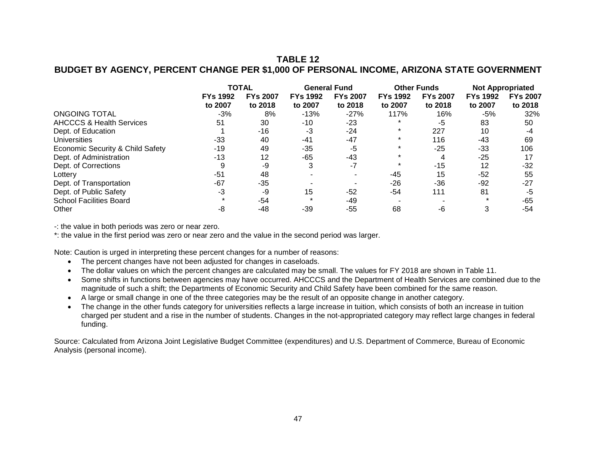### **TABLE 12 BUDGET BY AGENCY, PERCENT CHANGE PER \$1,000 OF PERSONAL INCOME, ARIZONA STATE GOVERNMENT**

|                                     | <b>TOTAL</b>               |                            | <b>General Fund</b>        |                            | <b>Other Funds</b>         |                            | <b>Not Appropriated</b>    |                            |
|-------------------------------------|----------------------------|----------------------------|----------------------------|----------------------------|----------------------------|----------------------------|----------------------------|----------------------------|
|                                     | <b>FYs 1992</b><br>to 2007 | <b>FYs 2007</b><br>to 2018 | <b>FYs 1992</b><br>to 2007 | <b>FYs 2007</b><br>to 2018 | <b>FYs 1992</b><br>to 2007 | <b>FYs 2007</b><br>to 2018 | <b>FYs 1992</b><br>to 2007 | <b>FYs 2007</b><br>to 2018 |
| <b>ONGOING TOTAL</b>                | $-3%$                      | 8%                         | $-13%$                     | $-27%$                     | 117%                       | 16%                        | -5%                        | 32%                        |
| <b>AHCCCS &amp; Health Services</b> | 51                         | 30                         | $-10$                      | $-23$                      |                            | -5                         | 83                         | 50                         |
| Dept. of Education                  |                            | $-16$                      | -3                         | $-24$                      |                            | 227                        | 10                         | -4                         |
| Universities                        | -33                        | 40                         | $-41$                      | $-47$                      |                            | 116                        | $-43$                      | 69                         |
| Economic Security & Child Safety    | -19                        | 49                         | $-35$                      | -5                         |                            | -25                        | $-33$                      | 106                        |
| Dept. of Administration             | -13                        | 12                         | $-65$                      | $-43$                      |                            | 4                          | $-25$                      | 17                         |
| Dept. of Corrections                |                            | -9                         | 3                          | $-7$                       | $\star$                    | $-15$                      | 12                         | $-32$                      |
| Lottery                             | -51                        | 48                         |                            |                            | -45                        | 15                         | $-52$                      | 55                         |
| Dept. of Transportation             | -67                        | -35                        |                            |                            | $-26$                      | -36                        | $-92$                      | $-27$                      |
| Dept. of Public Safety              | -3                         | -9                         | 15                         | -52                        | -54                        | 111                        | 81                         | -5                         |
| <b>School Facilities Board</b>      |                            | -54                        |                            | -49                        |                            |                            | $\star$                    | -65                        |
| Other                               | -8                         | -48                        | -39                        | $-55$                      | 68                         | -6                         | 3                          | -54                        |

-: the value in both periods was zero or near zero.

\*: the value in the first period was zero or near zero and the value in the second period was larger.

Note: Caution is urged in interpreting these percent changes for a number of reasons:

- The percent changes have not been adjusted for changes in caseloads.
- The dollar values on which the percent changes are calculated may be small. The values for FY 2018 are shown in Table 11.
- Some shifts in functions between agencies may have occurred. AHCCCS and the Department of Health Services are combined due to the magnitude of such a shift; the Departments of Economic Security and Child Safety have been combined for the same reason.
- A large or small change in one of the three categories may be the result of an opposite change in another category.
- The change in the other funds category for universities reflects a large increase in tuition, which consists of both an increase in tuition charged per student and a rise in the number of students. Changes in the not-appropriated category may reflect large changes in federal funding.

Source: Calculated from Arizona Joint Legislative Budget Committee (expenditures) and U.S. Department of Commerce, Bureau of Economic Analysis (personal income).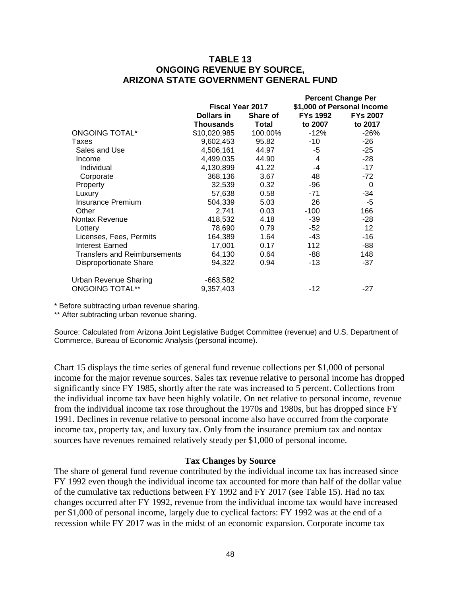### **TABLE 13 ONGOING REVENUE BY SOURCE, ARIZONA STATE GOVERNMENT GENERAL FUND**

|                                     |                         |              |                 | <b>Percent Change Per</b>  |
|-------------------------------------|-------------------------|--------------|-----------------|----------------------------|
|                                     | <b>Fiscal Year 2017</b> |              |                 | \$1,000 of Personal Income |
|                                     | Dollars in              | Share of     | <b>FYs 1992</b> | <b>FYs 2007</b>            |
|                                     | Thousands               | <b>Total</b> | to 2007         | to 2017                    |
| <b>ONGOING TOTAL*</b>               | \$10,020,985            | 100.00%      | $-12%$          | $-26%$                     |
| Taxes                               | 9,602,453               | 95.82        | -10             | $-26$                      |
| Sales and Use                       | 4,506,161               | 44.97        | -5              | $-25$                      |
| Income                              | 4,499,035               | 44.90        | 4               | $-28$                      |
| Individual                          | 4,130,899               | 41.22        | -4              | $-17$                      |
| Corporate                           | 368,136                 | 3.67         | 48              | $-72$                      |
| Property                            | 32,539                  | 0.32         | -96             | $\mathbf 0$                |
| Luxury                              | 57,638                  | 0.58         | -71             | -34                        |
| <b>Insurance Premium</b>            | 504,339                 | 5.03         | 26              | $-5$                       |
| Other                               | 2,741                   | 0.03         | $-100$          | 166                        |
| Nontax Revenue                      | 418,532                 | 4.18         | $-39$           | $-28$                      |
| Lottery                             | 78,690                  | 0.79         | -52             | 12                         |
| Licenses, Fees, Permits             | 164,389                 | 1.64         | -43             | -16                        |
| Interest Earned                     | 17,001                  | 0.17         | 112             | -88                        |
| <b>Transfers and Reimbursements</b> | 64,130                  | 0.64         | -88             | 148                        |
| <b>Disproportionate Share</b>       | 94,322                  | 0.94         | -13             | $-37$                      |
| <b>Urban Revenue Sharing</b>        | -663,582                |              |                 |                            |
| <b>ONGOING TOTAL**</b>              | 9,357,403               |              | -12             | -27                        |

\* Before subtracting urban revenue sharing.

\*\* After subtracting urban revenue sharing.

Source: Calculated from Arizona Joint Legislative Budget Committee (revenue) and U.S. Department of Commerce, Bureau of Economic Analysis (personal income).

Chart 15 displays the time series of general fund revenue collections per \$1,000 of personal income for the major revenue sources. Sales tax revenue relative to personal income has dropped significantly since FY 1985, shortly after the rate was increased to 5 percent. Collections from the individual income tax have been highly volatile. On net relative to personal income, revenue from the individual income tax rose throughout the 1970s and 1980s, but has dropped since FY 1991. Declines in revenue relative to personal income also have occurred from the corporate income tax, property tax, and luxury tax. Only from the insurance premium tax and nontax sources have revenues remained relatively steady per \$1,000 of personal income.

#### **Tax Changes by Source**

The share of general fund revenue contributed by the individual income tax has increased since FY 1992 even though the individual income tax accounted for more than half of the dollar value of the cumulative tax reductions between FY 1992 and FY 2017 (see Table 15). Had no tax changes occurred after FY 1992, revenue from the individual income tax would have increased per \$1,000 of personal income, largely due to cyclical factors: FY 1992 was at the end of a recession while FY 2017 was in the midst of an economic expansion. Corporate income tax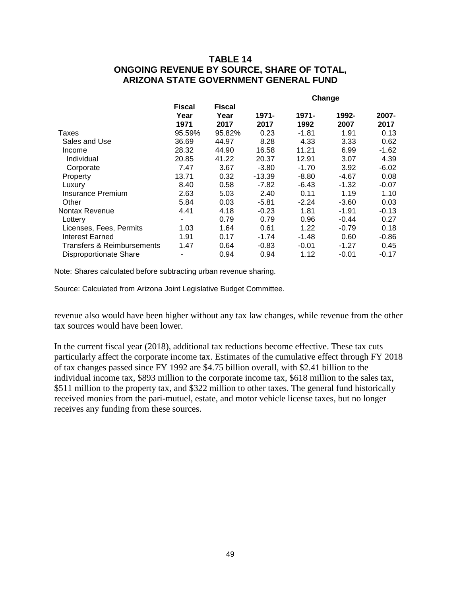## **TABLE 14 ONGOING REVENUE BY SOURCE, SHARE OF TOTAL, ARIZONA STATE GOVERNMENT GENERAL FUND**

|      | 2007-                                                                                                     |
|------|-----------------------------------------------------------------------------------------------------------|
|      | 2017                                                                                                      |
| 1.91 | 0.13                                                                                                      |
| 3.33 | 0.62                                                                                                      |
| 6.99 | $-1.62$                                                                                                   |
| 3.07 | 4.39                                                                                                      |
| 3.92 | $-6.02$                                                                                                   |
|      | 0.08                                                                                                      |
|      | -0.07                                                                                                     |
| 1.19 | 1.10                                                                                                      |
|      | 0.03                                                                                                      |
|      | -0.13                                                                                                     |
|      | 0.27                                                                                                      |
|      | 0.18                                                                                                      |
|      | -0.86                                                                                                     |
|      | 0.45                                                                                                      |
|      | $-0.17$                                                                                                   |
|      | 1992-<br>2007<br>-4.67<br>$-1.32$<br>-3.60<br>$-1.91$<br>$-0.44$<br>$-0.79$<br>0.60<br>$-1.27$<br>$-0.01$ |

Note: Shares calculated before subtracting urban revenue sharing.

Source: Calculated from Arizona Joint Legislative Budget Committee.

revenue also would have been higher without any tax law changes, while revenue from the other tax sources would have been lower.

In the current fiscal year (2018), additional tax reductions become effective. These tax cuts particularly affect the corporate income tax. Estimates of the cumulative effect through FY 2018 of tax changes passed since FY 1992 are \$4.75 billion overall, with \$2.41 billion to the individual income tax, \$893 million to the corporate income tax, \$618 million to the sales tax, \$511 million to the property tax, and \$322 million to other taxes. The general fund historically received monies from the pari-mutuel, estate, and motor vehicle license taxes, but no longer receives any funding from these sources.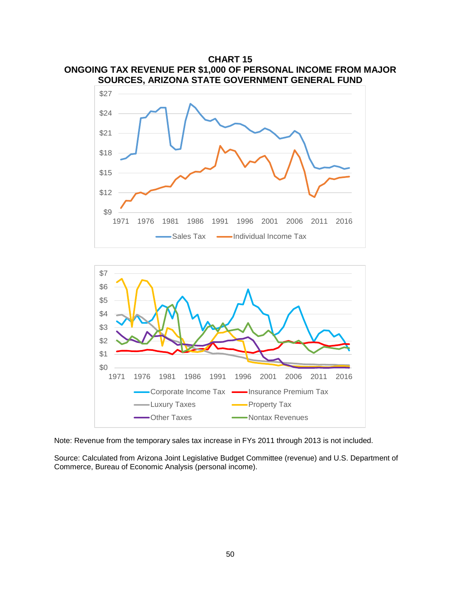

1971 1976 1981 1986 1991 1996 2001 2006 2011 2016

Sales Tax  $\longrightarrow$ Individual Income Tax



Note: Revenue from the temporary sales tax increase in FYs 2011 through 2013 is not included.

Source: Calculated from Arizona Joint Legislative Budget Committee (revenue) and U.S. Department of Commerce, Bureau of Economic Analysis (personal income).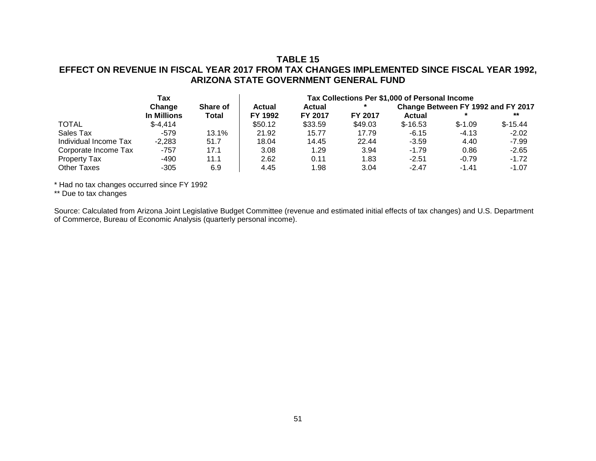## **TABLE 15 EFFECT ON REVENUE IN FISCAL YEAR 2017 FROM TAX CHANGES IMPLEMENTED SINCE FISCAL YEAR 1992, ARIZONA STATE GOVERNMENT GENERAL FUND**

|                       | Tax         |          |               | Tax Collections Per \$1,000 of Personal Income |                |           |                                    |           |  |  |
|-----------------------|-------------|----------|---------------|------------------------------------------------|----------------|-----------|------------------------------------|-----------|--|--|
|                       | Change      | Share of | <b>Actual</b> | <b>Actual</b>                                  |                |           | Change Between FY 1992 and FY 2017 |           |  |  |
|                       | In Millions | Total    | FY 1992       | FY 2017                                        | <b>FY 2017</b> | Actual    |                                    | $***$     |  |  |
| <b>TOTAL</b>          | $$-4,414$   |          | \$50.12       | \$33.59                                        | \$49.03        | $$-16.53$ | $$-1.09$                           | $$-15.44$ |  |  |
| Sales Tax             | $-579$      | 13.1%    | 21.92         | 15.77                                          | 17.79          | $-6.15$   | $-4.13$                            | $-2.02$   |  |  |
| Individual Income Tax | $-2,283$    | 51.7     | 18.04         | 14.45                                          | 22.44          | $-3.59$   | 4.40                               | $-7.99$   |  |  |
| Corporate Income Tax  | -757        | 17.1     | 3.08          | 1.29                                           | 3.94           | $-1.79$   | 0.86                               | $-2.65$   |  |  |
| <b>Property Tax</b>   | -490        | 11.1     | 2.62          | 0.11                                           | 1.83           | $-2.51$   | $-0.79$                            | $-1.72$   |  |  |
| <b>Other Taxes</b>    | $-305$      | 6.9      | 4.45          | 1.98                                           | 3.04           | $-2.47$   | $-1.41$                            | $-1.07$   |  |  |

\* Had no tax changes occurred since FY 1992

\*\* Due to tax changes

Source: Calculated from Arizona Joint Legislative Budget Committee (revenue and estimated initial effects of tax changes) and U.S. Department of Commerce, Bureau of Economic Analysis (quarterly personal income).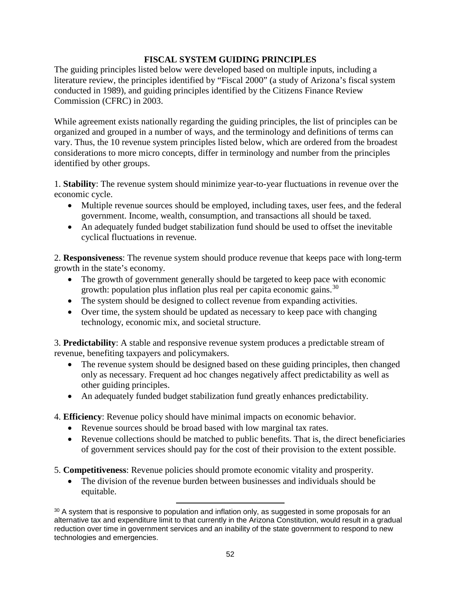### **FISCAL SYSTEM GUIDING PRINCIPLES**

The guiding principles listed below were developed based on multiple inputs, including a literature review, the principles identified by "Fiscal 2000" (a study of Arizona's fiscal system conducted in 1989), and guiding principles identified by the Citizens Finance Review Commission (CFRC) in 2003.

While agreement exists nationally regarding the guiding principles, the list of principles can be organized and grouped in a number of ways, and the terminology and definitions of terms can vary. Thus, the 10 revenue system principles listed below, which are ordered from the broadest considerations to more micro concepts, differ in terminology and number from the principles identified by other groups.

1. **Stability**: The revenue system should minimize year-to-year fluctuations in revenue over the economic cycle.

- Multiple revenue sources should be employed, including taxes, user fees, and the federal government. Income, wealth, consumption, and transactions all should be taxed.
- An adequately funded budget stabilization fund should be used to offset the inevitable cyclical fluctuations in revenue.

2. **Responsiveness**: The revenue system should produce revenue that keeps pace with long-term growth in the state's economy.

- The growth of government generally should be targeted to keep pace with economic growth: population plus inflation plus real per capita economic gains.<sup>[30](#page-54-0)</sup>
- The system should be designed to collect revenue from expanding activities.
- Over time, the system should be updated as necessary to keep pace with changing technology, economic mix, and societal structure.

3. **Predictability**: A stable and responsive revenue system produces a predictable stream of revenue, benefiting taxpayers and policymakers.

- The revenue system should be designed based on these guiding principles, then changed only as necessary. Frequent ad hoc changes negatively affect predictability as well as other guiding principles.
- An adequately funded budget stabilization fund greatly enhances predictability.

4. **Efficiency**: Revenue policy should have minimal impacts on economic behavior.

- Revenue sources should be broad based with low marginal tax rates.
- Revenue collections should be matched to public benefits. That is, the direct beneficiaries of government services should pay for the cost of their provision to the extent possible.
- 5. **Competitiveness**: Revenue policies should promote economic vitality and prosperity.
	- The division of the revenue burden between businesses and individuals should be equitable.

<span id="page-54-0"></span>l <sup>30</sup> A system that is responsive to population and inflation only, as suggested in some proposals for an alternative tax and expenditure limit to that currently in the Arizona Constitution, would result in a gradual reduction over time in government services and an inability of the state government to respond to new technologies and emergencies.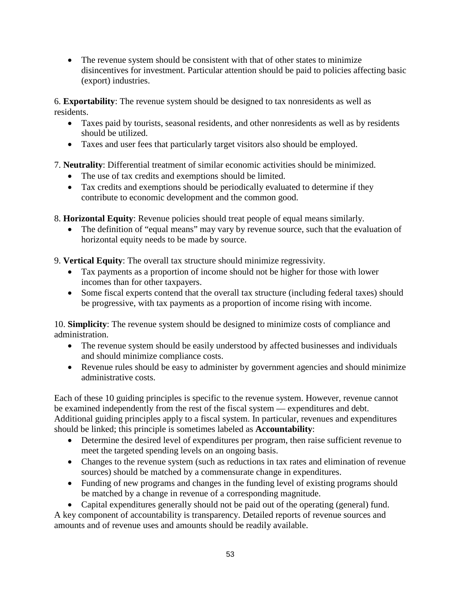• The revenue system should be consistent with that of other states to minimize disincentives for investment. Particular attention should be paid to policies affecting basic (export) industries.

6. **Exportability**: The revenue system should be designed to tax nonresidents as well as residents.

- Taxes paid by tourists, seasonal residents, and other nonresidents as well as by residents should be utilized.
- Taxes and user fees that particularly target visitors also should be employed.
- 7. **Neutrality**: Differential treatment of similar economic activities should be minimized.
	- The use of tax credits and exemptions should be limited.
	- Tax credits and exemptions should be periodically evaluated to determine if they contribute to economic development and the common good.
- 8. **Horizontal Equity**: Revenue policies should treat people of equal means similarly.
	- The definition of "equal means" may vary by revenue source, such that the evaluation of horizontal equity needs to be made by source.
- 9. **Vertical Equity**: The overall tax structure should minimize regressivity.
	- Tax payments as a proportion of income should not be higher for those with lower incomes than for other taxpayers.
	- Some fiscal experts contend that the overall tax structure (including federal taxes) should be progressive, with tax payments as a proportion of income rising with income.

10. **Simplicity**: The revenue system should be designed to minimize costs of compliance and administration.

- The revenue system should be easily understood by affected businesses and individuals and should minimize compliance costs.
- Revenue rules should be easy to administer by government agencies and should minimize administrative costs.

Each of these 10 guiding principles is specific to the revenue system. However, revenue cannot be examined independently from the rest of the fiscal system — expenditures and debt. Additional guiding principles apply to a fiscal system. In particular, revenues and expenditures should be linked; this principle is sometimes labeled as **Accountability**:

- Determine the desired level of expenditures per program, then raise sufficient revenue to meet the targeted spending levels on an ongoing basis.
- Changes to the revenue system (such as reductions in tax rates and elimination of revenue sources) should be matched by a commensurate change in expenditures.
- Funding of new programs and changes in the funding level of existing programs should be matched by a change in revenue of a corresponding magnitude.
- Capital expenditures generally should not be paid out of the operating (general) fund.

A key component of accountability is transparency. Detailed reports of revenue sources and amounts and of revenue uses and amounts should be readily available.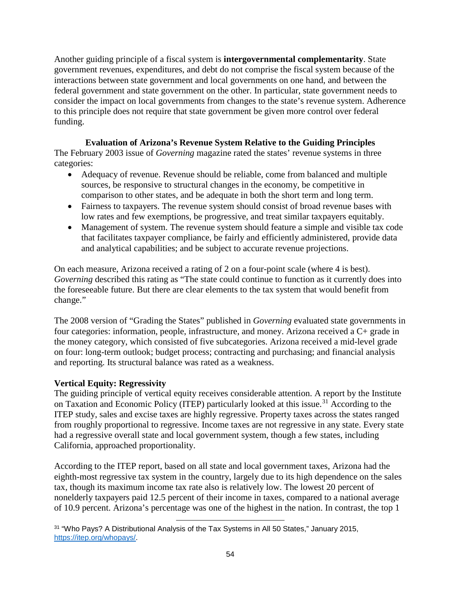Another guiding principle of a fiscal system is **intergovernmental complementarity**. State government revenues, expenditures, and debt do not comprise the fiscal system because of the interactions between state government and local governments on one hand, and between the federal government and state government on the other. In particular, state government needs to consider the impact on local governments from changes to the state's revenue system. Adherence to this principle does not require that state government be given more control over federal funding.

# **Evaluation of Arizona's Revenue System Relative to the Guiding Principles**

The February 2003 issue of *Governing* magazine rated the states' revenue systems in three categories:

- Adequacy of revenue. Revenue should be reliable, come from balanced and multiple sources, be responsive to structural changes in the economy, be competitive in comparison to other states, and be adequate in both the short term and long term.
- Fairness to taxpayers. The revenue system should consist of broad revenue bases with low rates and few exemptions, be progressive, and treat similar taxpayers equitably.
- Management of system. The revenue system should feature a simple and visible tax code that facilitates taxpayer compliance, be fairly and efficiently administered, provide data and analytical capabilities; and be subject to accurate revenue projections.

On each measure, Arizona received a rating of 2 on a four-point scale (where 4 is best). *Governing* described this rating as "The state could continue to function as it currently does into the foreseeable future. But there are clear elements to the tax system that would benefit from change."

The 2008 version of "Grading the States" published in *Governing* evaluated state governments in four categories: information, people, infrastructure, and money. Arizona received a C+ grade in the money category, which consisted of five subcategories. Arizona received a mid-level grade on four: long-term outlook; budget process; contracting and purchasing; and financial analysis and reporting. Its structural balance was rated as a weakness.

# **Vertical Equity: Regressivity**

The guiding principle of vertical equity receives considerable attention. A report by the Institute on Taxation and Economic Policy (ITEP) particularly looked at this issue.<sup>[31](#page-56-0)</sup> According to the ITEP study, sales and excise taxes are highly regressive. Property taxes across the states ranged from roughly proportional to regressive. Income taxes are not regressive in any state. Every state had a regressive overall state and local government system, though a few states, including California, approached proportionality.

According to the ITEP report, based on all state and local government taxes, Arizona had the eighth-most regressive tax system in the country, largely due to its high dependence on the sales tax, though its maximum income tax rate also is relatively low. The lowest 20 percent of nonelderly taxpayers paid 12.5 percent of their income in taxes, compared to a national average of 10.9 percent. Arizona's percentage was one of the highest in the nation. In contrast, the top 1

<span id="page-56-0"></span>l <sup>31</sup> "Who Pays? A Distributional Analysis of the Tax Systems in All 50 States," January 2015, [https://itep.org/whopays/.](https://itep.org/whopays/)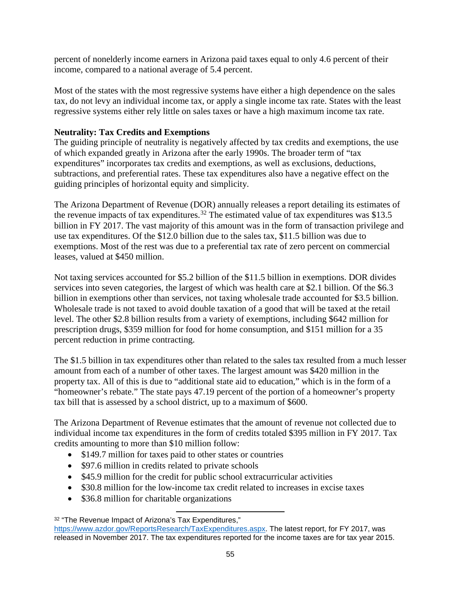percent of nonelderly income earners in Arizona paid taxes equal to only 4.6 percent of their income, compared to a national average of 5.4 percent.

Most of the states with the most regressive systems have either a high dependence on the sales tax, do not levy an individual income tax, or apply a single income tax rate. States with the least regressive systems either rely little on sales taxes or have a high maximum income tax rate.

### **Neutrality: Tax Credits and Exemptions**

The guiding principle of neutrality is negatively affected by tax credits and exemptions, the use of which expanded greatly in Arizona after the early 1990s. The broader term of "tax expenditures" incorporates tax credits and exemptions, as well as exclusions, deductions, subtractions, and preferential rates. These tax expenditures also have a negative effect on the guiding principles of horizontal equity and simplicity.

The Arizona Department of Revenue (DOR) annually releases a report detailing its estimates of the revenue impacts of tax expenditures.<sup>[32](#page-57-0)</sup> The estimated value of tax expenditures was \$13.5 billion in FY 2017. The vast majority of this amount was in the form of transaction privilege and use tax expenditures. Of the \$12.0 billion due to the sales tax, \$11.5 billion was due to exemptions. Most of the rest was due to a preferential tax rate of zero percent on commercial leases, valued at \$450 million.

Not taxing services accounted for \$5.2 billion of the \$11.5 billion in exemptions. DOR divides services into seven categories, the largest of which was health care at \$2.1 billion. Of the \$6.3 billion in exemptions other than services, not taxing wholesale trade accounted for \$3.5 billion. Wholesale trade is not taxed to avoid double taxation of a good that will be taxed at the retail level. The other \$2.8 billion results from a variety of exemptions, including \$642 million for prescription drugs, \$359 million for food for home consumption, and \$151 million for a 35 percent reduction in prime contracting.

The \$1.5 billion in tax expenditures other than related to the sales tax resulted from a much lesser amount from each of a number of other taxes. The largest amount was \$420 million in the property tax. All of this is due to "additional state aid to education," which is in the form of a "homeowner's rebate." The state pays 47.19 percent of the portion of a homeowner's property tax bill that is assessed by a school district, up to a maximum of \$600.

The Arizona Department of Revenue estimates that the amount of revenue not collected due to individual income tax expenditures in the form of credits totaled \$395 million in FY 2017. Tax credits amounting to more than \$10 million follow:

• \$149.7 million for taxes paid to other states or countries

 $\overline{\phantom{a}}$ 

- \$97.6 million in credits related to private schools
- \$45.9 million for the credit for public school extracurricular activities
- \$30.8 million for the low-income tax credit related to increases in excise taxes
- \$36.8 million for charitable organizations

<span id="page-57-0"></span><sup>32</sup> "The Revenue Impact of Arizona's Tax Expenditures,"

[https://www.azdor.gov/ReportsResearch/TaxExpenditures.aspx.](https://www.azdor.gov/ReportsResearch/TaxExpenditures.aspx) The latest report, for FY 2017, was released in November 2017. The tax expenditures reported for the income taxes are for tax year 2015.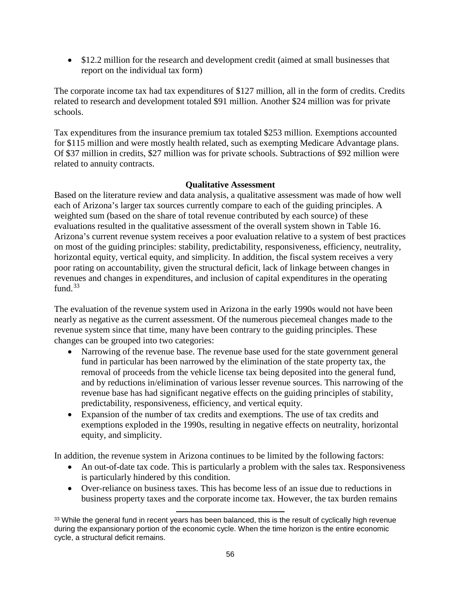• \$12.2 million for the research and development credit (aimed at small businesses that report on the individual tax form)

The corporate income tax had tax expenditures of \$127 million, all in the form of credits. Credits related to research and development totaled \$91 million. Another \$24 million was for private schools.

Tax expenditures from the insurance premium tax totaled \$253 million. Exemptions accounted for \$115 million and were mostly health related, such as exempting Medicare Advantage plans. Of \$37 million in credits, \$27 million was for private schools. Subtractions of \$92 million were related to annuity contracts.

### **Qualitative Assessment**

Based on the literature review and data analysis, a qualitative assessment was made of how well each of Arizona's larger tax sources currently compare to each of the guiding principles. A weighted sum (based on the share of total revenue contributed by each source) of these evaluations resulted in the qualitative assessment of the overall system shown in Table 16. Arizona's current revenue system receives a poor evaluation relative to a system of best practices on most of the guiding principles: stability, predictability, responsiveness, efficiency, neutrality, horizontal equity, vertical equity, and simplicity. In addition, the fiscal system receives a very poor rating on accountability, given the structural deficit, lack of linkage between changes in revenues and changes in expenditures, and inclusion of capital expenditures in the operating fund. $33$ 

The evaluation of the revenue system used in Arizona in the early 1990s would not have been nearly as negative as the current assessment. Of the numerous piecemeal changes made to the revenue system since that time, many have been contrary to the guiding principles. These changes can be grouped into two categories:

- Narrowing of the revenue base. The revenue base used for the state government general fund in particular has been narrowed by the elimination of the state property tax, the removal of proceeds from the vehicle license tax being deposited into the general fund, and by reductions in/elimination of various lesser revenue sources. This narrowing of the revenue base has had significant negative effects on the guiding principles of stability, predictability, responsiveness, efficiency, and vertical equity.
- Expansion of the number of tax credits and exemptions. The use of tax credits and exemptions exploded in the 1990s, resulting in negative effects on neutrality, horizontal equity, and simplicity.

In addition, the revenue system in Arizona continues to be limited by the following factors:

- An out-of-date tax code. This is particularly a problem with the sales tax. Responsiveness is particularly hindered by this condition.
- Over-reliance on business taxes. This has become less of an issue due to reductions in business property taxes and the corporate income tax. However, the tax burden remains

<span id="page-58-0"></span> $\overline{\phantom{a}}$ <sup>33</sup> While the general fund in recent years has been balanced, this is the result of cyclically high revenue during the expansionary portion of the economic cycle. When the time horizon is the entire economic cycle, a structural deficit remains.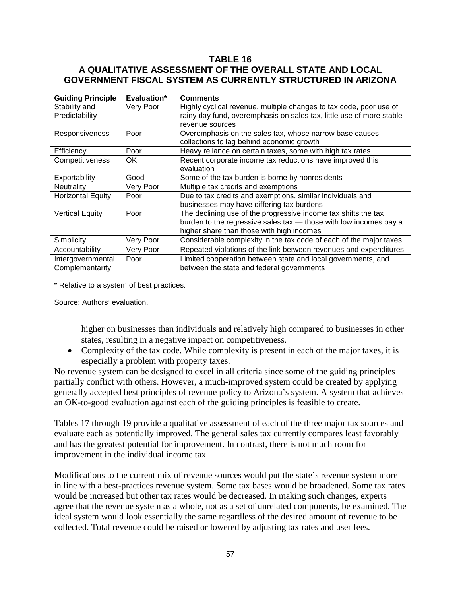### **TABLE 16 A QUALITATIVE ASSESSMENT OF THE OVERALL STATE AND LOCAL GOVERNMENT FISCAL SYSTEM AS CURRENTLY STRUCTURED IN ARIZONA**

| <b>Guiding Principle</b><br>Stability and<br>Predictability | Evaluation*<br>Very Poor | <b>Comments</b><br>Highly cyclical revenue, multiple changes to tax code, poor use of<br>rainy day fund, overemphasis on sales tax, little use of more stable<br>revenue sources |
|-------------------------------------------------------------|--------------------------|----------------------------------------------------------------------------------------------------------------------------------------------------------------------------------|
| Responsiveness                                              | Poor                     | Overemphasis on the sales tax, whose narrow base causes<br>collections to lag behind economic growth                                                                             |
| Efficiency                                                  | Poor                     | Heavy reliance on certain taxes, some with high tax rates                                                                                                                        |
| Competitiveness                                             | OK.                      | Recent corporate income tax reductions have improved this<br>evaluation                                                                                                          |
| Exportability                                               | Good                     | Some of the tax burden is borne by nonresidents                                                                                                                                  |
| <b>Neutrality</b>                                           | Very Poor                | Multiple tax credits and exemptions                                                                                                                                              |
| <b>Horizontal Equity</b>                                    | Poor                     | Due to tax credits and exemptions, similar individuals and<br>businesses may have differing tax burdens                                                                          |
| <b>Vertical Equity</b>                                      | Poor                     | The declining use of the progressive income tax shifts the tax<br>burden to the regressive sales tax - those with low incomes pay a<br>higher share than those with high incomes |
| Simplicity                                                  | Very Poor                | Considerable complexity in the tax code of each of the major taxes                                                                                                               |
| Accountability                                              | Very Poor                | Repeated violations of the link between revenues and expenditures                                                                                                                |
| Intergovernmental<br>Complementarity                        | Poor                     | Limited cooperation between state and local governments, and<br>between the state and federal governments                                                                        |

\* Relative to a system of best practices.

Source: Authors' evaluation.

higher on businesses than individuals and relatively high compared to businesses in other states, resulting in a negative impact on competitiveness.

• Complexity of the tax code. While complexity is present in each of the major taxes, it is especially a problem with property taxes.

No revenue system can be designed to excel in all criteria since some of the guiding principles partially conflict with others. However, a much-improved system could be created by applying generally accepted best principles of revenue policy to Arizona's system. A system that achieves an OK-to-good evaluation against each of the guiding principles is feasible to create.

Tables 17 through 19 provide a qualitative assessment of each of the three major tax sources and evaluate each as potentially improved. The general sales tax currently compares least favorably and has the greatest potential for improvement. In contrast, there is not much room for improvement in the individual income tax.

Modifications to the current mix of revenue sources would put the state's revenue system more in line with a best-practices revenue system. Some tax bases would be broadened. Some tax rates would be increased but other tax rates would be decreased. In making such changes, experts agree that the revenue system as a whole, not as a set of unrelated components, be examined. The ideal system would look essentially the same regardless of the desired amount of revenue to be collected. Total revenue could be raised or lowered by adjusting tax rates and user fees.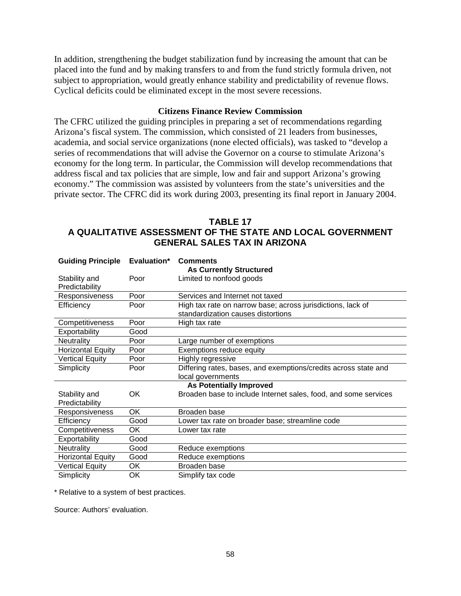In addition, strengthening the budget stabilization fund by increasing the amount that can be placed into the fund and by making transfers to and from the fund strictly formula driven, not subject to appropriation, would greatly enhance stability and predictability of revenue flows. Cyclical deficits could be eliminated except in the most severe recessions.

#### **Citizens Finance Review Commission**

The CFRC utilized the guiding principles in preparing a set of recommendations regarding Arizona's fiscal system. The commission, which consisted of 21 leaders from businesses, academia, and social service organizations (none elected officials), was tasked to "develop a series of recommendations that will advise the Governor on a course to stimulate Arizona's economy for the long term. In particular, the Commission will develop recommendations that address fiscal and tax policies that are simple, low and fair and support Arizona's growing economy." The commission was assisted by volunteers from the state's universities and the private sector. The CFRC did its work during 2003, presenting its final report in January 2004.

| <b>TABLE 17</b>                                            |
|------------------------------------------------------------|
| A QUALITATIVE ASSESSMENT OF THE STATE AND LOCAL GOVERNMENT |
| <b>GENERAL SALES TAX IN ARIZONA</b>                        |

| <b>Guiding Principle</b> | Evaluation* | <b>Comments</b>                                                 |
|--------------------------|-------------|-----------------------------------------------------------------|
|                          |             | <b>As Currently Structured</b>                                  |
| Stability and            | Poor        | Limited to nonfood goods                                        |
| Predictability           |             |                                                                 |
| Responsiveness           | Poor        | Services and Internet not taxed                                 |
| Efficiency               | Poor        | High tax rate on narrow base; across jurisdictions, lack of     |
|                          |             | standardization causes distortions                              |
| Competitiveness          | Poor        | High tax rate                                                   |
| Exportability            | Good        |                                                                 |
| <b>Neutrality</b>        | Poor        | Large number of exemptions                                      |
| <b>Horizontal Equity</b> | Poor        | Exemptions reduce equity                                        |
| <b>Vertical Equity</b>   | Poor        | Highly regressive                                               |
| Simplicity               | Poor        | Differing rates, bases, and exemptions/credits across state and |
|                          |             | local governments                                               |
|                          |             | <b>As Potentially Improved</b>                                  |
| Stability and            | ОK          | Broaden base to include Internet sales, food, and some services |
| Predictability           |             |                                                                 |
| Responsiveness           | OK          | Broaden base                                                    |
| Efficiency               | Good        | Lower tax rate on broader base; streamline code                 |
| Competitiveness          | OK          | Lower tax rate                                                  |
| Exportability            | Good        |                                                                 |
| <b>Neutrality</b>        | Good        | Reduce exemptions                                               |
| <b>Horizontal Equity</b> | Good        | Reduce exemptions                                               |
| <b>Vertical Equity</b>   | OK          | Broaden base                                                    |
| Simplicity               | OK          | Simplify tax code                                               |

\* Relative to a system of best practices.

Source: Authors' evaluation.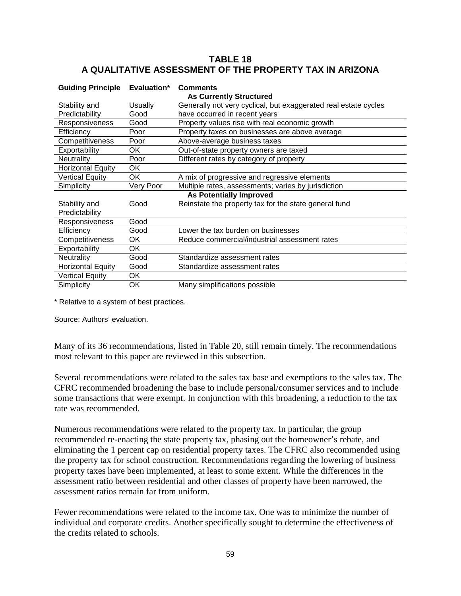## **TABLE 18 A QUALITATIVE ASSESSMENT OF THE PROPERTY TAX IN ARIZONA**

| <b>Guiding Principle</b> | Evaluation* | <b>Comments</b><br><b>As Currently Structured</b>               |
|--------------------------|-------------|-----------------------------------------------------------------|
| Stability and            | Usually     | Generally not very cyclical, but exaggerated real estate cycles |
|                          |             |                                                                 |
| Predictability           | Good        | have occurred in recent years                                   |
| Responsiveness           | Good        | Property values rise with real economic growth                  |
| Efficiency               | Poor        | Property taxes on businesses are above average                  |
| Competitiveness          | Poor        | Above-average business taxes                                    |
| Exportability            | OK.         | Out-of-state property owners are taxed                          |
| <b>Neutrality</b>        | Poor        | Different rates by category of property                         |
| <b>Horizontal Equity</b> | OK          |                                                                 |
| Vertical Equity          | OK.         | A mix of progressive and regressive elements                    |
| Simplicity               | Very Poor   | Multiple rates, assessments; varies by jurisdiction             |
|                          |             | <b>As Potentially Improved</b>                                  |
| Stability and            | Good        | Reinstate the property tax for the state general fund           |
| Predictability           |             |                                                                 |
| Responsiveness           | Good        |                                                                 |
| Efficiency               | Good        | Lower the tax burden on businesses                              |
| Competitiveness          | ОΚ          | Reduce commercial/industrial assessment rates                   |
| Exportability            | 0K          |                                                                 |
| Neutrality               | Good        | Standardize assessment rates                                    |
| <b>Horizontal Equity</b> | Good        | Standardize assessment rates                                    |
| <b>Vertical Equity</b>   | OK          |                                                                 |
| Simplicity               | OK          | Many simplifications possible                                   |

\* Relative to a system of best practices.

Source: Authors' evaluation.

Many of its 36 recommendations, listed in Table 20, still remain timely. The recommendations most relevant to this paper are reviewed in this subsection.

Several recommendations were related to the sales tax base and exemptions to the sales tax. The CFRC recommended broadening the base to include personal/consumer services and to include some transactions that were exempt. In conjunction with this broadening, a reduction to the tax rate was recommended.

Numerous recommendations were related to the property tax. In particular, the group recommended re-enacting the state property tax, phasing out the homeowner's rebate, and eliminating the 1 percent cap on residential property taxes. The CFRC also recommended using the property tax for school construction. Recommendations regarding the lowering of business property taxes have been implemented, at least to some extent. While the differences in the assessment ratio between residential and other classes of property have been narrowed, the assessment ratios remain far from uniform.

Fewer recommendations were related to the income tax. One was to minimize the number of individual and corporate credits. Another specifically sought to determine the effectiveness of the credits related to schools.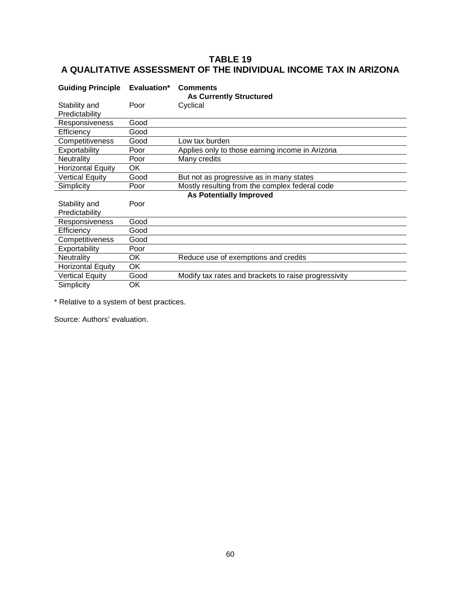# **TABLE 19 A QUALITATIVE ASSESSMENT OF THE INDIVIDUAL INCOME TAX IN ARIZONA**

| <b>Guiding Principle</b>       | Evaluation* | <b>Comments</b><br><b>As Currently Structured</b>    |  |  |
|--------------------------------|-------------|------------------------------------------------------|--|--|
| Stability and                  | Poor        | Cyclical                                             |  |  |
| Predictability                 |             |                                                      |  |  |
| Responsiveness                 | Good        |                                                      |  |  |
| Efficiency                     | Good        |                                                      |  |  |
| Competitiveness                | Good        | Low tax burden                                       |  |  |
| Exportability                  | Poor        | Applies only to those earning income in Arizona      |  |  |
| <b>Neutrality</b>              | Poor        | Many credits                                         |  |  |
| <b>Horizontal Equity</b>       | OK          |                                                      |  |  |
| <b>Vertical Equity</b>         | Good        | But not as progressive as in many states             |  |  |
| Simplicity                     | Poor        | Mostly resulting from the complex federal code       |  |  |
| <b>As Potentially Improved</b> |             |                                                      |  |  |
| Stability and                  | Poor        |                                                      |  |  |
| Predictability                 |             |                                                      |  |  |
| Responsiveness                 | Good        |                                                      |  |  |
| Efficiency                     | Good        |                                                      |  |  |
| Competitiveness                | Good        |                                                      |  |  |
| Exportability                  | Poor        |                                                      |  |  |
| <b>Neutrality</b>              | OK          | Reduce use of exemptions and credits                 |  |  |
| <b>Horizontal Equity</b>       | OK          |                                                      |  |  |
| <b>Vertical Equity</b>         | Good        | Modify tax rates and brackets to raise progressivity |  |  |
| Simplicity                     | OK          |                                                      |  |  |

\* Relative to a system of best practices.

Source: Authors' evaluation.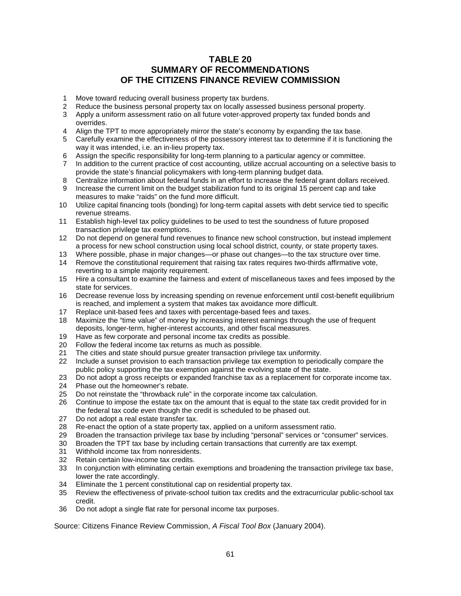### **TABLE 20 SUMMARY OF RECOMMENDATIONS OF THE CITIZENS FINANCE REVIEW COMMISSION**

- 1 Move toward reducing overall business property tax burdens.
- 2 Reduce the business personal property tax on locally assessed business personal property.
- 3 Apply a uniform assessment ratio on all future voter-approved property tax funded bonds and overrides.
- 4 Align the TPT to more appropriately mirror the state's economy by expanding the tax base.
- 5 Carefully examine the effectiveness of the possessory interest tax to determine if it is functioning the way it was intended, i.e. an in-lieu property tax.
- 6 Assign the specific responsibility for long-term planning to a particular agency or committee.
- 7 In addition to the current practice of cost accounting, utilize accrual accounting on a selective basis to provide the state's financial policymakers with long-term planning budget data.
- 8 Centralize information about federal funds in an effort to increase the federal grant dollars received.
- Increase the current limit on the budget stabilization fund to its original 15 percent cap and take measures to make "raids" on the fund more difficult.
- 10 Utilize capital financing tools (bonding) for long-term capital assets with debt service tied to specific revenue streams.
- 11 Establish high-level tax policy guidelines to be used to test the soundness of future proposed transaction privilege tax exemptions.
- 12 Do not depend on general fund revenues to finance new school construction, but instead implement a process for new school construction using local school district, county, or state property taxes.
- 13 Where possible, phase in major changes—or phase out changes—to the tax structure over time.
- 14 Remove the constitutional requirement that raising tax rates requires two-thirds affirmative vote, reverting to a simple majority requirement.
- 15 Hire a consultant to examine the fairness and extent of miscellaneous taxes and fees imposed by the state for services.
- 16 Decrease revenue loss by increasing spending on revenue enforcement until cost-benefit equilibrium is reached, and implement a system that makes tax avoidance more difficult.
- 17 Replace unit-based fees and taxes with percentage-based fees and taxes.
- 18 Maximize the "time value" of money by increasing interest earnings through the use of frequent deposits, longer-term, higher-interest accounts, and other fiscal measures.
- 19 Have as few corporate and personal income tax credits as possible.<br>20 Follow the federal income tax returns as much as possible.
- 20 Follow the federal income tax returns as much as possible.<br>21 The cities and state should pursue greater transaction privil
- 21 The cities and state should pursue greater transaction privilege tax uniformity.<br>22 Include a sunset provision to each transaction privilege tax exemption to perio
- Include a sunset provision to each transaction privilege tax exemption to periodically compare the public policy supporting the tax exemption against the evolving state of the state.
- 23 Do not adopt a gross receipts or expanded franchise tax as a replacement for corporate income tax.<br>24 Phase out the homeowner's rebate.
- 24 Phase out the homeowner's rebate.<br>25 Do not reinstate the "throwback rule"
- 25 Do not reinstate the "throwback rule" in the corporate income tax calculation.<br>26 Continue to impose the estate tax on the amount that is equal to the state tax
- 26 Continue to impose the estate tax on the amount that is equal to the state tax credit provided for in the federal tax code even though the credit is scheduled to be phased out.
- 27 Do not adopt a real estate transfer tax.
- 28 Re-enact the option of a state property tax, applied on a uniform assessment ratio.<br>29 Broaden the transaction privilege tax base by including "personal" services or "cons
- 29 Broaden the transaction privilege tax base by including "personal" services or "consumer" services.<br>30 Broaden the TPT tax base by including certain transactions that currently are tax exempt.
- 30 Broaden the TPT tax base by including certain transactions that currently are tax exempt.
- Withhold income tax from nonresidents.
- 32 Retain certain low-income tax credits.<br>33 In coniunction with eliminating certain
- In conjunction with eliminating certain exemptions and broadening the transaction privilege tax base, lower the rate accordingly.
- 34 Eliminate the 1 percent constitutional cap on residential property tax.
- 35 Review the effectiveness of private-school tuition tax credits and the extracurricular public-school tax credit.
- 36 Do not adopt a single flat rate for personal income tax purposes.

Source: Citizens Finance Review Commission, *A Fiscal Tool Box* (January 2004).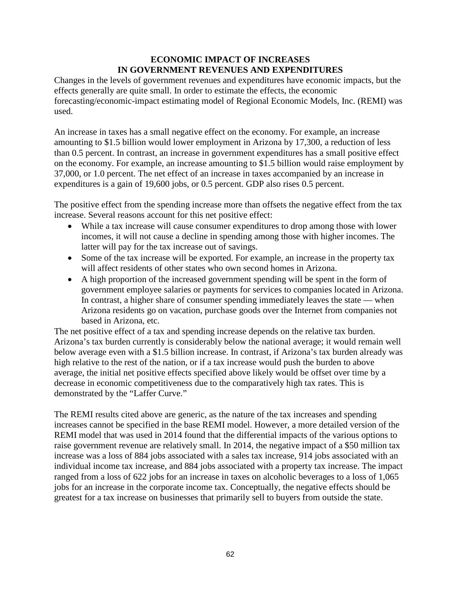### **ECONOMIC IMPACT OF INCREASES IN GOVERNMENT REVENUES AND EXPENDITURES**

Changes in the levels of government revenues and expenditures have economic impacts, but the effects generally are quite small. In order to estimate the effects, the economic forecasting/economic-impact estimating model of Regional Economic Models, Inc. (REMI) was used.

An increase in taxes has a small negative effect on the economy. For example, an increase amounting to \$1.5 billion would lower employment in Arizona by 17,300, a reduction of less than 0.5 percent. In contrast, an increase in government expenditures has a small positive effect on the economy. For example, an increase amounting to \$1.5 billion would raise employment by 37,000, or 1.0 percent. The net effect of an increase in taxes accompanied by an increase in expenditures is a gain of 19,600 jobs, or 0.5 percent. GDP also rises 0.5 percent.

The positive effect from the spending increase more than offsets the negative effect from the tax increase. Several reasons account for this net positive effect:

- While a tax increase will cause consumer expenditures to drop among those with lower incomes, it will not cause a decline in spending among those with higher incomes. The latter will pay for the tax increase out of savings.
- Some of the tax increase will be exported. For example, an increase in the property tax will affect residents of other states who own second homes in Arizona.
- A high proportion of the increased government spending will be spent in the form of government employee salaries or payments for services to companies located in Arizona. In contrast, a higher share of consumer spending immediately leaves the state — when Arizona residents go on vacation, purchase goods over the Internet from companies not based in Arizona, etc.

The net positive effect of a tax and spending increase depends on the relative tax burden. Arizona's tax burden currently is considerably below the national average; it would remain well below average even with a \$1.5 billion increase. In contrast, if Arizona's tax burden already was high relative to the rest of the nation, or if a tax increase would push the burden to above average, the initial net positive effects specified above likely would be offset over time by a decrease in economic competitiveness due to the comparatively high tax rates. This is demonstrated by the "Laffer Curve."

The REMI results cited above are generic, as the nature of the tax increases and spending increases cannot be specified in the base REMI model. However, a more detailed version of the REMI model that was used in 2014 found that the differential impacts of the various options to raise government revenue are relatively small. In 2014, the negative impact of a \$50 million tax increase was a loss of 884 jobs associated with a sales tax increase, 914 jobs associated with an individual income tax increase, and 884 jobs associated with a property tax increase. The impact ranged from a loss of 622 jobs for an increase in taxes on alcoholic beverages to a loss of 1,065 jobs for an increase in the corporate income tax. Conceptually, the negative effects should be greatest for a tax increase on businesses that primarily sell to buyers from outside the state.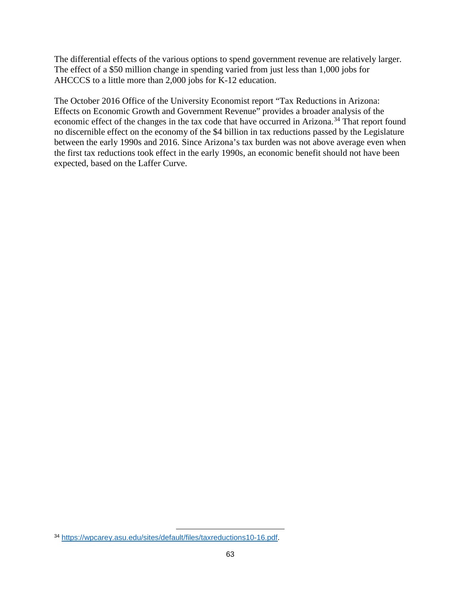The differential effects of the various options to spend government revenue are relatively larger. The effect of a \$50 million change in spending varied from just less than 1,000 jobs for AHCCCS to a little more than 2,000 jobs for K-12 education.

The October 2016 Office of the University Economist report "Tax Reductions in Arizona: Effects on Economic Growth and Government Revenue" provides a broader analysis of the economic effect of the changes in the tax code that have occurred in Arizona.<sup>[34](#page-65-0)</sup> That report found no discernible effect on the economy of the \$4 billion in tax reductions passed by the Legislature between the early 1990s and 2016. Since Arizona's tax burden was not above average even when the first tax reductions took effect in the early 1990s, an economic benefit should not have been expected, based on the Laffer Curve.

l

<span id="page-65-0"></span><sup>34</sup> [https://wpcarey.asu.edu/sites/default/files/taxreductions10-16.pdf.](https://wpcarey.asu.edu/sites/default/files/taxreductions10-16.pdf)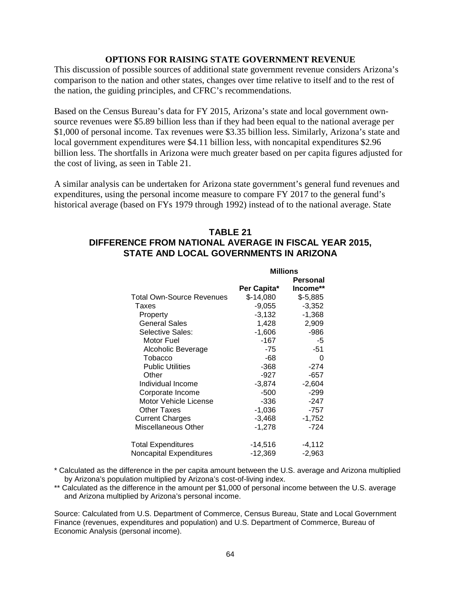#### **OPTIONS FOR RAISING STATE GOVERNMENT REVENUE**

This discussion of possible sources of additional state government revenue considers Arizona's comparison to the nation and other states, changes over time relative to itself and to the rest of the nation, the guiding principles, and CFRC's recommendations.

Based on the Census Bureau's data for FY 2015, Arizona's state and local government ownsource revenues were \$5.89 billion less than if they had been equal to the national average per \$1,000 of personal income. Tax revenues were \$3.35 billion less. Similarly, Arizona's state and local government expenditures were \$4.11 billion less, with noncapital expenditures \$2.96 billion less. The shortfalls in Arizona were much greater based on per capita figures adjusted for the cost of living, as seen in Table 21.

A similar analysis can be undertaken for Arizona state government's general fund revenues and expenditures, using the personal income measure to compare FY 2017 to the general fund's historical average (based on FYs 1979 through 1992) instead of to the national average. State

### **TABLE 21 DIFFERENCE FROM NATIONAL AVERAGE IN FISCAL YEAR 2015, STATE AND LOCAL GOVERNMENTS IN ARIZONA**

|                                | <b>Millions</b> |           |  |
|--------------------------------|-----------------|-----------|--|
|                                |                 | Personal  |  |
|                                | Per Capita*     | Income**  |  |
| Total Own-Source Revenues      | $$-14,080$      | $$-5,885$ |  |
| Taxes                          | $-9,055$        | $-3,352$  |  |
| Property                       | $-3,132$        | $-1,368$  |  |
| <b>General Sales</b>           | 1,428           | 2,909     |  |
| Selective Sales:               | $-1,606$        | -986      |  |
| Motor Fuel                     | -167            | -5        |  |
| Alcoholic Beverage             | $-75$           | $-51$     |  |
| Tobacco                        | -68             | 0         |  |
| <b>Public Utilities</b>        | $-368$          | $-274$    |  |
| Other                          | -927            | -657      |  |
| Individual Income              | $-3,874$        | $-2,604$  |  |
| Corporate Income               | $-500$          | $-299$    |  |
| Motor Vehicle License          | -336            | -247      |  |
| <b>Other Taxes</b>             | $-1,036$        | -757      |  |
| <b>Current Charges</b>         | $-3,468$        | $-1,752$  |  |
| Miscellaneous Other            | -1,278          | -724      |  |
| Total Expenditures             | $-14,516$       | -4,112    |  |
| <b>Noncapital Expenditures</b> | -12,369         | $-2,963$  |  |

- \* Calculated as the difference in the per capita amount between the U.S. average and Arizona multiplied by Arizona's population multiplied by Arizona's cost-of-living index.
- \*\* Calculated as the difference in the amount per \$1,000 of personal income between the U.S. average and Arizona multiplied by Arizona's personal income.

Source: Calculated from U.S. Department of Commerce, Census Bureau, State and Local Government Finance (revenues, expenditures and population) and U.S. Department of Commerce, Bureau of Economic Analysis (personal income).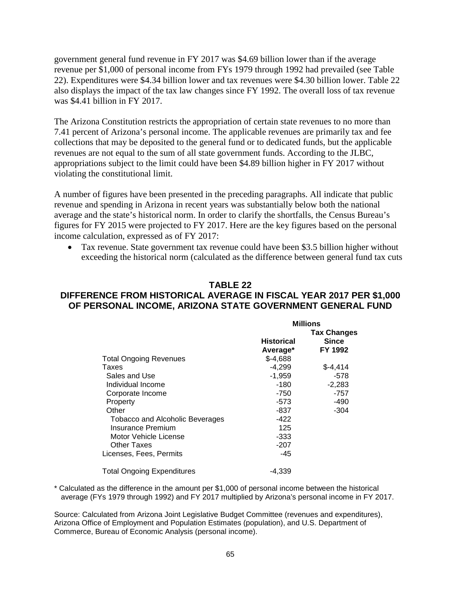government general fund revenue in FY 2017 was \$4.69 billion lower than if the average revenue per \$1,000 of personal income from FYs 1979 through 1992 had prevailed (see Table 22). Expenditures were \$4.34 billion lower and tax revenues were \$4.30 billion lower. Table 22 also displays the impact of the tax law changes since FY 1992. The overall loss of tax revenue was \$4.41 billion in FY 2017.

The Arizona Constitution restricts the appropriation of certain state revenues to no more than 7.41 percent of Arizona's personal income. The applicable revenues are primarily tax and fee collections that may be deposited to the general fund or to dedicated funds, but the applicable revenues are not equal to the sum of all state government funds. According to the JLBC, appropriations subject to the limit could have been \$4.89 billion higher in FY 2017 without violating the constitutional limit.

A number of figures have been presented in the preceding paragraphs. All indicate that public revenue and spending in Arizona in recent years was substantially below both the national average and the state's historical norm. In order to clarify the shortfalls, the Census Bureau's figures for FY 2015 were projected to FY 2017. Here are the key figures based on the personal income calculation, expressed as of FY 2017:

• Tax revenue. State government tax revenue could have been \$3.5 billion higher without exceeding the historical norm (calculated as the difference between general fund tax cuts

### **TABLE 22 DIFFERENCE FROM HISTORICAL AVERAGE IN FISCAL YEAR 2017 PER \$1,000 OF PERSONAL INCOME, ARIZONA STATE GOVERNMENT GENERAL FUND**

|                                   | <b>Millions</b>   |                                    |
|-----------------------------------|-------------------|------------------------------------|
|                                   | <b>Historical</b> | <b>Tax Changes</b><br><b>Since</b> |
|                                   | Average*          | FY 1992                            |
| <b>Total Ongoing Revenues</b>     | $$-4,688$         |                                    |
| Taxes                             | $-4,299$          | $$-4,414$                          |
| Sales and Use                     | $-1,959$          | -578                               |
| Individual Income                 | $-180$            | $-2,283$                           |
| Corporate Income                  | $-750$            | $-757$                             |
| Property                          | -573              | -490                               |
| Other                             | -837              | $-304$                             |
| Tobacco and Alcoholic Beverages   | -422              |                                    |
| Insurance Premium                 | 125               |                                    |
| Motor Vehicle License             | $-333$            |                                    |
| Other Taxes                       | $-207$            |                                    |
| Licenses, Fees, Permits           | -45               |                                    |
| <b>Total Ongoing Expenditures</b> | $-4,339$          |                                    |

\* Calculated as the difference in the amount per \$1,000 of personal income between the historical average (FYs 1979 through 1992) and FY 2017 multiplied by Arizona's personal income in FY 2017.

Source: Calculated from Arizona Joint Legislative Budget Committee (revenues and expenditures), Arizona Office of Employment and Population Estimates (population), and U.S. Department of Commerce, Bureau of Economic Analysis (personal income).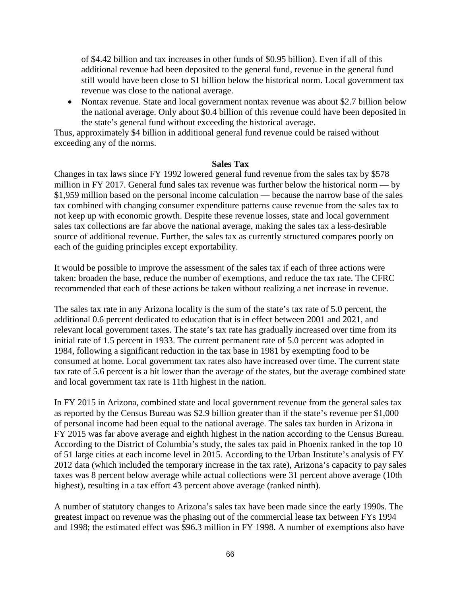of \$4.42 billion and tax increases in other funds of \$0.95 billion). Even if all of this additional revenue had been deposited to the general fund, revenue in the general fund still would have been close to \$1 billion below the historical norm. Local government tax revenue was close to the national average.

• Nontax revenue. State and local government nontax revenue was about \$2.7 billion below the national average. Only about \$0.4 billion of this revenue could have been deposited in the state's general fund without exceeding the historical average.

Thus, approximately \$4 billion in additional general fund revenue could be raised without exceeding any of the norms.

#### **Sales Tax**

Changes in tax laws since FY 1992 lowered general fund revenue from the sales tax by \$578 million in FY 2017. General fund sales tax revenue was further below the historical norm — by \$1,959 million based on the personal income calculation — because the narrow base of the sales tax combined with changing consumer expenditure patterns cause revenue from the sales tax to not keep up with economic growth. Despite these revenue losses, state and local government sales tax collections are far above the national average, making the sales tax a less-desirable source of additional revenue. Further, the sales tax as currently structured compares poorly on each of the guiding principles except exportability.

It would be possible to improve the assessment of the sales tax if each of three actions were taken: broaden the base, reduce the number of exemptions, and reduce the tax rate. The CFRC recommended that each of these actions be taken without realizing a net increase in revenue.

The sales tax rate in any Arizona locality is the sum of the state's tax rate of 5.0 percent, the additional 0.6 percent dedicated to education that is in effect between 2001 and 2021, and relevant local government taxes. The state's tax rate has gradually increased over time from its initial rate of 1.5 percent in 1933. The current permanent rate of 5.0 percent was adopted in 1984, following a significant reduction in the tax base in 1981 by exempting food to be consumed at home. Local government tax rates also have increased over time. The current state tax rate of 5.6 percent is a bit lower than the average of the states, but the average combined state and local government tax rate is 11th highest in the nation.

In FY 2015 in Arizona, combined state and local government revenue from the general sales tax as reported by the Census Bureau was \$2.9 billion greater than if the state's revenue per \$1,000 of personal income had been equal to the national average. The sales tax burden in Arizona in FY 2015 was far above average and eighth highest in the nation according to the Census Bureau. According to the District of Columbia's study, the sales tax paid in Phoenix ranked in the top 10 of 51 large cities at each income level in 2015. According to the Urban Institute's analysis of FY 2012 data (which included the temporary increase in the tax rate), Arizona's capacity to pay sales taxes was 8 percent below average while actual collections were 31 percent above average (10th highest), resulting in a tax effort 43 percent above average (ranked ninth).

A number of statutory changes to Arizona's sales tax have been made since the early 1990s. The greatest impact on revenue was the phasing out of the commercial lease tax between FYs 1994 and 1998; the estimated effect was \$96.3 million in FY 1998. A number of exemptions also have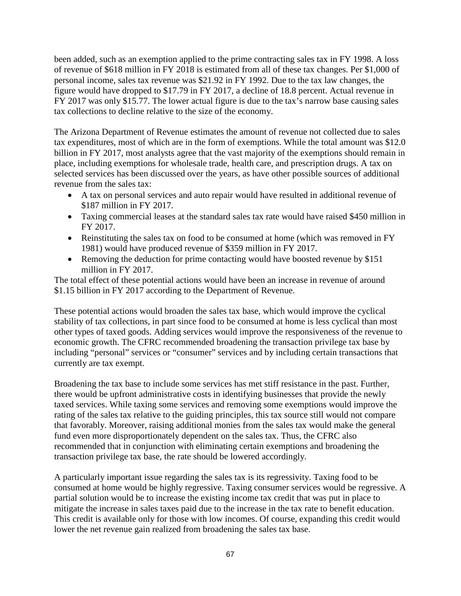been added, such as an exemption applied to the prime contracting sales tax in FY 1998. A loss of revenue of \$618 million in FY 2018 is estimated from all of these tax changes. Per \$1,000 of personal income, sales tax revenue was \$21.92 in FY 1992. Due to the tax law changes, the figure would have dropped to \$17.79 in FY 2017, a decline of 18.8 percent. Actual revenue in FY 2017 was only \$15.77. The lower actual figure is due to the tax's narrow base causing sales tax collections to decline relative to the size of the economy.

The Arizona Department of Revenue estimates the amount of revenue not collected due to sales tax expenditures, most of which are in the form of exemptions. While the total amount was \$12.0 billion in FY 2017, most analysts agree that the vast majority of the exemptions should remain in place, including exemptions for wholesale trade, health care, and prescription drugs. A tax on selected services has been discussed over the years, as have other possible sources of additional revenue from the sales tax:

- A tax on personal services and auto repair would have resulted in additional revenue of \$187 million in FY 2017.
- Taxing commercial leases at the standard sales tax rate would have raised \$450 million in FY 2017.
- Reinstituting the sales tax on food to be consumed at home (which was removed in FY 1981) would have produced revenue of \$359 million in FY 2017.
- Removing the deduction for prime contacting would have boosted revenue by \$151 million in FY 2017.

The total effect of these potential actions would have been an increase in revenue of around \$1.15 billion in FY 2017 according to the Department of Revenue.

These potential actions would broaden the sales tax base, which would improve the cyclical stability of tax collections, in part since food to be consumed at home is less cyclical than most other types of taxed goods. Adding services would improve the responsiveness of the revenue to economic growth. The CFRC recommended broadening the transaction privilege tax base by including "personal" services or "consumer" services and by including certain transactions that currently are tax exempt.

Broadening the tax base to include some services has met stiff resistance in the past. Further, there would be upfront administrative costs in identifying businesses that provide the newly taxed services. While taxing some services and removing some exemptions would improve the rating of the sales tax relative to the guiding principles, this tax source still would not compare that favorably. Moreover, raising additional monies from the sales tax would make the general fund even more disproportionately dependent on the sales tax. Thus, the CFRC also recommended that in conjunction with eliminating certain exemptions and broadening the transaction privilege tax base, the rate should be lowered accordingly.

A particularly important issue regarding the sales tax is its regressivity. Taxing food to be consumed at home would be highly regressive. Taxing consumer services would be regressive. A partial solution would be to increase the existing income tax credit that was put in place to mitigate the increase in sales taxes paid due to the increase in the tax rate to benefit education. This credit is available only for those with low incomes. Of course, expanding this credit would lower the net revenue gain realized from broadening the sales tax base.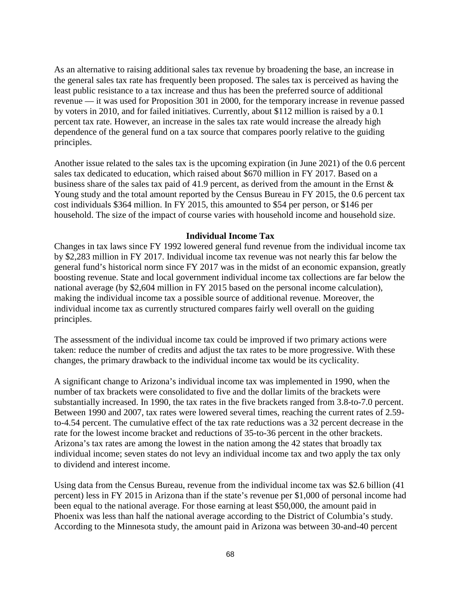As an alternative to raising additional sales tax revenue by broadening the base, an increase in the general sales tax rate has frequently been proposed. The sales tax is perceived as having the least public resistance to a tax increase and thus has been the preferred source of additional revenue — it was used for Proposition 301 in 2000, for the temporary increase in revenue passed by voters in 2010, and for failed initiatives. Currently, about \$112 million is raised by a 0.1 percent tax rate. However, an increase in the sales tax rate would increase the already high dependence of the general fund on a tax source that compares poorly relative to the guiding principles.

Another issue related to the sales tax is the upcoming expiration (in June 2021) of the 0.6 percent sales tax dedicated to education, which raised about \$670 million in FY 2017. Based on a business share of the sales tax paid of 41.9 percent, as derived from the amount in the Ernst & Young study and the total amount reported by the Census Bureau in FY 2015, the 0.6 percent tax cost individuals \$364 million. In FY 2015, this amounted to \$54 per person, or \$146 per household. The size of the impact of course varies with household income and household size.

#### **Individual Income Tax**

Changes in tax laws since FY 1992 lowered general fund revenue from the individual income tax by \$2,283 million in FY 2017. Individual income tax revenue was not nearly this far below the general fund's historical norm since FY 2017 was in the midst of an economic expansion, greatly boosting revenue. State and local government individual income tax collections are far below the national average (by \$2,604 million in FY 2015 based on the personal income calculation), making the individual income tax a possible source of additional revenue. Moreover, the individual income tax as currently structured compares fairly well overall on the guiding principles.

The assessment of the individual income tax could be improved if two primary actions were taken: reduce the number of credits and adjust the tax rates to be more progressive. With these changes, the primary drawback to the individual income tax would be its cyclicality.

A significant change to Arizona's individual income tax was implemented in 1990, when the number of tax brackets were consolidated to five and the dollar limits of the brackets were substantially increased. In 1990, the tax rates in the five brackets ranged from 3.8-to-7.0 percent. Between 1990 and 2007, tax rates were lowered several times, reaching the current rates of 2.59 to-4.54 percent. The cumulative effect of the tax rate reductions was a 32 percent decrease in the rate for the lowest income bracket and reductions of 35-to-36 percent in the other brackets. Arizona's tax rates are among the lowest in the nation among the 42 states that broadly tax individual income; seven states do not levy an individual income tax and two apply the tax only to dividend and interest income.

Using data from the Census Bureau, revenue from the individual income tax was \$2.6 billion (41 percent) less in FY 2015 in Arizona than if the state's revenue per \$1,000 of personal income had been equal to the national average. For those earning at least \$50,000, the amount paid in Phoenix was less than half the national average according to the District of Columbia's study. According to the Minnesota study, the amount paid in Arizona was between 30-and-40 percent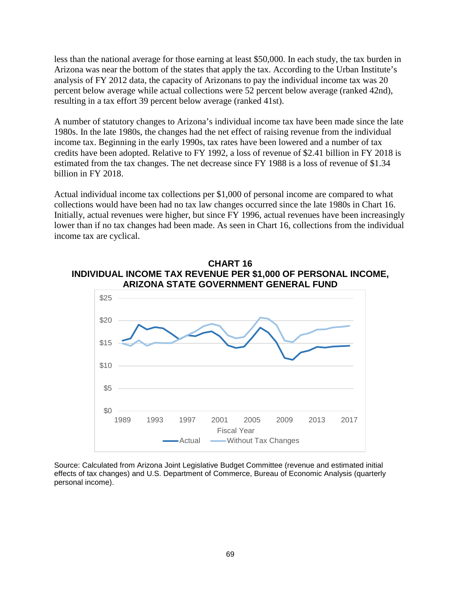less than the national average for those earning at least \$50,000. In each study, the tax burden in Arizona was near the bottom of the states that apply the tax. According to the Urban Institute's analysis of FY 2012 data, the capacity of Arizonans to pay the individual income tax was 20 percent below average while actual collections were 52 percent below average (ranked 42nd), resulting in a tax effort 39 percent below average (ranked 41st).

A number of statutory changes to Arizona's individual income tax have been made since the late 1980s. In the late 1980s, the changes had the net effect of raising revenue from the individual income tax. Beginning in the early 1990s, tax rates have been lowered and a number of tax credits have been adopted. Relative to FY 1992, a loss of revenue of \$2.41 billion in FY 2018 is estimated from the tax changes. The net decrease since FY 1988 is a loss of revenue of \$1.34 billion in FY 2018.

Actual individual income tax collections per \$1,000 of personal income are compared to what collections would have been had no tax law changes occurred since the late 1980s in Chart 16. Initially, actual revenues were higher, but since FY 1996, actual revenues have been increasingly lower than if no tax changes had been made. As seen in Chart 16, collections from the individual income tax are cyclical.





Source: Calculated from Arizona Joint Legislative Budget Committee (revenue and estimated initial effects of tax changes) and U.S. Department of Commerce, Bureau of Economic Analysis (quarterly personal income).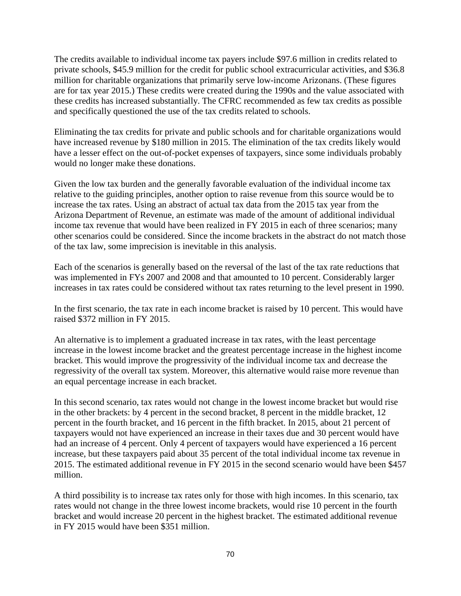The credits available to individual income tax payers include \$97.6 million in credits related to private schools, \$45.9 million for the credit for public school extracurricular activities, and \$36.8 million for charitable organizations that primarily serve low-income Arizonans. (These figures are for tax year 2015.) These credits were created during the 1990s and the value associated with these credits has increased substantially. The CFRC recommended as few tax credits as possible and specifically questioned the use of the tax credits related to schools.

Eliminating the tax credits for private and public schools and for charitable organizations would have increased revenue by \$180 million in 2015. The elimination of the tax credits likely would have a lesser effect on the out-of-pocket expenses of taxpayers, since some individuals probably would no longer make these donations.

Given the low tax burden and the generally favorable evaluation of the individual income tax relative to the guiding principles, another option to raise revenue from this source would be to increase the tax rates. Using an abstract of actual tax data from the 2015 tax year from the Arizona Department of Revenue, an estimate was made of the amount of additional individual income tax revenue that would have been realized in FY 2015 in each of three scenarios; many other scenarios could be considered. Since the income brackets in the abstract do not match those of the tax law, some imprecision is inevitable in this analysis.

Each of the scenarios is generally based on the reversal of the last of the tax rate reductions that was implemented in FYs 2007 and 2008 and that amounted to 10 percent. Considerably larger increases in tax rates could be considered without tax rates returning to the level present in 1990.

In the first scenario, the tax rate in each income bracket is raised by 10 percent. This would have raised \$372 million in FY 2015.

An alternative is to implement a graduated increase in tax rates, with the least percentage increase in the lowest income bracket and the greatest percentage increase in the highest income bracket. This would improve the progressivity of the individual income tax and decrease the regressivity of the overall tax system. Moreover, this alternative would raise more revenue than an equal percentage increase in each bracket.

In this second scenario, tax rates would not change in the lowest income bracket but would rise in the other brackets: by 4 percent in the second bracket, 8 percent in the middle bracket, 12 percent in the fourth bracket, and 16 percent in the fifth bracket. In 2015, about 21 percent of taxpayers would not have experienced an increase in their taxes due and 30 percent would have had an increase of 4 percent. Only 4 percent of taxpayers would have experienced a 16 percent increase, but these taxpayers paid about 35 percent of the total individual income tax revenue in 2015. The estimated additional revenue in FY 2015 in the second scenario would have been \$457 million.

A third possibility is to increase tax rates only for those with high incomes. In this scenario, tax rates would not change in the three lowest income brackets, would rise 10 percent in the fourth bracket and would increase 20 percent in the highest bracket. The estimated additional revenue in FY 2015 would have been \$351 million.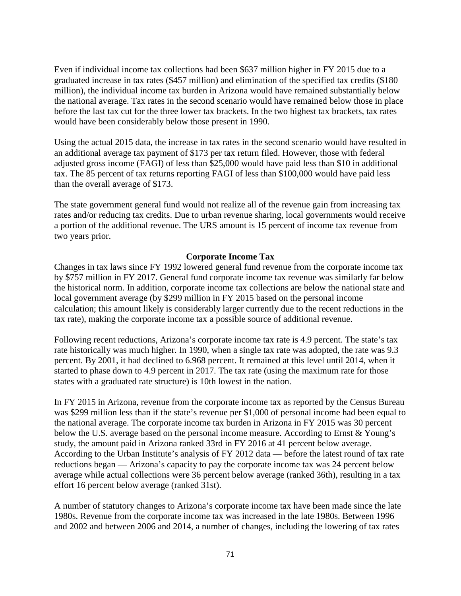Even if individual income tax collections had been \$637 million higher in FY 2015 due to a graduated increase in tax rates (\$457 million) and elimination of the specified tax credits (\$180 million), the individual income tax burden in Arizona would have remained substantially below the national average. Tax rates in the second scenario would have remained below those in place before the last tax cut for the three lower tax brackets. In the two highest tax brackets, tax rates would have been considerably below those present in 1990.

Using the actual 2015 data, the increase in tax rates in the second scenario would have resulted in an additional average tax payment of \$173 per tax return filed. However, those with federal adjusted gross income (FAGI) of less than \$25,000 would have paid less than \$10 in additional tax. The 85 percent of tax returns reporting FAGI of less than \$100,000 would have paid less than the overall average of \$173.

The state government general fund would not realize all of the revenue gain from increasing tax rates and/or reducing tax credits. Due to urban revenue sharing, local governments would receive a portion of the additional revenue. The URS amount is 15 percent of income tax revenue from two years prior.

### **Corporate Income Tax**

Changes in tax laws since FY 1992 lowered general fund revenue from the corporate income tax by \$757 million in FY 2017. General fund corporate income tax revenue was similarly far below the historical norm. In addition, corporate income tax collections are below the national state and local government average (by \$299 million in FY 2015 based on the personal income calculation; this amount likely is considerably larger currently due to the recent reductions in the tax rate), making the corporate income tax a possible source of additional revenue.

Following recent reductions, Arizona's corporate income tax rate is 4.9 percent. The state's tax rate historically was much higher. In 1990, when a single tax rate was adopted, the rate was 9.3 percent. By 2001, it had declined to 6.968 percent. It remained at this level until 2014, when it started to phase down to 4.9 percent in 2017. The tax rate (using the maximum rate for those states with a graduated rate structure) is 10th lowest in the nation.

In FY 2015 in Arizona, revenue from the corporate income tax as reported by the Census Bureau was \$299 million less than if the state's revenue per \$1,000 of personal income had been equal to the national average. The corporate income tax burden in Arizona in FY 2015 was 30 percent below the U.S. average based on the personal income measure. According to Ernst & Young's study, the amount paid in Arizona ranked 33rd in FY 2016 at 41 percent below average. According to the Urban Institute's analysis of FY 2012 data — before the latest round of tax rate reductions began — Arizona's capacity to pay the corporate income tax was 24 percent below average while actual collections were 36 percent below average (ranked 36th), resulting in a tax effort 16 percent below average (ranked 31st).

A number of statutory changes to Arizona's corporate income tax have been made since the late 1980s. Revenue from the corporate income tax was increased in the late 1980s. Between 1996 and 2002 and between 2006 and 2014, a number of changes, including the lowering of tax rates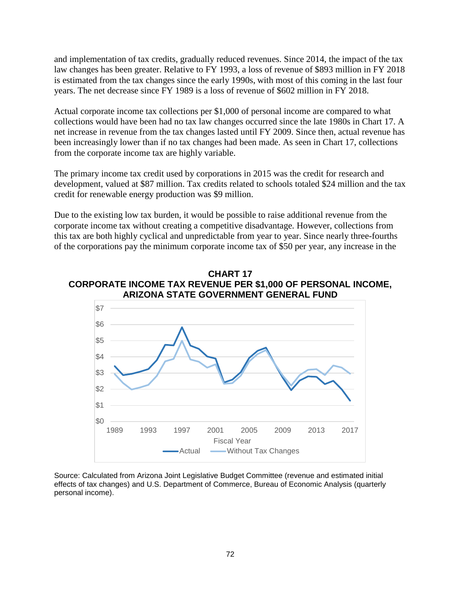and implementation of tax credits, gradually reduced revenues. Since 2014, the impact of the tax law changes has been greater. Relative to FY 1993, a loss of revenue of \$893 million in FY 2018 is estimated from the tax changes since the early 1990s, with most of this coming in the last four years. The net decrease since FY 1989 is a loss of revenue of \$602 million in FY 2018.

Actual corporate income tax collections per \$1,000 of personal income are compared to what collections would have been had no tax law changes occurred since the late 1980s in Chart 17. A net increase in revenue from the tax changes lasted until FY 2009. Since then, actual revenue has been increasingly lower than if no tax changes had been made. As seen in Chart 17, collections from the corporate income tax are highly variable.

The primary income tax credit used by corporations in 2015 was the credit for research and development, valued at \$87 million. Tax credits related to schools totaled \$24 million and the tax credit for renewable energy production was \$9 million.

Due to the existing low tax burden, it would be possible to raise additional revenue from the corporate income tax without creating a competitive disadvantage. However, collections from this tax are both highly cyclical and unpredictable from year to year. Since nearly three-fourths of the corporations pay the minimum corporate income tax of \$50 per year, any increase in the

# **CHART 17 CORPORATE INCOME TAX REVENUE PER \$1,000 OF PERSONAL INCOME, ARIZONA STATE GOVERNMENT GENERAL FUND**



Source: Calculated from Arizona Joint Legislative Budget Committee (revenue and estimated initial effects of tax changes) and U.S. Department of Commerce, Bureau of Economic Analysis (quarterly personal income).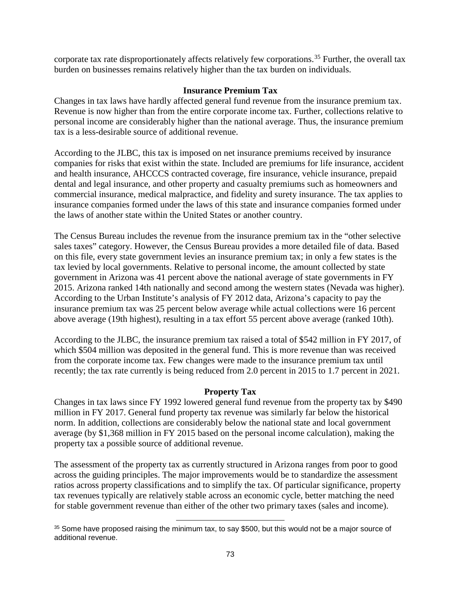corporate tax rate disproportionately affects relatively few corporations. [35](#page-75-0) Further, the overall tax burden on businesses remains relatively higher than the tax burden on individuals.

# **Insurance Premium Tax**

Changes in tax laws have hardly affected general fund revenue from the insurance premium tax. Revenue is now higher than from the entire corporate income tax. Further, collections relative to personal income are considerably higher than the national average. Thus, the insurance premium tax is a less-desirable source of additional revenue.

According to the JLBC, this tax is imposed on net insurance premiums received by insurance companies for risks that exist within the state. Included are premiums for life insurance, accident and health insurance, AHCCCS contracted coverage, fire insurance, vehicle insurance, prepaid dental and legal insurance, and other property and casualty premiums such as homeowners and commercial insurance, medical malpractice, and fidelity and surety insurance. The tax applies to insurance companies formed under the laws of this state and insurance companies formed under the laws of another state within the United States or another country.

The Census Bureau includes the revenue from the insurance premium tax in the "other selective sales taxes" category. However, the Census Bureau provides a more detailed file of data. Based on this file, every state government levies an insurance premium tax; in only a few states is the tax levied by local governments. Relative to personal income, the amount collected by state government in Arizona was 41 percent above the national average of state governments in FY 2015. Arizona ranked 14th nationally and second among the western states (Nevada was higher). According to the Urban Institute's analysis of FY 2012 data, Arizona's capacity to pay the insurance premium tax was 25 percent below average while actual collections were 16 percent above average (19th highest), resulting in a tax effort 55 percent above average (ranked 10th).

According to the JLBC, the insurance premium tax raised a total of \$542 million in FY 2017, of which \$504 million was deposited in the general fund. This is more revenue than was received from the corporate income tax. Few changes were made to the insurance premium tax until recently; the tax rate currently is being reduced from 2.0 percent in 2015 to 1.7 percent in 2021.

# **Property Tax**

Changes in tax laws since FY 1992 lowered general fund revenue from the property tax by \$490 million in FY 2017. General fund property tax revenue was similarly far below the historical norm. In addition, collections are considerably below the national state and local government average (by \$1,368 million in FY 2015 based on the personal income calculation), making the property tax a possible source of additional revenue.

The assessment of the property tax as currently structured in Arizona ranges from poor to good across the guiding principles. The major improvements would be to standardize the assessment ratios across property classifications and to simplify the tax. Of particular significance, property tax revenues typically are relatively stable across an economic cycle, better matching the need for stable government revenue than either of the other two primary taxes (sales and income).

l

<span id="page-75-0"></span><sup>&</sup>lt;sup>35</sup> Some have proposed raising the minimum tax, to say \$500, but this would not be a major source of additional revenue.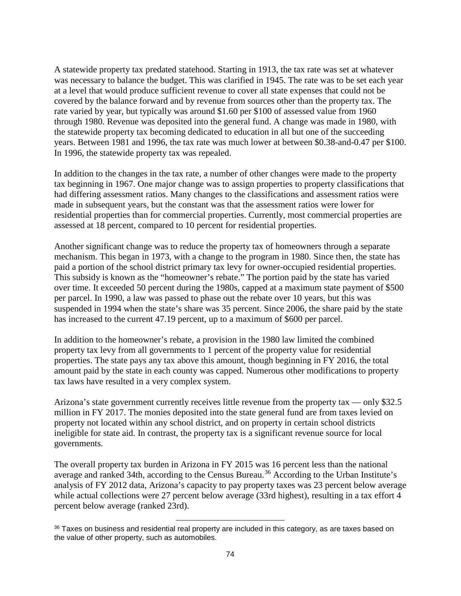A statewide property tax predated statehood. Starting in 1913, the tax rate was set at whatever was necessary to balance the budget. This was clarified in 1945. The rate was to be set each year at a level that would produce sufficient revenue to cover all state expenses that could not be covered by the balance forward and by revenue from sources other than the property tax. The rate varied by year, but typically was around \$1.60 per \$100 of assessed value from 1960 through 1980. Revenue was deposited into the general fund. A change was made in 1980, with the statewide property tax becoming dedicated to education in all but one of the succeeding years. Between 1981 and 1996, the tax rate was much lower at between \$0.38-and-0.47 per \$100. In 1996, the statewide property tax was repealed.

In addition to the changes in the tax rate, a number of other changes were made to the property tax beginning in 1967. One major change was to assign properties to property classifications that had differing assessment ratios. Many changes to the classifications and assessment ratios were made in subsequent years, but the constant was that the assessment ratios were lower for residential properties than for commercial properties. Currently, most commercial properties are assessed at 18 percent, compared to 10 percent for residential properties.

Another significant change was to reduce the property tax of homeowners through a separate mechanism. This began in 1973, with a change to the program in 1980. Since then, the state has paid a portion of the school district primary tax levy for owner-occupied residential properties. This subsidy is known as the "homeowner's rebate." The portion paid by the state has varied over time. It exceeded 50 percent during the 1980s, capped at a maximum state payment of \$500 per parcel. In 1990, a law was passed to phase out the rebate over 10 years, but this was suspended in 1994 when the state's share was 35 percent. Since 2006, the share paid by the state has increased to the current 47.19 percent, up to a maximum of \$600 per parcel.

In addition to the homeowner's rebate, a provision in the 1980 law limited the combined property tax levy from all governments to 1 percent of the property value for residential properties. The state pays any tax above this amount, though beginning in FY 2016, the total amount paid by the state in each county was capped. Numerous other modifications to property tax laws have resulted in a very complex system.

Arizona's state government currently receives little revenue from the property tax — only \$32.5 million in FY 2017. The monies deposited into the state general fund are from taxes levied on property not located within any school district, and on property in certain school districts ineligible for state aid. In contrast, the property tax is a significant revenue source for local governments.

The overall property tax burden in Arizona in FY 2015 was 16 percent less than the national average and ranked 34th, according to the Census Bureau.<sup>[36](#page-76-0)</sup> According to the Urban Institute's analysis of FY 2012 data, Arizona's capacity to pay property taxes was 23 percent below average while actual collections were 27 percent below average (33rd highest), resulting in a tax effort 4 percent below average (ranked 23rd).

l

<span id="page-76-0"></span><sup>36</sup> Taxes on business and residential real property are included in this category, as are taxes based on the value of other property, such as automobiles.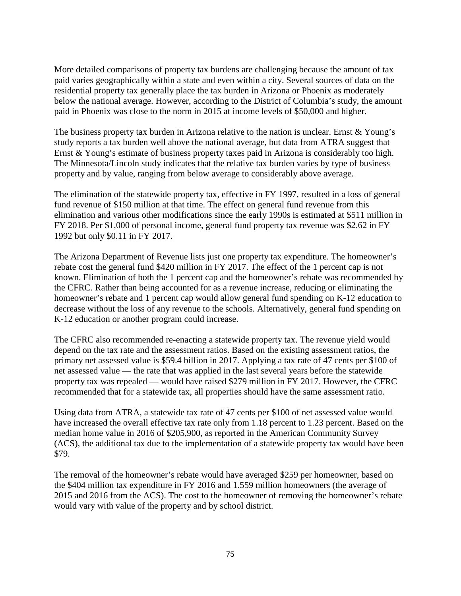More detailed comparisons of property tax burdens are challenging because the amount of tax paid varies geographically within a state and even within a city. Several sources of data on the residential property tax generally place the tax burden in Arizona or Phoenix as moderately below the national average. However, according to the District of Columbia's study, the amount paid in Phoenix was close to the norm in 2015 at income levels of \$50,000 and higher.

The business property tax burden in Arizona relative to the nation is unclear. Ernst & Young's study reports a tax burden well above the national average, but data from ATRA suggest that Ernst & Young's estimate of business property taxes paid in Arizona is considerably too high. The Minnesota/Lincoln study indicates that the relative tax burden varies by type of business property and by value, ranging from below average to considerably above average.

The elimination of the statewide property tax, effective in FY 1997, resulted in a loss of general fund revenue of \$150 million at that time. The effect on general fund revenue from this elimination and various other modifications since the early 1990s is estimated at \$511 million in FY 2018. Per \$1,000 of personal income, general fund property tax revenue was \$2.62 in FY 1992 but only \$0.11 in FY 2017.

The Arizona Department of Revenue lists just one property tax expenditure. The homeowner's rebate cost the general fund \$420 million in FY 2017. The effect of the 1 percent cap is not known. Elimination of both the 1 percent cap and the homeowner's rebate was recommended by the CFRC. Rather than being accounted for as a revenue increase, reducing or eliminating the homeowner's rebate and 1 percent cap would allow general fund spending on K-12 education to decrease without the loss of any revenue to the schools. Alternatively, general fund spending on K-12 education or another program could increase.

The CFRC also recommended re-enacting a statewide property tax. The revenue yield would depend on the tax rate and the assessment ratios. Based on the existing assessment ratios, the primary net assessed value is \$59.4 billion in 2017. Applying a tax rate of 47 cents per \$100 of net assessed value — the rate that was applied in the last several years before the statewide property tax was repealed — would have raised \$279 million in FY 2017. However, the CFRC recommended that for a statewide tax, all properties should have the same assessment ratio.

Using data from ATRA, a statewide tax rate of 47 cents per \$100 of net assessed value would have increased the overall effective tax rate only from 1.18 percent to 1.23 percent. Based on the median home value in 2016 of \$205,900, as reported in the American Community Survey (ACS), the additional tax due to the implementation of a statewide property tax would have been \$79.

The removal of the homeowner's rebate would have averaged \$259 per homeowner, based on the \$404 million tax expenditure in FY 2016 and 1.559 million homeowners (the average of 2015 and 2016 from the ACS). The cost to the homeowner of removing the homeowner's rebate would vary with value of the property and by school district.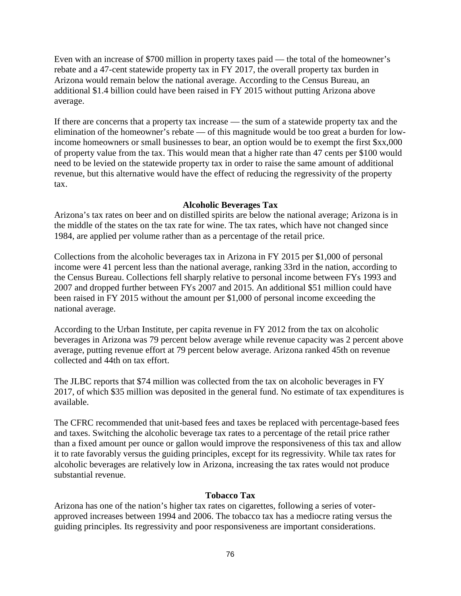Even with an increase of \$700 million in property taxes paid — the total of the homeowner's rebate and a 47-cent statewide property tax in FY 2017, the overall property tax burden in Arizona would remain below the national average. According to the Census Bureau, an additional \$1.4 billion could have been raised in FY 2015 without putting Arizona above average.

If there are concerns that a property tax increase — the sum of a statewide property tax and the elimination of the homeowner's rebate — of this magnitude would be too great a burden for lowincome homeowners or small businesses to bear, an option would be to exempt the first \$xx,000 of property value from the tax. This would mean that a higher rate than 47 cents per \$100 would need to be levied on the statewide property tax in order to raise the same amount of additional revenue, but this alternative would have the effect of reducing the regressivity of the property tax.

# **Alcoholic Beverages Tax**

Arizona's tax rates on beer and on distilled spirits are below the national average; Arizona is in the middle of the states on the tax rate for wine. The tax rates, which have not changed since 1984, are applied per volume rather than as a percentage of the retail price.

Collections from the alcoholic beverages tax in Arizona in FY 2015 per \$1,000 of personal income were 41 percent less than the national average, ranking 33rd in the nation, according to the Census Bureau. Collections fell sharply relative to personal income between FYs 1993 and 2007 and dropped further between FYs 2007 and 2015. An additional \$51 million could have been raised in FY 2015 without the amount per \$1,000 of personal income exceeding the national average.

According to the Urban Institute, per capita revenue in FY 2012 from the tax on alcoholic beverages in Arizona was 79 percent below average while revenue capacity was 2 percent above average, putting revenue effort at 79 percent below average. Arizona ranked 45th on revenue collected and 44th on tax effort.

The JLBC reports that \$74 million was collected from the tax on alcoholic beverages in FY 2017, of which \$35 million was deposited in the general fund. No estimate of tax expenditures is available.

The CFRC recommended that unit-based fees and taxes be replaced with percentage-based fees and taxes. Switching the alcoholic beverage tax rates to a percentage of the retail price rather than a fixed amount per ounce or gallon would improve the responsiveness of this tax and allow it to rate favorably versus the guiding principles, except for its regressivity. While tax rates for alcoholic beverages are relatively low in Arizona, increasing the tax rates would not produce substantial revenue.

# **Tobacco Tax**

Arizona has one of the nation's higher tax rates on cigarettes, following a series of voterapproved increases between 1994 and 2006. The tobacco tax has a mediocre rating versus the guiding principles. Its regressivity and poor responsiveness are important considerations.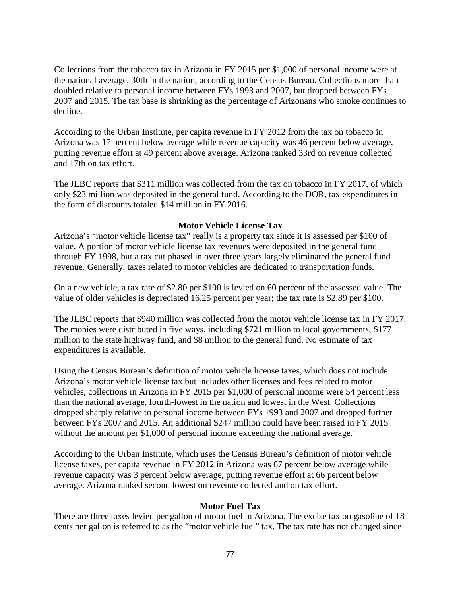Collections from the tobacco tax in Arizona in FY 2015 per \$1,000 of personal income were at the national average, 30th in the nation, according to the Census Bureau. Collections more than doubled relative to personal income between FYs 1993 and 2007, but dropped between FYs 2007 and 2015. The tax base is shrinking as the percentage of Arizonans who smoke continues to decline.

According to the Urban Institute, per capita revenue in FY 2012 from the tax on tobacco in Arizona was 17 percent below average while revenue capacity was 46 percent below average, putting revenue effort at 49 percent above average. Arizona ranked 33rd on revenue collected and 17th on tax effort.

The JLBC reports that \$311 million was collected from the tax on tobacco in FY 2017, of which only \$23 million was deposited in the general fund. According to the DOR, tax expenditures in the form of discounts totaled \$14 million in FY 2016.

# **Motor Vehicle License Tax**

Arizona's "motor vehicle license tax" really is a property tax since it is assessed per \$100 of value. A portion of motor vehicle license tax revenues were deposited in the general fund through FY 1998, but a tax cut phased in over three years largely eliminated the general fund revenue. Generally, taxes related to motor vehicles are dedicated to transportation funds.

On a new vehicle, a tax rate of \$2.80 per \$100 is levied on 60 percent of the assessed value. The value of older vehicles is depreciated 16.25 percent per year; the tax rate is \$2.89 per \$100.

The JLBC reports that \$940 million was collected from the motor vehicle license tax in FY 2017. The monies were distributed in five ways, including \$721 million to local governments, \$177 million to the state highway fund, and \$8 million to the general fund. No estimate of tax expenditures is available.

Using the Census Bureau's definition of motor vehicle license taxes, which does not include Arizona's motor vehicle license tax but includes other licenses and fees related to motor vehicles, collections in Arizona in FY 2015 per \$1,000 of personal income were 54 percent less than the national average, fourth-lowest in the nation and lowest in the West. Collections dropped sharply relative to personal income between FYs 1993 and 2007 and dropped further between FYs 2007 and 2015. An additional \$247 million could have been raised in FY 2015 without the amount per \$1,000 of personal income exceeding the national average.

According to the Urban Institute, which uses the Census Bureau's definition of motor vehicle license taxes, per capita revenue in FY 2012 in Arizona was 67 percent below average while revenue capacity was 3 percent below average, putting revenue effort at 66 percent below average. Arizona ranked second lowest on revenue collected and on tax effort.

#### **Motor Fuel Tax**

There are three taxes levied per gallon of motor fuel in Arizona. The excise tax on gasoline of 18 cents per gallon is referred to as the "motor vehicle fuel" tax. The tax rate has not changed since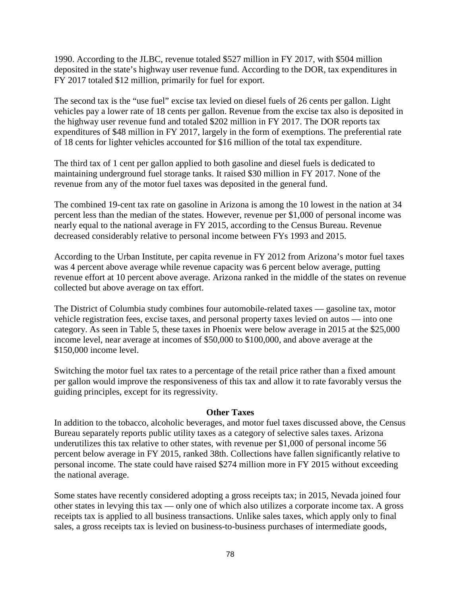1990. According to the JLBC, revenue totaled \$527 million in FY 2017, with \$504 million deposited in the state's highway user revenue fund. According to the DOR, tax expenditures in FY 2017 totaled \$12 million, primarily for fuel for export.

The second tax is the "use fuel" excise tax levied on diesel fuels of 26 cents per gallon. Light vehicles pay a lower rate of 18 cents per gallon. Revenue from the excise tax also is deposited in the highway user revenue fund and totaled \$202 million in FY 2017. The DOR reports tax expenditures of \$48 million in FY 2017, largely in the form of exemptions. The preferential rate of 18 cents for lighter vehicles accounted for \$16 million of the total tax expenditure.

The third tax of 1 cent per gallon applied to both gasoline and diesel fuels is dedicated to maintaining underground fuel storage tanks. It raised \$30 million in FY 2017. None of the revenue from any of the motor fuel taxes was deposited in the general fund.

The combined 19-cent tax rate on gasoline in Arizona is among the 10 lowest in the nation at 34 percent less than the median of the states. However, revenue per \$1,000 of personal income was nearly equal to the national average in FY 2015, according to the Census Bureau. Revenue decreased considerably relative to personal income between FYs 1993 and 2015.

According to the Urban Institute, per capita revenue in FY 2012 from Arizona's motor fuel taxes was 4 percent above average while revenue capacity was 6 percent below average, putting revenue effort at 10 percent above average. Arizona ranked in the middle of the states on revenue collected but above average on tax effort.

The District of Columbia study combines four automobile-related taxes — gasoline tax, motor vehicle registration fees, excise taxes, and personal property taxes levied on autos — into one category. As seen in Table 5, these taxes in Phoenix were below average in 2015 at the \$25,000 income level, near average at incomes of \$50,000 to \$100,000, and above average at the \$150,000 income level.

Switching the motor fuel tax rates to a percentage of the retail price rather than a fixed amount per gallon would improve the responsiveness of this tax and allow it to rate favorably versus the guiding principles, except for its regressivity.

#### **Other Taxes**

In addition to the tobacco, alcoholic beverages, and motor fuel taxes discussed above, the Census Bureau separately reports public utility taxes as a category of selective sales taxes. Arizona underutilizes this tax relative to other states, with revenue per \$1,000 of personal income 56 percent below average in FY 2015, ranked 38th. Collections have fallen significantly relative to personal income. The state could have raised \$274 million more in FY 2015 without exceeding the national average.

Some states have recently considered adopting a gross receipts tax; in 2015, Nevada joined four other states in levying this tax — only one of which also utilizes a corporate income tax. A gross receipts tax is applied to all business transactions. Unlike sales taxes, which apply only to final sales, a gross receipts tax is levied on business-to-business purchases of intermediate goods,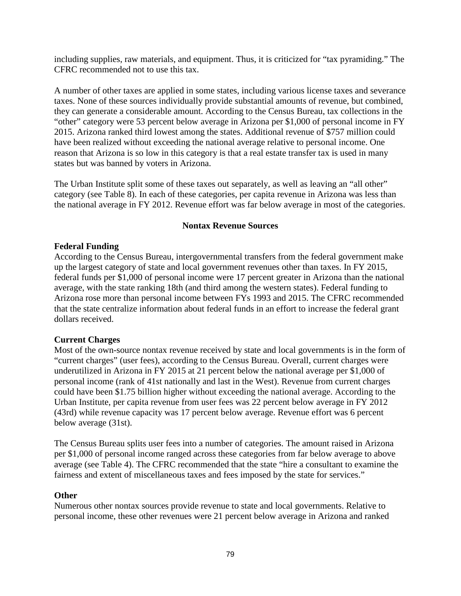including supplies, raw materials, and equipment. Thus, it is criticized for "tax pyramiding." The CFRC recommended not to use this tax.

A number of other taxes are applied in some states, including various license taxes and severance taxes. None of these sources individually provide substantial amounts of revenue, but combined, they can generate a considerable amount. According to the Census Bureau, tax collections in the "other" category were 53 percent below average in Arizona per \$1,000 of personal income in FY 2015. Arizona ranked third lowest among the states. Additional revenue of \$757 million could have been realized without exceeding the national average relative to personal income. One reason that Arizona is so low in this category is that a real estate transfer tax is used in many states but was banned by voters in Arizona.

The Urban Institute split some of these taxes out separately, as well as leaving an "all other" category (see Table 8). In each of these categories, per capita revenue in Arizona was less than the national average in FY 2012. Revenue effort was far below average in most of the categories.

# **Nontax Revenue Sources**

### **Federal Funding**

According to the Census Bureau, intergovernmental transfers from the federal government make up the largest category of state and local government revenues other than taxes. In FY 2015, federal funds per \$1,000 of personal income were 17 percent greater in Arizona than the national average, with the state ranking 18th (and third among the western states). Federal funding to Arizona rose more than personal income between FYs 1993 and 2015. The CFRC recommended that the state centralize information about federal funds in an effort to increase the federal grant dollars received.

# **Current Charges**

Most of the own-source nontax revenue received by state and local governments is in the form of "current charges" (user fees), according to the Census Bureau. Overall, current charges were underutilized in Arizona in FY 2015 at 21 percent below the national average per \$1,000 of personal income (rank of 41st nationally and last in the West). Revenue from current charges could have been \$1.75 billion higher without exceeding the national average. According to the Urban Institute, per capita revenue from user fees was 22 percent below average in FY 2012 (43rd) while revenue capacity was 17 percent below average. Revenue effort was 6 percent below average (31st).

The Census Bureau splits user fees into a number of categories. The amount raised in Arizona per \$1,000 of personal income ranged across these categories from far below average to above average (see Table 4). The CFRC recommended that the state "hire a consultant to examine the fairness and extent of miscellaneous taxes and fees imposed by the state for services."

#### **Other**

Numerous other nontax sources provide revenue to state and local governments. Relative to personal income, these other revenues were 21 percent below average in Arizona and ranked